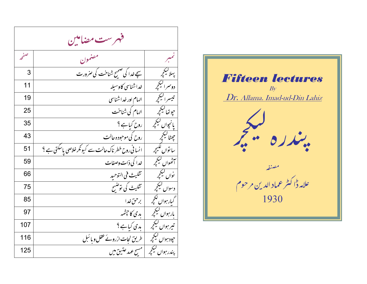مرست مضامین ė٠ فهرست مضام لمبر<br>ï مون معذ صفحه پہلا کیکچر کے اسپے *فد*ا کی صحیح شناخت کی *صر*ورت قسح شر<br>بیگ س**ے خد**ا کی صحب 3دوسراليججر ' ( & ) \* \$ 11 " تيسر اليج<sub>ب</sub>ر | الهام اور *خد*اشناسي خداشناسی مسلمان (19 .<br>پوتھا کیکچم Ø . / - ) كى شناخت بەلگە ئايدا ئىستان تەرەپ كەنت بىر ئايدا ئايدا ئايدا ئايدا ئايدا ئايدا ئايدا ئايدا ئايدا ئايدا ئايدا<br>ئايدا ئايدا ئايدا ئايدا ئايدا ئايدا ئايدا ئايدا ئايدا ئايدا ئايدا ئايدا ئايدا ئايدا ئايدا ئايدا ئايدا ئايدا ئا ،<br>بانچواں کیلچم يم ; پانچواں کیکچر | روح کیاہے ؟ 35ليكجر<br>طا 8- 9 : ;%0 <sup>0</sup> 5 " <sup>&</sup>lt; <sup>=</sup> <sup>43</sup> بأتوال فليجر ۔<br>سا تواں لکیچر کے انسانی روح خطر ناک حالت سے کیونکر خلاصی پاسکتی ہے ؟ کے 51 سط ليکچر<br>انھوال ليکچر ة<br>تحدوان ليججر به على ذات وصفات بمستخدم المستخدم المستخدم التحديد المحدود التي ذات وصفات .<br>واں کینچم نواں کیکچمہ پہلی استعمال تنگیث فی التوحید استعمال من استعمال من استعمال من استعمال من استعمال من استعمال من اس دسوال کیکچر کے شمسیت کی توضیح تثليث كى توضيح مستخدمات المستخدمات المستخدمات المستخدمات المستخدمات المستخدمات المستخدمات المستخدمات المستخدما **ارہوال جلچر** ? O6 Q P " < <sup>85</sup> <sup>M</sup> |رہواں کیکچ<sub>ر</sub> بارہواں کیلچم | بدی کا حپشمہ | سمجھ | مسلمان | 97 | مسلمان | 97 | مسلمان | 97 | مسلمان | 97 | 97 | مسلمان | 97 تیر ہواں کیکچمہ | بدی کیاہے ؟<br>-حپود ہواں کیکچمہ کے طریق نجات ازروئے عقل و مائبل طريق نجات ازروئے عقل و بائس مسلمت است ال ر بيواں کیکچر<br>مدر ہواں کیلچم پندر ہواں کیکج<sub>بر</sub> | مسح عہد عتیق میں مسوعي عتين من المستوعب العبد المستوعب عن المستوعب العبد العبد المستوعب العبد العبد العبد العبد العبد العبد ال

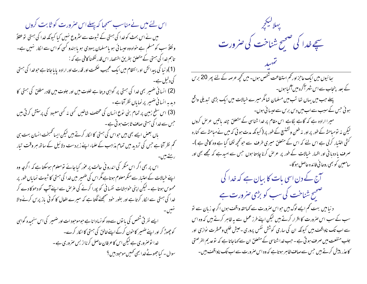اس لئے میں نے مناسب سمج<sub>ع</sub>ا کہ پہلے اس صرورت کو ثابت کروں میں نے اس بحث کو خدا کی ہستی کے شبوت سے سثروع نہیں کیا کیونکہ خدا کی ہستی توعقلاً ونقلاً سب کومسلم ہے خواہ وہ عیسا ئی ہو یامسلمان یہودی ہو یا ہندو کسی کو اس سے ا<sub>لکا</sub>ر نہیں ہے۔ تاہم خدا کی ہستی کے متعلق بطریق اختصار اس قدر لکھنا کافی ہے کہ : (1)د نیا کی پیدائش اورا نتظام میں ایک عجیب حکمت اور قدرت اور ارادہ پایا جاتا ہے حوضدا کی ہستی کی دلیل ہے۔ (2) انسا فی ضمیر بھی <sub>خدا</sub> کی ہستی پر گواہی دیتا ہے خلوت میں اور جلوت میں قادر مطلق کی ہستی کا دید ہہ انسانی ضمیر پر نمایاں نظرآتاہے۔ (3) اس سطح زمین پر تمام بنی <sub>نوع</sub> انسان کی مختلف شاخیں <sup>ک</sup>سی نہ <sup>ک</sup>سی معبود کی پرستش کرتی ہیں حس سے خدا کی ہستی صا**ف** ثابت ہوتی ہے۔ باں بعض ایسے بھی بیں حواس کی ہستی کا اکار کرتے ہیں لیکن ایسا ٹھمبخت انسان بہت ہی تحم نظر آتا ہے جس کی تردید میں تمام مذاہب کے علماء اپنے زبردست دلائیل کے ساتھ ہر وقت تیار رستے ہیں۔ اس پر بھی اگر اس منکر کی اندرو فی حالت پر عور کیاجائے تومعلوم ہوسکتا ہے کہ اگرچہ وہ اپنے خیالات کے اعتیار سے منکر معلوم ہوتاہے مگر اس کی ضمیر میں خدا کی ہستی کا ثبوت نمایاں طور پر محسوس ہوتا ہے ۔لیکن اپنی خواہشات نفسانی کو پورا کرنے کی عرص سے اپنے آپ کو دھوکا دے کر خدا کی ہستی سے انکار کرتا ہے اور بطور حنود سمجھنے لگتا ہے کہ میرے افعال کا کو ئی یاز پرس کرنے والا ایسے نفر ٹی شخص کی با توں سے وہ کو نسا دانا ہے حوموحود ات اور ضمیر کی اس سنجیدہ گواہی کو چھوڑ کر اور اپنے ضمیر کا حون کرکے اپنے خالق کی ہستی کاا کار کرے۔ خدا نو صروری ہے لیکن اس کا عرفان حاصل کرنااز بس صروری ہے ۔ سوال ۔ کیاحجوٹے خدا بھی کھیں موحود بیں ؟

بهلالیکچر<br>سچے *خد*ا کی صحیح شناخت کی **صرورت** بعائیوں میں ایک عاجزاور <sup>ت</sup>م استطاعت شخص ہوں۔ میں *کچھ عرصہ کے لئے پھر* 20 برس کے بعد پنجاب سے اس شہر آگرہ میں آگیا ہوں۔ پہلے جب میں یہاں تھا تب میں مسلمان تھا مگر میرے خیالات میں ایک بڑی تبدیلی واقع ہوئی جس کے سبب سے اب میں دیں بریں سے عیسا ٹی ہوں۔ میرا ارادہ ہے کہ گاہے بگاہے اس مقام پر خدا شناسی کے متعلق چند باتیں عرض کروں لیکن نہ تومباحثہ کے طور پراور نہ طعن وتشنیع کے طور پر (کیونکہ مدت ہو ٹی کہ میں نےمباحثہ سے کنارہ گنی اختیار کرلی ہے اس لئے کہ اس کے متعلق میری طرف سے حو تحچھ لکھا گیا ہے وہ کافی ہے )۔ صرف یا ددبا فی اور اظہار خیالات کے طور پر عرص کرنا چاہتا ہوں جس سے امید ہے کہ مجھے بھی اور سامعین کو بھی روحا فی فائدہ حاصل ہو گا۔ آج کے دن اسی بات کا بیان ہے کہ خدا کی صحیح شناخت کی سب کو بڑی صرورت ہے د نبامیں بہت کم ایسے لوگ ہیں حواس صرورت سے کماحقہ واقف ہوں اگر جہ زبان سے تو سب کے سب اس صرورت کا اقرار کرتے ہیں لیکن اپنے طرز عمل سے یہ ظاہر کرتے ہیں کہ وہ اس سے اب تک ناواقف ہیں کیونکہ ان کی ساری کوشش نفس پروری -عیش طلبی وعسشرت نوازی اور جلب منفعت میں صرف ہوتی ہے ۔ حب خداشناسی کے متعلق ان سے کہاجاتا ہے کہ توعد یم الفرضتی کاعذر پیش کرتے ہیں جس سےصاف ظاہر ہوتاہے کہ وہ اس صرورت سے اب تک ناواقف بیں۔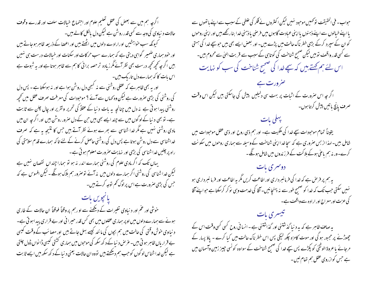ا گرچہ ہم میں سے بعض کی عقل تعلیم علوم اور اجتماع خیالات سلف اور قدرے وقوف حالات د نباوی کی وجہ سے کسی قدر روشن ہے لیکن دل بالکل کالے بیں۔ کیونکہ سب خواہشیں اورارادے دلوں میں اٹھتے ہیں اور اعصا کے ذریعہ ظاہر ہوجاتے ہیں اور خود سماری ضمیر گواہی دیتی ہے کہ سمارے سب حرکات اور سکنات اور خیالات درست ہی نہیں ہیں اگر جہ تحچھ تحچھ درست بھی نظر آئے مگر زیادہ تر حصہ برائی کا ہم سے ظاہر ہوتا ہے اور یہ شبوت ہے اس بات کا کہ ہمارے دل تاریک، بیں۔ اور ہے بھی ظاہر ہے کہ عقلی روشنی سے نہ کبھی دل روشن ہوا ہے اور نہ ہوسکتا ہے ۔ پس دل کی روشنی کی بڑی صرورت ہے لیکن وہ <sub>ک</sub>ماں سے آئے ؟ موحبودات کی معرفت صرف عقل میں تحچیہ روشنی پیدا ہوتی ہے یہ دل میں چنانچہ یہ بات د نبا کے عقلاً کی تحریر وتقریر اور چال چلن سے ثابت ہے۔ تو بھی د نیا کے لوگوں میں سے چند ایسے بھی ہیں حن کے دل صرور روشن بیں اور اگر چہ ان میں مادی روشنی نہیں ہے مگر خدا شناسی سے بھرے ہوئے نظر آتے ہیں جس کا نتیجہ یہ ہے کہ صرف خداشناسی سے دل روشن ہوتا ہے پس دل کی روشنی حاصل کرنے کے لئے تاکہ سمارے قدم سلامتی کی راہ پر چلیں خداشناسی کی بڑی اور نہایت صرورت معلوم ہو تی ہے۔ یہاں تک کہ اگر مادی علوم کی روشنی ہمارے اندر نہ ہو تو ہمارا چنداں نقصان نہیں ہے لیکن خداشناسی کی روشنی اگر ہمارے دلوں میں یہ آئے توصرور ہم ہلاک ہوگگے ۔ لیکن افسوس ہے کہ حس کی بڑی صرورت ہے اس پراوگ کم نوحہ کرتے ہیں۔ خوشی اور عم اور د نباوی تغیرات کے دیکھنے سے او رہم پر وقتاً فوقتاً ان حالات کے طاری ہونے سے ہمارے دلوں میں اوپر ہماری عقلوں میں بھی کس قدر حیرا فی اور بے قراری پیداہو تی ہے۔ د نباوی خوش وقتی کی حالت میں ہم بجوں کی مانند کیسے بہل جاتے ہیں اور مصائب کے وقت کیسی بے قراریاں ظاہر ہو تی بیں۔عرُض د نیا کے د کھ سکھ کی موجوں میں ہماری کشتی کیسی ڈا نواں ڈول چلتی ہے لیکن خداشناس لوگوں کو حب ہم دیکھتے ہیں تووہ ان حالات یعنی د نیا کے دکھ سکھ میں ایسے ثابت

حواب۔ فی الحقیقت توٹھیں موحود نہیں لیکن اکثروں نے فکر کی غلطی کے سبب سے اپنے باتھوں سے با اپنے خیالوں سے اپنے ذہنوں پا اپنی عبادت گاہوں میں فرصی یاذہنی خدا بنار کھے ہیں اور اپنی روحوں کو ان کے سپر د کرکے بڑی خطر ناک حالت میں پڑے بیں۔ اور بعض ایسے بھی بیں حبو سچے خدا کی ہستی سے کسی قدر واقف توہیں لیکن صحیح شناخت کی کوتاہی کے سبب سے قربت الہٰیٰ سے محروم ہیں۔ اس لئے ہم <del>گ</del>ھتے، ہیں کہ سچے <sub>خدا</sub> کی صحیح شناخت کی سب کو نہایت

صرورت ہے اگر چہ اس صرورت کے اثبات پر بہت سی دلیلیں پیش کی جاسکتی ہیں لیکن اس وقت صرف يانچ باتيں پيش کرتا ہوں۔

يهكي بات یقیناً تمام موحودات سچے خدا کی مکیت ہے۔ اور ہم ذی روح اور ذی عقل موحودات میں شامل ہیں۔ لہذااز بس صروری ہے کہ سچاخدااپنی شناخت کے وسیلہ سے ہماری روحوں میں سکونت کرے۔ورنہ ہم باغی ہوکے ہلاکت کے فرزندوں میں شامل ہونگے۔

دوسری بات په ہم پر فرحن ہے کہ خدا کی فرمانبر داری اور اطاعت کریں گمر یہ اطاعت اور فرما نبر داری ہو نہیں سکتی *جب تک کہ خد*ا کو صحیح طور سے نہ پہنچانیں۔آقا کی *خدم*ت وہی نوکر کرسکتا ہے *ج*واپنے آقا کی عزت اور معراج اور ارادہ سے واقعت ہے۔

تیسری بات یہ صاف ظاہر ہے کہ یہ د نیا گذشتنی اور گذاشتنی ہے ۔انسانی روح کسی کسی وقت اس کے چھوڑنے پر مجبور ہو گی اور موت کامزہ چکھ لیگی پس اس خطر ناک حالت میں کیا کرے - یاؤ پسار کے مرجائے یا عروۃ الوثقٰیٰ کو پکڑے پس سچے خدا کی صحیح شناخت کے سواوہ کونسی جیز زمین وآسمان میں ہے جس کوازروی عقل ہم تھام لیں۔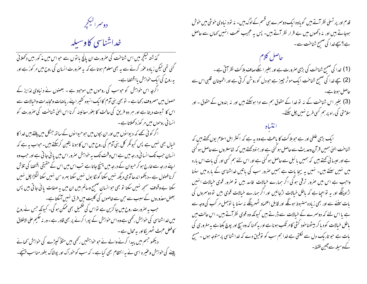دوسراليججر

## خداشناسی کاوسیله

گذشتہ کیکچرمیں اس شناخت کی صرورت ان یانچ با توں سے حواس میں مذکور بی<u>ں</u> دکھلائی گئی تھی لیکن زیادہ عوٰر کرنے سے یہ بھی معلوم ہوتا ہے کہ یہ صرورت انسان کی روح میں مر کوز ہے اور بہ روح کی ایک خواہش یااقتصا ہے۔ اگرچہ اس خواہش کو حبوسب کی روحوں میں موحبود ہے ۔ بعضوں نے د نیاوی لذایز کے حصول میں مصروف رکھاہے ۔ تو بھی بنی آدم کا ایک انبوہ کشیر اپنے ریاضات ومحاہدات وخیالات سے اس کا ثبوت دیتا ہے اور ہر دو فریق کی حالت کا بغور معائینہ کرنا اس الهیٰ شناخت کی صرورت کو انسانی روحوں میں مر کوز دکھلاتا ہے ۔

اگر کوئی کھے کہ دیوانوں میں اور ان بجوں میں حوحیوانوں کے ساتھ جنگل میں پلتے ہیں خدا کا خیال بھی نہیں ہے پس کیونکر کل بنی آدم کی روح میں اس کا ہونا یقین کرسکتے ہیں۔حواب ہہ ہے کہ انسان حب تک انسانی درجہ میں ہے اس وقت تک پہ خواہش صرور اس میں یائی جاتی ہے اور حب وہ اپنے درجہ سے خارج ہو کر حیوان کے درجہ میں پہنچ جاتا ہے تب اس میں اس کے حقیقی اقتصا کی تلاش کرنا فصول ہے ۔دیکھوا ندھاآدمی دیکھ نہیں سکتا گورگا بول نہیں سکتا بہرہ سن نہیں سکتا لنگڑا چل نہیں سکتا ہے وقوف سمجھ نہیں سکتا تو بھی حوانسان صحیح وسالم ہیں ان میں یہ صفات یا ئی جاتی ہیں پس بعض معذوروں کے سبب سے حٖن سے خاصوں کی کلیت میں فرق نہیں آسکتا ہے۔ جب بہ صرورت روح میں جا گزین ہے تواس کی تکمیل بھی ممکن ہو گی۔ کیونکہ جس نے روح میں خداشناسی کی حواہش رکھی ہے وہ اس حواہش کے بپورا کرنے پر بھی قادر ہے - وریہ حکیم علی الاطلاق کا فعل عبث ٹھہر یگا اور یہ محال ہے ۔ دیکھو جسم میں پیدا کرنے والے نے حبو خواہشیں رکھی ہیں مثلاً کپڑے کی خواہش کھانے پینے کی خواہش وعنیرہ اسی نے یہ انتظام بھی کیاہے۔ کہ سب کو حوراک اور پوشاک بطور مناسب پہنچے۔

قدم اور پر تسلی نظر آتے ہیں گویاوہ ایک دوسرے ہی قسم کے لوگ ہیں۔ نہ تو د نباوی خوشی میں خوش ہوجاتے ہیں اور نہ دکھوں میں بے قرار نظر آتے ہیں۔ پس یہ عجیب نعمت انہیں کہاں سے حاصل ہے؟سچے فدا کی صحیح شناخت سے۔ حاصل کلام (1) غدا کی صحیح شناخت کی بڑی صرورت ہے اور بغیر اسکے صاف ہلا کت نظر آتی ہے ۔ (2) سچے فدا کی ضمیح شناخت ایک موثر جیپز ہے حبودل کوروشن کرتی ہے اور اطمینان قلبی اس سے حاصل ہوتاہے۔ حاصل ہوتا ہے۔<br>(3) بغیر اس شناخت کے نہ تو خدا کے حقوق ہم سے ادا ہوسکتے بیں اور نہ بندوں کے حقوق - اور ۔<br>سلامتی کی راہ پر ہم کسی طرح نہیں چل <u>سکتے</u>۔ ا یک بڑی غلطی اور ہے حبو بلا کت کا باعث ہے وہ یہ ہے کہ اکثر اہل اسلام یوں کھتے ہیں کہ شناخت الهیٰ ہمیں قرآن وحدیث سے حاصل ہو گئی ہے اور ہنود کھتے ہیں کہ شاستروں سے حاصل ہو گئی ہے اور عیسا ئی تھتے ہیں کہ ہمیں یا ئبل سے حاصل ہو گئی ہے اور اس لئے ہم کسی اور کی بات اس بارہ میں نہیں سنتے ہیں۔ نہیں یہ بیجا بات ہے ہمیں صرور سب کی باتیں خداشناسی کے بارہ میں سننا واجب ہے اس میں صرور ترقی ہو گی اگر ہمارے خیالات فاسد بیں تو صرور قوی خیالات انہیں اڑادینگے اور بہ تواجیا ہے کہ باطل خیالات اڑجائیں اور اگر ہمارے خیالات قوی بیں تو دوسمروں کی بات سننے سے اور بھی زیادہ مضبوط ہوگگے اور قابل اعتماد ٹھہرینگے نہ سننا یا توجہل مر کب کی وجہ سے

ہے یا اس لئے کہ دوسمرے کے خیالات سے ڈرتے ہیں کیونکہ وہ قوی نظرآتے ہیں۔ اس حالت میں باطل خیالات کود یا کر بیٹھناخود کشی کامر تکب ہونا ہے اور یہ کہنا کہ وہ ہیچ اور پوچ بکتا ہے یہ مغروری کی مات ہے حبو تاریک دل سے نکلتی ہے خدا ہم سب کو توفیق دے کہ خداشناسی پر متوجہ ہوں ۔مسیح کے وسیلہ سے آئین فقط۔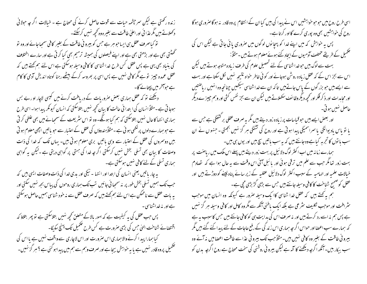زندہ رکھتی ہے لیکن سمر چشمہ حیات سے قوت حاصل کرنے کی مھاج ہے ۔ خیالات اگر جہ حولانی دکھلاتے ہیں مگر عذا ئی اور اعلیٰ طاقت سے بغیر ہ وہ کحچھ نہیں کرسکتے۔ تو کیاصرف عقل ہی ایساحو ہر ہے جس کو بیرو فی طاقت کے بغیر کافی سمحاجائے اور وہ تو گھنٹتی بھی ہے اور بڑھتی بھی ہے اور اپنے فیصلوں کی ہمیشہ ترمیم بھی کیا کرتی ہے اور سارے اختلاف کی بنیاد بھی یہی ہے پس عقل کس طرح خداشناسی کا کافی وسیلہ ہوسکتی ہے اس لئے ہم کھتے ہیں کہ عقل عمدہ جیپز تو ہے مگر کافی نہیں ہے پس اسی پر بھروسہ کرکے بیٹھے رہنا کوتاہ اندیش آدمی کا کام ہے حوافخر میں پیتائے گا۔ دیکھئے تو کہ عقل ہماری بعض صروریات کے دریافت کرنے میں کیسی لاچار او ربے بس ہوجا تی ہے۔مثلاً انسان کی ا بتدا ئی حالت کا بیان تحچیہ نہیں بتلاسکتی کہ انسان کیونکر پیدا ہوا۔ اسی طرح ہماری انتہا کا حال نہیں بتلاسکتی کہ ہم کیا ہوگگے۔ وہ نو اس سٹریعت کے سمجانے میں بھی علطی کر تی ہے حبوبہمارے دلوں پر لکھی ہو ئی ہے ۔مثلاً ہندوؤں کی عقل کے اعتیار سے حبو یا تیں اچھی معلوم ہو تی بیں دوسروں کی عقل کے اعتیار سے وہی باتیں بری معلوم ہوتی ہیں۔ بہاں تک کہ خدا کی ذات وصفات کا بیان بھی تسلی تبخش نہیں کرسکتی اگر جہ خدا کی ہستی پر گواہی دیتی ہے ۔لیکن یہ گواہی ہماری تسلی کے لئے کافی نہیں ہوسکتی ہے۔ ہہ چار پاتیں یعنی انسان کی ابتدا اور انتہا ۔ نیکی اور بدی خدا کی ذات وصفات ایسی بیں کہ جب تک ہمیں تسلی بخش طور پر نہ سمحا ئی جائیں تب تک ہماری روحوں کی پیاس بجھ نہیں سکتی اور یہ بات عقل سے ناممکن ہے اس لئے ہم <u>بھ</u>تے ہیں کہ صرف عقل سے نہ حود شناسی ہمیں حاصل ہوسکتی ہے اور پہ خداشناسی ۔ پس حب عقل کی یہ کیفیت ہے کہ امور بالاکے متعلق کجھ نہیں بتلاسکتی ہے تو پھر بتلاؤ کہ اقتصائے شناخت الہٰیٰ جس کی بڑی صرورت ہے کس طرح تحکمیل تک پہنچ سکیگا۔ کیا ہمارا پید اگرنے والا ہماری اس صرورت اور اس لاچاری سے واقف نہیں ہے یا اس کی ۔<br>تحمیل پروہ قادر نہیں ہے یا یہ حواہش سیحاہے اور صر**ف وہم سے ہم میں** پیداہو کئی ہے ؟ ہر گز نہیں۔

اسی طرح روح میں حبوحبو خواہشیں اس نے پیدا کی بیں کیاان کے انتظام پروہ قادر یہ ہوگا صروری ہوگا روح کی حواہشیں بھی وہ پوری کرے گااور کرتاہے۔ پس بہ خواہش کہ میں اپنے خدا کو پہچانوں لوگوں میں صروری پائی جاتی ہے لیکن اس کی تکمیل کے طریقے مختلف آدمیوں کے ایجاد کئے ہوئے معلوم ہوتے ہیں ۔مثلاً: بہت سے لوگ بیں حو خداشناسی کے لئے تحصیل علوم کی طرف زیادہ متوجہ ہوتے ہیں لیکن اس سے بجز اس کے کہ عقل زیادہ روشن ہوجائے اور کو ئی خاطر حنواہ نتیجہ نہیں لکل سکتا ہے اور بہت سے ایسے ہیں حو بزر گوں کے پاس جاتے ہیں تا کہ ان سے خداشناسی سیکھیں چنانچہ وہ انہیں ریاضتیں اور محاہدات اور ذکر فکر اور تحچھ دیگر وظا ئف سکھلاتے بیں لیکن ان سے بجز نفس کشی اور وہم چیز ہے دیگر حاصل نهيں ہو تی۔ اور بعض ایسے بیں حبو قیاسات پر زیادہ زور دیتے ہیں مگر یہ صرف عقلی بر کشعگی ہے جس سے یا تو پاس بادیوانگی پا سمراسمیگی پیدا ہوتی ہے اور روح کی تشنگی ہر گز نہیں بجھتی ۔ جنہوں نے ان سب با نوں کا تجربہ کیاہےوہ جانتے ہیں کہ یہ سب باتیں سچ ہیں اور یوں ہی ہیں۔ ہمارے زمانہ میں اب اکثر لوگ دلائیل پر بہت زور دیتے ہیں پہلے اس ملک میں ریاضت پر بہت زور تھا مگر جب سے علم میں ترقی ہوئی اور پائبل آئی اس وقت سے یہ حال ہوا ہے کہ 「ضادم خیالات علمیہ اور الہامیہ کے سبب اکثر لوگ دلائیل عقلیہ کے زیر سائے پناہ لینے کو دوڑتے ہیں اور عقل کو صحیح شناخت کا کافی وسیلہ جانتے ہیں جس سے بڑی گڑ بڑی مچی ہے۔ ہم ہہ کہتے ہیں کہ عقل غدا شناسی کاا یک وسیلہ صرور ہے کیونکہ وہ انسان میں موجب یثرافت اور موجب نگلیف سٹرعی ہے بلکہ ایک باطنی آنکھ سے مگروہ کامل اور کافی وسیلہ مبر گز نہیں ہے پس ہم نہ اسے رد کرتے ہیں اور نہ صرف اس کی ہدایت ہی کو کافی جانتے ہیں جس کاسبب ہیہ ہے کہ ہمارے سب اعضا اور حواس اگر جہ ہماری اس زند گی کے رفع حاجات کے لئے پیدا کئے گئے ہیں مگر بیرو فی طاقت کے بغیر وہ کافی نہیں بیں۔مثلاًحب تک بیرونی عذاسے طاقت اعضامیں نہ آئے وہ

سب ببکار ہیں۔آنکھ اگرچہ دیکھنے کا آلہ ہے لیکن بیرو نی روشنی کی سخت محتاج ہے روح اگرچہ یدن کو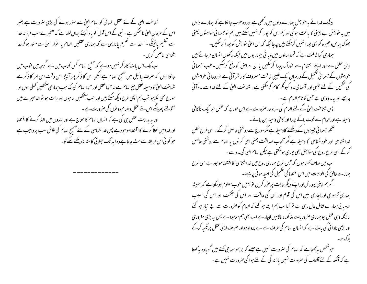شناخت الہیٰ کے لئے عقل انسانی کو الہام اِلہیٰ سے منور ہونے کی بڑی صرورت ہے بغیر اس کے عرفان الہیٰ ناممکن ہے۔ نبی کے اس قول کو یاد کیجئے حہاں لکھاہے کہ "تیرے سب فرز ند خدا سے تعلیم پائینگے۔" خدا سے تعلیم پانا یہی ہے کہ ہماری عقلیں الہام یا انوار الهیٰ سے منور ہو کر خدا شناسی حاصل کریں۔

اب تک اس بات کا ذکر نہیں ہواہے کہ صحیح الہام کس کتاب میں ہے اگر جہ میں حوب میں جا نتا ہوں کہ صرف پائبل میں صحیح الہام ہے لیکن اس کا ذکر پھر آئیگا اس وقت اس امر کا ذکر ہے شناخت الهیٰ کاوسیلہ عقل مع الہام ہے نہ تنہا عقل اور تنہا الہام کیونکہ جب ہماری آنکھیں تھلی ہوں اور سورج بھی لکلاہو تب ہم اچھی طرح دیکھ سکتے ہیں اور حب آنکھیں یہ ہوں اور رات ہو تواندھیرے میں ٹٹولتے پھرینگے اس لئے عقل والہام دو نوں کی صرورت ہے۔ اور بہ بدایت عقل ہی کی ہے کہ انسان الہام کامحتاج ہے اور بندوں میں اخذ کرنے کا اقتضا اور خدامیں عطا کرنے کا اقتصاموحبود ہے پس خداشناسی کے لئے صحیح الہام کی تلاش سب پرواجب ہے حو کوئی اس طریقہ سے ہٹ جاتا ہے وہ اید تک سلائی کامنہ نہ دیکھے سکے گا۔

بیٹنگ خدا نے یہ خواہش ہمارے دلوں میں رکھی ہے اور وہ خوب جا نتا ہے کہ ہمارے دلوں میں یہ خواہش بے چینی کا باعث ہو گی اور ہم اس کو پورا کر نہیں سکتے ہیں ہم تو حسما فی خواہشوں یعنی بھوک پباس وعنیر ہ کو بھی پورا ہنیں کرسکتے ہیں جہ جا ئیکہ کہ اس اعلیٰ حواہش کو پورا کرسکیں۔ ہماری کیا طاقت ہے کہ قحط سالوں میں ویا ئی بیماریوں میں جبکہ لاکھوں انسان مرجاتے ہیں اپنی عقل سے اور اپنے انتظام سے خوراک پیدا کرسکیں یا ان امراض کو دفع کرسکیں۔ جب جسمانی خواہشوں کے حسمانی تکمیل کے درمیان ایک غیبی طاقت مصروف کار نظر آئی ہے توروحانی خواہشوں کی تکمیل کے لئے عیبی اور آسمانی مدد کیونکر کام کرسکتی ہے۔ شناخت الہیٰ کے لئے خدا سے مدد آنی چاہیے اور یہ مدد وہی ہے جس کا نام الہام ہے۔ پس شناحت الهیٰ کے لئے الہام کی بے حد صرورت ہے اس طور پر کہ عقل حبو ایک ناکافی وسیلہ ہے اور الہام سے قوت پاکے پورا اور کافی وسیلہ بن جائے ۔ آنکھ حبیما فی چیزوں کے دیکھنے کاوسیلہ ہے مگر سورج سے روشنی حاصل کرکے۔اسی طرح عقل خدا شناسی اور حنود شناسی کا وسیله ہے مگر آفتاب صداقت یعنی الهیٰ کر نوں یا الہام سے روشنی حاصل کرکے اسی طرح روح کی حنواہش بھی پوری ہوسکتی ہے لیکن الہام الهیٰ کی مدد سے ۔ اب میں صاف کھتا ہوں کہ جس طرح ہماری روح میں خداشناسی کا اقتضاموحود ہے اسی طرح ہمارے خالق کی الوہیت میں اس اقتصا کی تحمیل کی امید ہو ٹی چاہیے ۔ اگرہم اپنی پرورش اور اپنے دیگر حالات پر عور کریں تو ہمیں حوب معلوم ہوسکتا ہے کہ ہمیشہ ہماری تھروری اورلاچاری میں اس کی قوم اور اس کی طاقت اور اس کی حکمت اور اس کی مسبب الاسیا پی ہمارے شامل حال رہی ہے تو کیا اب ہم ایسے ہوگئے کہ الہام کو صرورت سے بے نیاز ہوگئے حالانکہ وہی عقل حوہماری صرور بات مذ کورہ بالامیں لاچار ہے اب بھی ہم موحبود ہے پس ہیہ بڑی مغروری اور بڑی نادا ٹی کی بات ہے کہ ا نسان الہام کی طرف سے بے پرواہ ہواور صرف اپنی عقل پر تکبہ کرکے پلاک ہو۔ حوشخص بہ کھتاہے کہ الہام کی صرورت نہیں ہے جیسے کہ برہموسماحی کھتے ہیں گویاوہ یہ کھتا

ہے کہ آنکھ کے لئے آفتاب کی صرورت نہیں باز ند گی کے لئے ہوا کی صرورت نہیں ہے ۔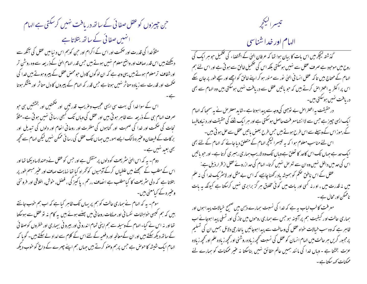حن حییرزوں کو عقل صفا ئی کے ساتھ دریافت نہیں کرسکتی ہے الہام ا نہیں صفائی کے ساتھ بتلاتا ہے مثلاً خدا کی قدرت اور صحمت اور اس کے اگرام اور حن کو ہم اس دینیا میں عقل کی آنکھ سے دیکھتے ہیں اس قدر صاف اور واضح معلوم نہیں ہوتے ہیں جس قدر الہام الهیٰ کےذریعہ سے وہ روشْن تر اورشفاف ترمعلوم ہوتے ہیں یہی وجہ ہے کہ ان لوگوں کا دل حبومحص عقل کے پیروہوتے ہیں خدا کی حکمت اور قدرت سے زیادہ متاثر نہیں ہوتا ہے جس قدر کہ الہام کے پیروں کا دل متاثر اور متشکر ہوتا اس کے سوا خدا کی بہت سی ایسی عجیب وعریب قدرتیں اور ضممتیں اور بخششیں ہی حبو صر ف الہام ہی کے ذریعہ سے ظاہر ہو تی ہیں اور عقل کی وہاں تک کسجی رسا ئی نہیں ہو تی ہے۔مثلاً نجات کی صحمت اور خدا کی صحبت اور گناہوں کی مغفرت اور روحا فی انعام اور دلوں کی تبدیل اور بر کات کے فیصان وعنیر ہ ذالک ایسے امور بیں جہاں تک عقل کی رسا ئی ممکن سٰیں لیکن الہام سے تحچیہ بھی بعید نہیں ہے۔ دوم۔ بیر کہ اس الہیٰ سٹریعت کو دلوں پر منقش ہے اور حس کوعقل نے دھندلاسا دیکھا تھا اور اس کے مطلب کے سمجھنے میں علطیاں کرکے آدمیوں کوٹھراہ کیا تھا نہایت صاف اور عنیر مبہم طور پر بتلاتا ہے کہ دلی سٹریعت کا کیامطلب ہے انصاف ،رحم ، یا کیز کی ، فصل، خوش، اخلاقی اور فروتنی وعنیرہ کے کیامعنی ہیں۔ سوم۔ یہ کہ الہام نے ہماری حالت کو ہم پر یہاں تک ظاہر کیا ہے کہ اب ہم حوب جانتے بیں کہ ہم کیسی خواہشات نفسا فی اور مہلکات روحانی میں پہنے ہوئے بیں یہ کام نہ توعقل سے ہوسکتا تھااور نہ اس نے کیا۔الہام کےوسیلہ سے ہم اپنی تمام اندرو فی اور بیرو فی بیماری اور خطروں کوصفا ئی کے ساتھ دیکھ سکتے بیں اور ان کے معالجہ اور دفعیہ کے لئے اس کے کلام سے امداد لے سکتے بیں۔ گو پا کہ الہام ایک شیشہ کا حوص ہے جس پرہم وصو کرتے ہیں جہاں ہم اپنے چںرے کے داغ کو حوب دیکھ

تيسراليججر

الهام اور خداشناسی

گذشتہ کیچکر میں اس بات کا بیان ہوا تھا کہ عرفان الہیٰ کے اقتضاء کی تکمیل حو ہر ایک کی روح میں موحبود ہے صرف عقل سے نہیں ہوسکتی بلکہ اس کی تکمیل خالق سے ہو تی ہے اور اس لئے ہم الہام کے محتاج بیں تا کہ عقل انسا فی الہٰیٰ نور سے منور ہو کر اپنے خالق کو اچھے اور سچے طور پر جان سکے اس پر اکثر یہ اعتراض کرتے ہیں کہ حو پاتیں عقل سے دریافت نہیں ہوسکتی بیں وہ الہام سے بھی دریافت نهبیں ہوسکتی ہیں۔ درحقیقت یہ اعتراض بے توجہی کی وجہ سے پیدا ہوتا ہے۔شاید معتر ص نے یہ سمجا کہ الہام ایک ایسی جییز ہے جس سے لاا نتہامعرفت حاصل ہوسکتی ہے اور ہر ایک شئے کی حقیقت اور د نیاومافسہا

کے رموز اس کے وسیلے سے اس طرح ہوتے ہیں جس طرح بعض ماتیں عقل سے حل ہو تی بیں۔ اس لئے مناسب معلوم ہوا کہ یہ تبیسرالیکچرالہام کے متعلق دیا جائے کہ الہام کے لئے بھی ایک حد ہے حہاں تک اس کاحد کا تعلق ہے وہاں تک وہ لاریب ہماری رہبری کرتا ہے۔ اور حبو یا تیں اس کی حد میں داخل نہیں وہ ان سے تعرض نہیں کرتا۔ الہام کی حد ازروئے عقل از قرار ذیل ہے: عقل کے اس ناطق ضم کو ہمیشہ یاد رکھنا چاہیے کہ اس بے مثل اور لائٹر بک خدا کی نہ علم میں نہ قدرت میں ، او ر نہ کسی اور بات میں کوئی مخلوق ہر گز برابری نہیں کرسکتا ہے کیونکہ بہ بات ناممکن اور محال ہے ۔

معرفت کالب لباب ہہ ہے کہ خدا کی نسبت ہمارے ذہن میں صحیح خیالات پیدا ہوں اور ہماری حالت او رکیفیت ہم پرآئینہ ہوجس سے ہماری روحوں میں تاز گی اور تسلی پیدا ہوجائے اب ظاہر ہے کہ وہ سب خیالات حواہ عقل کی وساطت سے پیدا ہوجائیں یا خارجی دلائل ہمیں ان کی تسلیم پرمجبور کریں ہر حالت میں ایہام انسان کوعقل کی نسبت تحچیہ زیاد ہ روشنی اورتحچیہ زیاد ہ علم اورتحچیہ زیاد ہ عزت بخشتا ہے - وباں خدا کی مانند ہمیں عالم حقائق نہیں بناسکتا نہ عنیر ممکنات کو ہمارے لئے ممکنات <sub>کہم</sub>رسکتاہے۔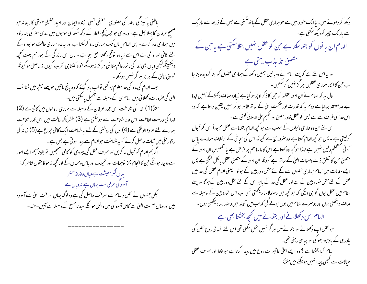باطنی پاکیز گی ،خدا کی حصوری ، حقیقی تسلی، زنده ایمان اور امید حقیقی خوشی کا بیعا نه حبو صبحے عرفان کا پہلا پھل ہے۔ دلاوری حبو حبیرخ کج رفتار کے د کھ سکھ کی موحوں میں ابدی سفر کی بندر گاہ میں ہماری مدد کرے۔ پس الہام یہاں تک ہماری مدد کرسکتا ہے اور یہ مدد ہماری حالت موجود ہ کے لئے کافی اور واقی ہے اس سے زیادہ توقع رکھنا طمع بیچا ہے - ہاں اس زند گی کے بعد ہم بہت کجچہ دیکھینگے لیکن وہاں بھی خدا کی ما نند عالم حقائق ہر گز نہ ہوئگے حواہ کتنا ہی تقرب کیوں نہ حاصل ہو کیونکہ مخلوق خالق کے برابر ہر گز نہیں ہوسکتا۔ ۔<br>حب الہام کی مدد کی حد معلوم ہو گئی تواب باد کیجئے کہ وہ پانچ باتیں ح<u>وپہلے لی</u>جرمیں شناخت ان کی صرورت دکھلاتی ہیں الہام ہی کے وسیلہ سے تعمیل پاسکتی ہیں۔ مثلاً (1) خدا کی شناخت اس قدر عرفان کے وسیلہ سے ہماری روحوں میں کافی ہے (2) خدا کی درست اطاعت اس قدر شناخت سے ہوسکتی ہے (3) خطرناک حالت میں اس قدر شناخت ہمارے لئے عروة الوثقیٰ ہے (4) دل کی روشنی کے لئے یہ شناخت ایک کافی چراغ ہے (5) زمانہ کی ر نگار نگی میں ثبات حاصل کرنے کو بہ شناخت حوالہام سے پیدا ہو تی ہے بس ہے ۔ ا گرہم الہام کو قبول نہ کریں اور صرف عقل کی پیروی کو کافی سمجعیں تو یقیناً ہم ایسے امور سے دوچار ہوگگے حن کا انحام بجز نوسٖمات اور تخیلات اور پاس وحرماں کے اور کحچھ نہ ہو گا بقول شاعر کہ : یہاں فکر معیشت ہے وہاں وعدعہ حسٹر آسود کی حرفی ست پہاں ہے مذوباں ہے لیکن جنہوں نے عقل والہام سے معرفت حاصل کی ہے وہ لوگ بہاں معرفت الہیٰ سے آسودہ بیں اور وباں صحبت الہیٰ سے کامل آسود کی میں داخل ہوگگے سید نامسح کے وسیلہ سے آمین - فقط۔

دیکھ کر دھوتے ہیں۔ یاایک خورد بین ہے حوہماری عقل کے باتھ آگئی ہے جس کے ذریعہ سے باریک سے باریک چیز کودیکھ سکتی ہے۔<br>الہام ان با نوں کو بتلاسکتا ہے <sup>ج</sup>ن کو عقل نہیں بتلاسکتی ہے یا <sup>ج</sup>ن کے متعلق تذيذب رہتی ہے اور یہ اس لئے ہے کہ پہلے الہام نے دو باتیں ہمیں دکھلاکے ہماری عقلوں کواپنا گرویدہ بنالیا ہے جن کا اکار ہماری عقلیں ہر گز نہیں کرسکتیں۔ اول یہ کہ الہام نے ان امور عقلیہ کو حن کا ذکر اوپر ہوگیا ہے زیادہ صاف دکھلاکے ہمیں اپنا بے حد معتقد بنالیا ہے دوم یہ کہ قدرت اور حکمت الهیٰ کے ساتھ ظاہر ہو کر ہمیں یقین دلاتا ہے کہ وہ اس خدا کی طرف سے ہے جس کوعقل قادر مطلق اور حکیم علی الاطلاق کھتی ہے ۔ اس لئے ان دو خارجی دلیلوں کے سبب سے حو تحچیہ الہام بتلاتا ہے عقل مجبوراً اس کو قبول کرلیتی ہے ۔ پس حو تحچھ الہام کھتا ہے وہ صرور سچ ہے کیونکہ اس کی س<sub>چ</sub>ائی کے برخلاف ہمارے پاس کوئی مشحکم دلیل نہیں ہے امدا حوکچھ وہ کھتا ہے اس کا ما ننا ہم پر فرص ہے یا نخصیصِ ان امور کے متعلق حبن کا تعلق ذات وصفات الهیٰ کے ساتھ ہے کیونکہ ان امور کے متعلق عقل بالکل کنگی ہے پس ایسے مقامات میں الہام ہماری عقلوں سے کے لئے مثل دور بین کے ہوگا۔ یعنی الہام عقل کی حد میں عقل کے لئے مثل حور دبین کے ہے اور عقل کی حد کے باہر اس کے لئے مثل دور بین کے ہوگا اور پہلے مقام میں عقل یوں گواہی دیگی کہ حو کحچھ میں دھندلا سا دیکھتی تھی اب اس خورد بین کے وسیلہ سے صاف دیکھتی ہوں اور دوسمرے مقام میں یوں بولے گی کہ اب میں آئینہ میں دھندلاساد یکھتی ہوں۔ الہام اس دکھلانے اور بتلانے میں کحچھ بخشتا بھی ہے جوعقل اپنے دکھلانے اور بتلانے میں مہر گز نہیں بخش سکتی تھی اس لئے انسانی روح عقل کی یاورسی کے باوحبود بھو کی اور پیاسی رہتی تھی۔ اہدام کیا بخشتا ہے ؟ وہ ایسے اعلیٰ تاثیرات روح میں پیدا کرتاہے حو غلط اور صرف عقلی خیالات سے کسجی پیدا نہیں ہوسکتے ہیں مثلاً: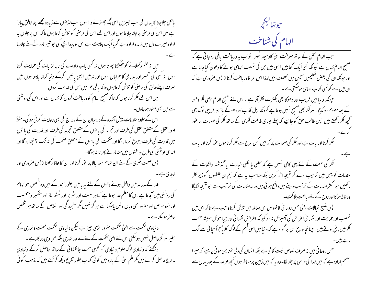بالکل چلاجاؤ نگا یہاں کی سب چیزیں اسی جگہ چھوڑنے والا ہوں سب لذ توں سے زیادہ مجھے اپنا خالق پیارا ہے میں اس کی مرصنی پر چلنا چاہتا ہوں اور اس لئے اس کی مرصنی کو تلاش کرتا ہوں تاکہ اس پر چلوں یہ ارادہ میرے دل میں زندہ ارادہ ہے گویاایک چلاہٹ ہے اس نو پیدا بچے کی حبوشیر مادر کے لئے چلار ہا میں نہ علم دکھلانے کو حبکڑتنا پھر تا ہوں نہ کسی باپ داداے کی ناجائز بات کی حمایت کرتا ہوں نہ کسی کی تحقیر اور بدنامی کا حواہاں ہوں اور نہ میں ایسی باتیں کرکے دنیا کھانا چاہتا ہوں میں صر ف اپنے خالق کی مرضی کو تلاش کرتا ہوں تا کہ باقی عمر میں اس کی خدمت کروں۔ میں اس لئے فکر کرتا ہوں کہ تاکہ صحیح الہام کو دریافت کروں کہ کہاں ہے اور اس کی روشنی سے میں بھی منور ہوجاؤں۔ اس کے علاوہ مقدمات پیش آئندہ کےد رمبان ان کے مدراج کی بھی رعایت کر فی ہو گی۔مثلاً امور عقلی کے متعلق عقل کی طرف اور تجربہ کی با توں کے متعلق تجربہ کی طرف اور قدرت کی با توں میں قدرت کی طرف رحوع کرنا ہوگا اور حکمت کی با نوں کے متعلق حکمت کی تہ تک پہنچنا ہوگا اور اندھی اونٹنی کی طرح درختوں میں منہ مارتے پھرنا نہ ہوگا۔ پس صحت فکری کے لئے ان تمام امور بالا پر عوْر کرنا اور ان کالحاظ رکھنا از بس صروری اور لايدى ہے۔ خدا کے مدرسہ میں داخل ہونے والوں کے لئے یہ باتیں بطور ابجد کے بیں وہ شخص حوالہام کی روشنی میں آجاتا ہے اس کامعلم خدا ہوتا ہے کیاہر سست اور سثریر اور ٹھٹھ باز اور متکبر ومتعصب اور خود عرّ ص اور مغرور بھی وباں دخل پاسکتا ہے ہر گز نہیں مگر سنجید کی اور اخلاص کے ساتھ ہر شخص حاصر ہوسکتا ہے۔ د نیاوی حکمت سے ال<sub>ٹ</sub>ی حکمت صرور بڑی چیز ہے لیکن د نیاوی حکمت محنت و تند <sub>ب</sub>ی کے بغیر سر گزحاصل نہیں ہوسکتی اس لئے الہیٰ حکمت کے لئے بے حد تند ہی بلکہ من وہی در کار ہے ۔ دیکھئے کہ د نیاوی لوگ علوم د نیاوی کو کیسی سخت جانفشا فی کے ساتھ حاصل کرکے د نیاوی مدارج حاصل کرتے ہیں مگر علم الهیٰ کے بارہ میں کوئی کتاب بطور تفریح دیکھ کرکھتے ہیں کہ مذہب کوئی

حيوتها ليججر الهام کی شناخت حب الہام عقل کے ساتھ معرفت الہیٰ کاوسیلہ ٹھہرا نو اب یہ دریافت باقی رہ جاتی ہے کہ صحیح الہام کھاں ہے کیونکہ کئی ایک کتابیں ایسی ہیں جن کی نسبت الہامی ہونے کا دعویٰ کیاجاتا ہے اور حیونکہ ان کی بعض تعلیمیں آپس میں مختلف ہیں لہذا اس امر کا دریافت کرنااز بس صروری ہے کہ ان میں سے کونسی کتاب الہامی ہوسکتی ہے۔ حپونکہ د نیا میں فریب اور دھوکا بھی بکثرت نظر آتا ہے ۔ اس لئے صحیح الہام بڑی فکر وعوْر کے بعد معلوم ہوسکیگا۔ ہر فکر بھی صحیح نہیں ہوتاہے کیونکہ اہل کذب اور دھوکے باز اور فریبی لوگ بھی تحجیہ فکر رکھتے ہیں پس طالب حق کو چاہیے کہ پہلے پوری طاقت فکری کے ساتھ فکر کی صورت پر عور فکر کرنا اور بات ہے اور فکر کی صورت پر کہ میں کس طرح سے فکر کرتا ہوں عور کرنا اور بات فکر کی صحت کے لئے یہی کافی نہیں ہے کہ عقلی یا نقلی خیالات یا گذشتہ واقعات کے مقدمات کو ذہن میں ترتیب دے کر نتیجہ اخز کریں بلکہ مناسب بہ ہے کہ ہم ان علطیوں کو زیر نظر رکھیں حوا کثر مقدمات کے تر تیب دینے میں واقع ہو تی ہیں ور نہ مقدمات کی تر تیب سے حو نتیجہ کلیگا وہ غلط ہو گا اور روح کے لئے باعث بلا کت۔ پس منسج خیالات یعنی حس روحا فی کا خلوص اس معاملہ میں تلاش کرناواجب ہے تا کہ اس میں تعصب اور حمايت اور نفسا في اعراض كي آميزش نه ببو كيونكه اعراض نفسا في اوربيحا حوش بهميشه صحت فکر میں مانع ہوتے ہیں۔چنانچہ تاریخ اس پر گواہ ہے کہ دنیامیں اسی قسم کے لوگ کلا یاًحمزاًسچا ئی سے الگ حس روحانی میں نہ صرف خلوص نیت کافی ہے بلکہ انسان کی دلی تمنا یہی ہو فی چاہیے کہ میرا مصتم ارادہ ہے کہ میں خدا کی مرحنی پر چلو لگا۔وہ یہ کہ میں زمین پرمسافر ہوں تحچیہ عرصہ کے بعد یہاں سے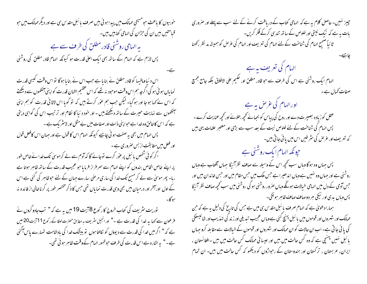خو بیوں کا باعث حومسیحی ممالک میں پیداہو ئی بیں صرف با ئبل مقد س ہی ہے اور دیگر ممالک میں حو قیاحتیں بیں ان کی حرِّ ان کی الہامی کتابیں بیں۔ بہ الہامی روشنی قادر مطلق کی طر**ف سے ہے** پس لازم ہے کہ الہام کے ساتھ بھی ایک اعلیٰ قدرت ہو کیونکہ الہام قادر مطلق کی روشنی اس د نبا ومافیہا کو قادر مطلق نے بنایا ہے جب اس نے بنایا ہوگا تو اس وقت کیسی قدرت نمایاں ہو ئی ہو کی اگرچہ ہم اس وقت موحبود نہ تھے کہ اس عظیم الشان قدرت کو اپنی آنکھوں سے دیکھتے کہ اس نے کہا ہو جا اور ہو گیا۔ لیکن جب ہم عوْر کرتے ہیں کہ تو گویا اس لاٹا فی قدرت کو ہم اپنی آنکھوں سے نہایت حبیرت کے ساتھ دیکھتے ہیں ۔ اور حود د نیا کا نظام اور تر تیب اس کی گواہی دیتی ہے کہ اس کا خالق وہ خداہے حبوا پنی ذات اور صفات میں بے مثل اور لائنٹر پک ہے۔ پس الہام میں بھی یہ صفت ہو نی چاہیے کیونکہ الہام اس کا قول ہے اور جہان اس کافعل قول اور فعل میں مطابقت از بس صروری ہے۔ اگر کوئی شخص یا ئبل پر عوٰر کرے توجانے گا کہ آدم سے لے کرموسیٰ تک خدا نے خاص طور پر اپنے خاص الخاص بندوں کو اپنے الہام سے سمر فراز فرمایا حبو عجیب قدرت کے ساتھ ظاہر ہوتا ہے رہا۔ پھر موسیٰ سے لے کر مسیح تک خدا کی ساری مرحنی سارے جہان کے لئے حبوظاہر کی گئی ہے اس کے اول اور آمخر اور درمیان میں بھی وہی قدرت نمایاں تھی جس کا ذکر مختصر طور پر کرنا خالی از فائدہ نہ مبوڪا. توریت سٹریف کی کتاب خروج کار کوع 18 بیت 19 میں یہ ہے کہ" تب جادو گروں نے فرعون سے کہا یہ خدا کی قدرت ہے ۔" اور انجیل سٹریف ہہ مطابق حصرت لوقا کے رکوع 11 آیت 20 میں ہے کہ " اگر میں خدا کی قدرت سے دیووَں کو کالتا ہوں تو بیٹنگ خدا کی بادشاہت تہارے پاس آگئی ہے۔" پہ اشارہ ہے اس قدرت کی طرف حبوظہور الہام کے وقت ظاہر ہو ئی تھی۔

چییز نہیں۔حاصل کلام یہ ہے کہ الہامی کتاب کے دریافت کرنے کے لئے سب سے پہلے اور صروری بات ہہ ہے کہ نیک نیتی اور خلوص کے ساتھ تند ہی کرکے فکر کریں۔ ثانیاً صحیح الہام کی شناخت کے لئے الہام کی تعریف اور الہام کی عرص کو ہمیشہ مد نظر رکھنا الہام کی تعریف یہ ہے<br>الہام ایک روشنی ہے اس کی طرف سے حبو قادر مطلق اور حکیم علی الاطلاق بلکہ جامع جمیع صفات کھال ہے۔ اورالہام کی غرص یہ ہے عقل کوزیادہ بصیرت دے اور روح کی پیاس کو بجیائے تحچھ بتلائے اور تحچھ عنایت کرے۔ پس الہام کی شناخت کے لئے خلوص نیت کے بعد سب سے بڑی اور معتبر علامات یہی بیں کہ تعریف اور عرص کی سٹر طیں اس میں پائی جاتی بیں۔ حپونکہ الہام ایک روشنی ہے پس حہاں وہ ہوگا وہاں سب تحچھ اس کے وسیلہ سے صاف نظر آئیگا جہاں آفتاب ہے وہاں روشنی ہے اور جہاں وہ نہیں ہے وہاں اندھیر اہے جس ملک میں جس مقام میں اور جس خاندان میں اور جس آدمی کے دل میں ا<sub>ل</sub>ہامی خی<u>الات ہونگے وہاں صرور رو</u>شنی ہو گی روشنی میں سب *کچھ ص*اف نظر آئیگا پس وہاں بدی اور نیکی ہر دوصاف صاف ظاہر ہو نگی۔ ہمارادعویٰ ہے کہ الہام صرف پائبل مقدس ہی میں ہے جس کی تاریخ کی دلیل یہ ہے کہ جن ممالک اور شہروں اور قوموں میں با ئبل پہنچ کئی ہےوہاں عجیب تبدیلی اورز ند کی تہذیب اور شائنیسٹکی کی یا ئی جا تی ہے۔ اب ان حالات کو ان ممالک اور شہروں اور قوموں کے خیالات سے مقابلہ کرو جہاں با ئبل نہیں پہنچی ہے کہ وہ کس حالت میں ہیں اور عیسا ئی ممالک کس حالت میں ہیں -افغانستان ، ایران، عربستان ، تر کستان اور ہندوستان کے رحواڑوں کو دیکھو کہ کس حالت میں بیں۔ ان تمام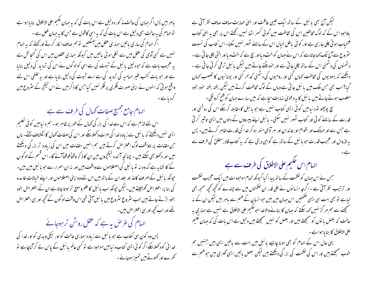پاہر بیں پس اگر جہان کی حالت مذ کور ہ دلیل ہے اس بات کی کہ یہ جہان حکیم علی الاطلاق بنا یا ہوا ہے توالہام کی بیہ حالت بھی دلیل ہے اس بات کی کہ بیہ اسی کاقول ہے جس کا بیہ جہان فعل ہے ۔ اگر الہام کی ساری باتیں ہماری عقل میں آسکتیں تو ہم صاف انکار کرتے اور کھتے کہ بہ الہام نہیں ہے کسی آدمی کی عقل میں سے لکلی ہوئی یا تیں بیں کیونکہ ہماری عقلوں میں اس کی گنجا ئش ہے یہ عجیب بات ہے کہ حودلیل پائبل کے شوت کی ہے اسی کولوگوں نے اس کی تردید کی دلیل بنایا ہے اور حبو بات کتب عنیر الہامیہ کی تردید کی ہے اسے شبوت کی دلیل بنایا ہے اور بہ علطی اس لئے واقع ہو تی کہ انہوں نے اپنی صورت فکری پر فکر نہیں کیا جس کا ذکر میں نے اس لیکچر کے سٹروع میں گردیاہے۔

الہام جامع جمیع صفات کھال کی طرف سے ہے

اس لئے لازم ہے کہ اس سے خدا کی بزر گی تھمال کے طور پر ظاہر ہو۔ ہم د نیا میں کو ٹی تعلیم ایسی نہیں دیکھتے کہ پائبل سے زیادہ خدا کی عزت دکھلاسکے اور اس کی صفات کھال کا انکشاف یخشہ پال حمِن مقامات پر ناواقف لوگ اعتراض کرتے ہیں ہم انہیں مقامات میں اس کی زیادہ تر بزر گی دیکھتے ہیں اور دکھلا بھی سکتے ہیں ۔ چنانچہ آئندہ لیکچروں میں ان کا ذکر وقتاً فوقتاً آئے گا۔ اس قسم کے لوگوں کے کا نشایہ ہے کہ وہ نہ تو پائبل کی اصطلاحوں سے واقف بیں اور نہ ان اسمرار سے حو یا ئبل میں بیں۔ حپونکہ یا ئبل کے صرف کاغذ اور جلد ان کے باتھ میں اس لئے وہ اپنی اصطلاحوں اور اپنے خیالات فاسدہ کی بنا پر اعتراض گھڑلیتے ہیں۔لیکن حپونکہ اب یا ئبل کا علم وسیع تر ہوتاجاتا ہے ان کے اعتراض حود بخود اڑتے جاتے ہیں جب سٹروع سٹروع میں بائبل آتی تھی اس وقت لوگوں کے کحچھ اور ہی اعتراض تھے اور اب کحچھ اور سی اعتراض ہیں۔

الہام کی عرص یہ ہے کہ عقل روسن تر ہوجائے پس وہ کون سی کتاب ہے حبو پائبل سے زیادہ ہماری حالت کو اور نیکی ویدی کو اور خدا کی خدا ئی کودکھلاسکے اگر کو ئی ایسی کتاب د نیامیں موحود ہے تو کسی عالم با ئبل کے پاس لے کرآناچاہے تو کھرے اور کھوٹے میں تمیز ہوجائے۔

لیکن آج بھی پائبل کے ساتھ ایک عنیبی طاقت اور انہیٰ حمایت صاف صاف نظر آقی ہے ماوحبود اس کے کہ لوگ مخالفین اس کی مخالفت میں کو ٹی کسر اٹھا نہیں رکھتے اس پر بھی بہ ا<sub>ل</sub>علٰ کتاب فتسحاب ہو تی چلی جارہی ہے اور کو ٹی پاطل خیال اس کے سامنے ٹھہر نہیں سکتا۔ اس کتاب کی نسبت سٹروع سے آج تک کہاجاتاہے کہ اس نے جہان کوالٹ دیااور سچ ہے کہ الٹ دیااور الٹی چلی جاتی ہے ۔ دشمنوں کی دشمنی اس کے ساتھ جلی جاتی ہے اور حود میُتے جاتے ہیں لیکن پائبل ترقی کرتی جاتی ہے ۔ دیکھئے کہ یہودیوں کی مخالفت کھاں گئی اور رومیوں کی دشمنی کدھر گئی اور یونا نیوں کا تعصب کھاں گیا؟ اب بھی حس ملک میں با ئبل جا تی ہے وہاں کے لوگ مخالفت کرتے ہیں لیکن رفتہ رفتہ حود بخود مغلوب ہوتے جاتے ہیں بائبل کا یہ دعویٰ نہایت سچاہے کہ میں سارے جہان کو فتیح کرونگی۔ سچ پوچھو نو د نیامیں کوئی ایسی ک<sub>تل</sub>ب نہیں ہے جو بائبل کامقابلہ کرکے اس کی روشنی اور قدرت کے سامنے کوئی اور کتاب ٹھہر نہیں سکتی۔ یا ئبل اپنے پیروؤں کے دلوں میں ایسی تاثیر کر ٹی ہے جس سے اور ممالک اور اقوام اور خاندان اور ہر آدمی منور ہو کر خدا کی قدرت ظاہر کرتے ہیں۔ پس پہ لازوال اور عمجیب قدرت حبو با ئىبل کے ساتھ ہے گواہی دیتی ہے کہ یہ کتاب قادر مطلق کی طرف سے

الہام اس حکیم علی الاطلاق کی طر**ف سے ہے** 

حس نے اس جہان کو حکمت کے ساتھ پیدا کیا کیونکہ تمام موحبودات میں ایک عجیب حکمت اور ترتیب نظر آقی ہے ۔ اگرچہ انسانوں نے علی قدر ان حکمتوں میں سے چندے کو کحچھ کحچھ سمجھ بھی لیاہے تو بھی بہت سی ایسی ضممتیں اس جہان میں بیں حوانسان کے فہم سے باہر بیں لیکن ان کے نہ ستمجھنے سے ہم ہر گز نہیں کہہ سکتے کہ جہان کا بنانے والاخدا حو حکیم علی الاطلاق ہے نہیں ہے ہماری یہ حالت کہ بعض یا توں کو سمجھتے بیں اور بعض کو نہیں سمجھتے ہیں دلیل ہے اس بات کی کہ حہان حکیم على الاطلاق كا بنا با ہوا ہے۔

یہی حال اس کے الہام کو بھی ہونا چاہیے بائبل میں بہت سے باتیں ایسی بیں جنہیں ہم حوب مسمجھتے ہیں اور اس کی حکمت کی بزر گی دیکھتے ہیں لیکن بعض باتیں ایسی گھری ہیں جو فہم سے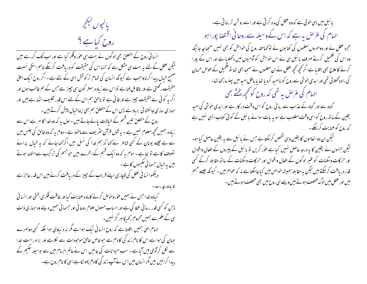

انسا فی روح کے متعلق بھی لوگوں نے بہت ہی عور وفکر کیا ہے اور اب تک کررہے ہیں لیکن عقل کے لئے یہ بہت ہی مشکل ہے کہ تنہا اس کی حقیقت کو دریافت کرسکے تاہم اسکی نسبت صبح خیال پیدا کرناواجب ہے کیونکہ انسان کی تمام ترکوشش اسی کے لئے ہے ۔اگر روح ایک اعلیٰ حقیقت رکھتی ہے اور ناقابل فنا ہے تواس سے زیادہ بہتر کون سی چیز ہے جس کے ہم طالب ہوں اور اگر یہ کوئی بے حقیقت حبیر ہے اور فانی ہے تو ناحق ہم اس کے لئے اس قدر تکلیف اٹھارہے ہیں اور ہماری ساری جا نفشا فی برباد ہے پس اس کے متعلق ہم بھی اپناخبال پیش کرتے ہیں ۔ روح کے متعلق تین قسم کے خیالات پائے جاتے ہیں - اول پہ کہ وہ خدا کا امر ہے اس سے زیادہ ہمیں کحچھ معلوم نہیں ہے - یہ قول قرآن سثریف سے ماحوذ ہے - دوم یہ کہ وہ خالق کی جنس میں سے ہے جیسے یونان کے کسی شاعر نے <sub>کھا</sub> کہ ہم خدا کی نسل بیں اگر <sub>ک</sub>ھا جائے کہ یہ خیال پرانے تصوف کا ہے تو بجا ہے ۔ سوم یہ کہ وہ ایک قسم کے ابخرے بیں حبوحبھم کی تر کیب سے متولد ہوتے بیں ہرخیال حسمانی حکیموں کا ہے۔ دیکھوانسانی عقل کی لاچاری اپنے قریب کے چیز کے دریافت کرنے میں اس قدر عاجز ہے

تا بدورجه رسد-

کیاوہ خدا جس نے ہمیں عوٰر وحوص کرنے کامادہ عنایت کیااور طاقت فکر ی بخشی اور انسا فی ذہن کو کسی قدر رسا ئی عطا کی ہے اور اسباب حصول علوم روحا نی اور حسما فی ہمیں دیئے وہ ہماری ذات ہی کے علم سے ہمیں محروم رکھیگا ہر گز نہیں۔ الہام الهیٰ ہمیں بتلاتا ہے کہ روح انسانی ایک ہوا ہے مگر نہ دیناوی ہوا بلکہ کسی دوسرے جہان کی ہوا ہے اس کا نام زند گی کا دم ہے حوفاص خالق موحودات سے لکلاہے اور براہ راست خدا سے نکل کرآدمی میں آیا ہے ۔سب حیوانات کی جانیں اس نے عالم احسام میں سے بوسیلہ حکیم کے پیدا کرائیں بیں مگرا نسان میں اس نے آپ زندگی کا دم پھولکا ہے اسی کا نام روح ہے۔

بائبل میں یہی حوثی ہے کہ وہ عقل کی مدد کرتی ہے اور اسے روشن تر بنا تی ہے۔ الہام کی غرض یہ ہے کہ اس کے وسیلہ سے روحانی اقتصا پورا ہو مجرد عقل نے اور دوسمروں معلموں کی کتابوں نے تو کماحقہ روح کی حواہش کو بھی نہیں سمحیا جہ جا ئیکہ وہ اس کی تکمیل کرتے صرف پائبل ہی نے اس خواہش کو آدمیوں میں دکھلایا ہے اور اس کے پورا کرنے کا علاج بھی بتلایا ہے اگر کچھ کچھ عقل نے ان معلموں نے سمجیا بھی تنا او تکمیل کے عوص حرمان کی راہ دکھلائی تھی اور ایدی خوشی سے روح کو ناامید کردیا تھا یا باطل امید میں پہنسارکھا تھا۔ الہام کی عرص یہ تھی کہ روح کو کحچھ بختے بھی گناہ سے اور گناہ کے عذاب سے رہا ئی روح کو اس وقت در کار ہے اور ایدی حوشی کی امید یقین کےساتھ روح کواسی وقت مطلوب ہے سو یہ بات سوائے بائبل کے کوئی کتاب ایسی نہیں ہے کہ روح کوعنایت کرکیے۔ لیکن ان دو ا نعاموں کا یقین وہی شخص کرسکتا ہے جس نے با سَبل سے یہ یقین حاصل کیا ہو۔ لیکن جنہوں نے یقین کا ہہ درجہ حاصل نہیں کیاہے عوْر کریں تو یا ئبل کے پیروں کے افعال واقوال اور حرکات وسکنات کو عنیر لوگوں کے افعال واقوال اور حرکات وسکنات کے ساتھ مقابلہ کرکے کسی قدر دریافت کرسکتے ہیں لیکن یہ مقابلہ ہمیشہ خواص میں کیاجاسکتا ہے نہ کہ عوام میں - کیونکہ جیسے جسم میں اور عقل میں لوگ مختلف ہوتے ہیں ویسے ہی روح میں بھی مختلف ہوتے ہیں۔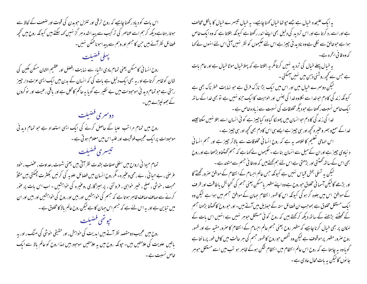اس بات کو دیاد رکھنا چاہیے کہ روح ترقی اور تنزل حوبدن کی قوت اور ضعف کے لحاظ سے ہوتارہتاہے دیکھ کرہم اسے عناصر کی ترکیب سے پیداشدہ مبر گز نہیں کہہ سکتے ہیں کیونکہ روح میں کحچھ فضائل نظر آئے ہیں حن کا حبسم اور وہم سے پیدا ہوناممکن نہیں۔ يهلى فضيلت

روح انسا فی کامسکن یعنی تمام مادی اشباء سے نہایت افصل اور عظیم الشان مسکن مکین کی شان کوظاہر کرتاہے اور ہہ بھی ایک دلیل ہے بات کی کہ انسان کے بدن میں ایک ایسی عزت دار جپیز رہتی ہے حو تمام دید فی موحودات میں بے نظیر ہے گویا ہہ حاکم کامحل ہے اور باقی رعیت اور نوکروں کے جھونیڑے ہیں۔

دوسري فضيلت روح میں تمام مراتب علیا کے حاصل کرنے کی ایک ایسی استعداد ہے جو تمام دید فی موحبودات پرایک عمجیب فوقیت اور غلبہاس میں معلوم ہو تی ہے ۔ تيسري فضيلت

تمام حیوانی ارواح میں سفلی صفات بشدت نظر آتی بیں یعنی شہوت ،عداوت ، عضب ، حود عرُ حنی ، بے حیا ئی ، بے رحمی وعنیر ہ- مگر روح انسان میں فصائل علویہ کی کرنیں بکثرت حِبِمکتی ہیں مثلاً محبت ، حوشی ، صلح ، خیبر حوابی ، فروتنی ، پر ہمیرْ گاری ،وعنیرہ کی حواہشیں ۔ اب اس بات پر عور کرنے سے صاف صاف ظاہر ہوتا ہے کہ جسم کی حواہشیں اور ہیں اور روح کی حواہشیں اور ہیں اور ان میں تباین ہے اور یہ اس لئے ہے کہ جسم اس جہان کا ہے لیکن روح عالم بالا کامخلوق ہے ۔ حيو تھی فضیلت

روح میں عجیب دومقصد نظر آتے ہیں ابدیت کی حواہش، اور حقیقی حوشی کی امنگ، اور بہ باتیں علویت کی علامتیں ہیں۔ حیونکہ روح میں یہ علامتیں موجود بیں لہذا روح کو عالم بالا سے ایک خاص نسبت ہے۔

یہ ایک علیحدہ خیال ہے جسے جوتھاخیال کھنا چاہیے۔ یہ خیال تبیسرے خیال کا بالکل مخالف ہے اور اسے رد کرتا ہے اور اس تردید کی دلیل بھی اپنے اندر رکھتا ہے کیونکہ بتلاتا ہے کہ وہ ایک خاص ہوا ہے حوخالق سے لکلی ہے وہ نادید فی جیپز ہے اس لئے حکیموں کو نظر نہیں آئی اس لئے انہوں نے کہا کہ وہ فا ٹی ابخرہ ہے۔ پہ خیال پہلے خیال کی تردید نہیں کرتامگر یہ بتلاتا ہے کہ پہلاخیال موٹا خیال ہے اور عام بات ہے جس سے کحچھ روشنی ذہن میں نہیں آسکتی ۔ لیکن دوسرے خیال میں اور اس میں ایک بڑا نازک فرق ہے جو نہایت خطر ناک بھی ہے کیونکہ زند گی کا دم حوخداسے لکلاوہ خدا کی جنس اور الوہیت کا ایک حزو نہیں ہے تو بھی خدا کے ساتھ ا یک خاص نسبت رکھتاہے حبود یگر مخلوقات کی نسبت سے زیادہ خاص ہے ۔ خدا کی زند گی کا دم حوا نسان میں پھورُکا گیاوہ کیاچیز ہے کو ئی انسان اسے بتلا نہیں سکتا جیسے خدا کے سمع و بصر وعنیرہ کچھ اور ہی چیز ہے ایسے ہی اس کا دم بھی کحچھ اور ہی چیز ہے ۔ اس الہامی تعلیم کا خلاصہ یہ ہے کہ روح انسانی مخلوقات سے بالاتر جییز ہے اور جسم انسانی د نیاوی جیپز ہے اور ان کے میل سے انسان بنا ہے ۔ حکیموں نے کہا ہے کہ جسم گھنٹتاو بڑھتا ہے اور روح بھی اس کے ساتھ تھنٹتی اور بڑھتی ہے اس لئے ہم کھتے ہیں کہ وہ فا فی جسم سے متولد ہے ۔ لیکن یہ تسلی بخش قباس نہیں ہے کیونکہ جس عالم احسام کے انتظام کے موافق صرور تھٹے گا اور بڑھے گالیکن آسما فی مخلوق حبوروح ہے وہ اپنے مظہر پامسکن یعنی حبہم کی گنجائش باطاقت اور ظرف کے موافق اس میں جلوہ گر ہو گی کیونکہ اس کا ظہور انتظام جہان کے موافق جسم میں ہوا ہے لیکن وہ ایک مستقل مخلوق ہے بموجب ان فضائل ستہ کے حوذیل میں آتے ہیں۔ اور حوروح کا گھٹتا بڑھنا جسم کے گھٹنے بڑھنے کے ساتھ دیکھ کرکھتے ہیں کہ روح کوئی مستقل حوہر نہیں ہے انہیں اس بات کے امکان پر بھی خیال کرنا چاہیے کہ مظہر روح یعنی جسم عالم احسام کے انتظام کا صرور مقید ہے اور ظہور روح صرور مظہر پر موقوف ہے لیکن وہ شخص حوروح کا ظہور جسم کی ہر حالت میں کامل طور پر ما نتا ہے گویا وہ بہ چاہتا ہے کہ روح اس عالم انتظام میں انتظام شکن ہوکے ظاہر ہو تب میں اسے مستقل حوہر جا نوں گالیکن یہ بات محال عادی ہے ۔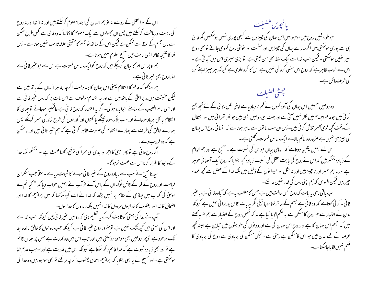اس کے سواعقل کے رو سے نہ تو ہم انسان کی ابتدامعلوم کرسکتے ہیں اور نہ انتہا اور نہ روح کی ماہمیت دریافت کرسکتے ہیں پس ان مجہولوں سے ایک معلوم کا کالنا کہ وہ فا ٹی ہے کس طرح ممکن ہے ہاں جسم کے علاقہ سے ممکن ہے لیکن اس کے ساتھ نو جسم کا حقیقی علاقہ ثابت نہیں ہوتا ہے - پس فنا کا نتیجہ لکالنا ایسی حالت میں صحیح معلوم نہیں ہوتا ہے۔ ہم اوپر اس امر کا ببان کر چکے ہیں کہ روح کوایک خاص نسبت ہے اس سے حو عنیر فا فی ہے لہذاروح بھی عنبر فائی ہے۔ پھر دیکھو کہ عالم کا انتظام یعنی اس حِہان کا بندوبست اگرچہ بظاہر انسان کے باتھ میں ہے لیکن حقیقت میں مدبر اعلیٰ کے باتھ میں ہے اور یہ انتظام موقوف ہے اس بات پر کہ روح عنیر فا فی ہے اور اسی عالم الغیب کے سامنے حبوا مدہ ہو گی۔ اگر بہ اعتقاد کہ روح فا ٹی ہے عالمگیر ہوجائے تو حہان کا انتظام بالکل برباد ہوجائے اور سب ہلاک ہوجائینگے پا کتوں اور گدھوں کی طرح زند گی بسر کرینگے پس سمارے خالق کی طرف سے ہمارے انتظام کی صورت ظاہر کرتی ہے کہ ہم عنیر فانی بیں اور ناممکن ہے کہ وہ فریب دے۔ اگر روح فا فی ہے تو پھر نیکی کااحراور بدی کی سمزا کی توقع رکھناعبث ہے اور منتظم بلکہ خدا کےوحبود کااقرار کرنااس سے عبث تر ہوگا۔ سبد نامسج نے سب سے زیادہ روح کے عنیر فانی ہونے کا شبوت دیا ہے۔مثلاً حب منکر ان قیامت اور روح کے فنا کے قائل لوگ ان کے پاس آئے توآپ نے انہیں حواب دیا کہ " کیا تم نے موسیٰ کی کتاب میں حیاڑی کے مقام پر نہیں پڑھا کہ خدا نے اسے کیونکر کہا کہ میں ابراہیم کا خدا اور اضحاق کاخدااور یعقوب کاخداہوں مردول کاخدا نہیں بلکہ زندوں کاخداہوں۔ ۔ آپ نے خدا کی ہستی کو ثابت کرکے یہ تعلیم دی کہ روحیں عنیر فا فی بیں کیونکہ جب خداہے اور اس کی ہستی میں تحچیہ شک نہیں ہے تو صرور روح عنیر فانی ہے کیونکہ جب روحوں کا خالق زندہ اید تک موحود ہے تو پھر روحیں بھی موحود ہوسکتی ہیں اور حب اس میں وہ قدرت ہے جس پر حہان قائم ہے تواور بھی زیادہ شبوت ہے کہ خدا قائم رکھ سکتا ہے کیونکہ اس میں قدرت ہے اور موجب عدم فنا ہوسکتی ہے ۔ اور مسیح نے یہ بھی بتلایا کہ ابراہیم اسحاق یعقوب اگر چہ مرگئے تو بھی موحبود ہیں وہ خدا کی

يانجويں فضيلت حوحواہشیں روح میں موحود بیں اس حہان کی چیزوں سے کبھی پوری نہیں ہوسکتیں مگر خالق ہی سے پوری ہوسکتی ہیں اگر سارے حہان کی چیزیں اور حشمت اور خوشی روح کودی جائے تو بھی روح سپر نہیں ہوسکتی ۔لیکن حب خدا سے ایک لفظ بھی سن لیتی ہے ۔نو بڑی سپری اس میں آجا تی ہے۔ اس سے حوب ظاہر ہے کہ روح اس سفلی کرہ کی نہیں ہے اس کا کرہ علوی ہے کیونکہ ہر جیبز اپنے کرہ کی طر**ف ما**ئل ہے۔

وہ روحیں جنہیں اس جہان کی آلود گیوں نے تھم تردیادیا ہے اپنی نقل مکانی کے لئے تحچھ جمع کے وقت کچھ قوی آئمبر تلاش کر تی ہیں۔ پس ان سب با توں سے ظاہر ہوتا ہے کہ انسا فی روح اس جہان کی چیز ہی نہیں ہے صروروہ عالم بالاسے ایک خاص نسبت رکھتی ہے ۔

حجفظي فضبلت

اس لئے ہمیں یقین ہوتاہے کہ الہامی بیان حواس کی نسبت ہے۔صحیح ہے اور ہم الہام کے زیادہ متشکر بیں کہ اس نے روح کی بابت عقل کی نسبت زیادہ تحچہ بتلایا کہ روح ایک آسما فی حوسر ہے اور نہ ہم حقیر اور نا حبیر ٰ بیں اور نہ مثل اور حیوا نوں کے ذلیل بیں بلکہ خدا کے فصل سے تحجیہ عمدہ چییز ہیں لیکن افسوس کہ ہم اپنی روح کی قدر نہیں جانتے۔

اب باقی رہی ہہ بات کہ روح کس حالت میں ہے جس کامطلب ہیرہے کہ آیاوہ فا ٹی ہے یاعنیر فا نی ۔ کوئی کھتاہے کہ وہ فا نی ہے جسم کے ساتھ فنا ہوجا ٹیگی مگر یہ بات قابل یذیرا ئی نہیں ہے کیونکہ بدن کے اعتبار سے حوروح کامسکن ہے یہ صحم لگایا گیا ہے نہ کہ نفس روح کے اعتبار سے ہم تو بہ کھتے ہیں کہ جسم اس جہان کا ہے اورروح اس جہان کی ہے اور دو نوں کی حواہشوں میں تباین ہے البتہ تحجیہ عرصہ کے لئے بدن میں حواس کامسکن ہے رہتی ہے - لیکن مسکن کی بربادی سے روح کی بربادی کا حکم نہیں لگا ماجاسکتا ہے۔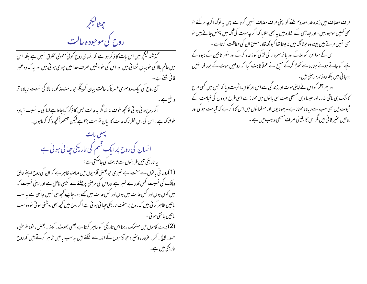حيططا ليكججر روح کی موحوده حالت

گذشتہ کیکچر میں اس بات کا ذکر ہوا ہے کہ انسانی روح کوئی معمولی مخلوق نہیں ہے بلکہ اس میں عالم بالا کی خوبیاں ٹرُطا تی بیں اور اس کی خواہشیں صرف خدامیں پوری ہو تی بیں اور یہ کہ وہ عنیر فائی شئے ہے ۔ ۔<br>آج روح کی ایک دوسمری خطرناک حالت بیان کرینگے حوحالت مذکورہ بالا کی نسبت زیادہ تر واضح ہے۔ ۔<br>اگر روح فانی ہو تی تو کحچھ خوف نہ تعامگر یہ حالت حس کا ذکر کیاجاتا ہے فنا کی ہہ نسبت زیادہ<br>خوفناک ہے۔اس کی اس خطر ناک حالت کا بیان تو بہت بڑاہے لیکن مختصر اَکحچھ ذکر کرتاہوں۔ پہلی بات ا نسان کی روح پرایک فسم کی تاریکی جیا ئی ہوئی ہے بہ تاریکی تین طریقوں سے ثابت کی جاسکتی ہے : (1)روحا فی یا نوں سے سخت بے خسری حبو بعض آدمیوں میں صاف ظاہر ہے کہ ان کی روح اپنے خالق ومالک کی نسبت کس قدر بے خبر ہے اوراس کی مرحنی پر چلنے سے کیسی عافل ہے اور اپنی نسبت کہ میں کون ہوں اور کس حالت میں ہوں اور کس حالت میں مجھے ہو ناچاہیے تحجیہ ہی نہیں جانتی ہے یہ سب باتیں ظاہر کرتی ہیں کہ روح پر سخت تاریکی جیا ئی ہوئی ہے اگر روح میں کحچہ بھی روشنی ہوتی تووہ سب ياتيں جا نتي ہو تي ۔ (2) برے کاموں میں منہمک رہنا اس تاریخی کوظاہر کرتا ہے یعنی جھوٹ، کینہ ، بغض، خود عرضی، حسد ،الالچ ، کفر ، عرور ، وعنیرہ حوآدمیوں کے اندر سے لُکلتے ہیں یہ سب باتیں ظاہر کرتے ہیں کہ روح یل یکی میں ہے۔

طرف مضاف بیں زندہ خدامعدوم شئے کواپنی طرف مضاف نہیں کرتا ہے پس پہ لوگ اگرچہ مرکئے تو بھی کھمیں موحبود بیں۔اور حباڑی کے اشارہ میں یہ بھی بتلایا کہ اگر جہ موت کی آگ میں پھنس جاتے ہیں تو بھی نہیں مرتے ہیں جیسےوہ بوٹاآگ میں نہ جلتا تھا کیونکہ قادر مطلق ان کی حفاظت کرتاہے۔ اس کے سوالعزر کو جلاکے اور پا ئر سمردار کی لڑکی کو زندہ کرکے اور شہر نائین کے بیوہ کے یچے کو جاتے ہوئے جنازہ سے کھڑا کرکے مسیح نے عملاً ثابت کیا کہ روحیں موت کے بعد فنا نہیں ہوجا تی ہیں بلکہ وہ زندہ رہتی ہیں۔ اور پھر آخر کو اس نے اپنی موت اور زندگی سے اس امر کا ایسا ثبوت دیا کہ جس میں کسی طرح کاشک ہی باقی نہ رہا اور جیسا دین مسیحی بہت سی با توں میں ممتاز ہے اسی طرح مردوں کی قیامت کے ثبوت میں بھی سب سے زیادہ ممتاز ہے - یہودیوں اور مسلما نوں میں اس کا ذکر ہے کہ قیامت ہو گی اور روحیں عنیر فانی بیں مگراس کا یقینی صرف مسیحی مذہب میں ہے ۔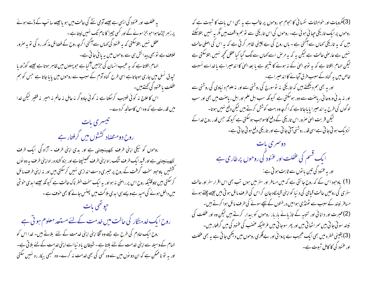یہ عنفلت اور عنود کی ایسی ہے جیسے آدمی نئے کی حالت میں ہو یاجیسے سا سپ کے ڈسے ہوئے پر زہر چڑھاہواحو بجزسونے کے اور کسی چیز کا نام تک نہیں لپتاہے ۔ عقل نہیں بتلاسکتی کہ یہ عنود گی <sub>ک</sub>ماں سے آگئی اگرج<sub>ی</sub>روح کے فضائل مذ کور رہ کی تو بہ صرور خلاف ہے تو بھی پیدائش ہی سے روحوں میں یہ یا ئی جاتی ہے۔ الہام بتلاتاہے کہ یہ عیب انسان کی حرِّمیں آگیاہے حبو پہلوں میں ظاہر ہوتاہے جیسے کوڑھ یا تیدق نسل میں جاری ہوجاتاہے اسی طرح گناہ آدم کے سبب سے روحوں میں یا ماجاتا ہے جس کو ہم عفلت یاعنود کی تھتے ہیں۔ اس کا علاج نہ کوئی طبیب کرسکتا ہے نہ کوئی جادوگر نہ عامل نہ عالم نہ امیر نہ فقیر لیکن خدا میں قدرت ہے کہ وہ اس کامعالحہ کردے۔ تيسري بات روح دومتضاد کششوں میں گرفتار ہے روحوں کو نیکی اپنی طرف کے پینچتنی ہے اور بدی اپنی طرف - آزاد کی ایک طرف کے پینچتنی ہے اور قید ایک طرف تنگ راہ اپنی طرف تھینیچتاہے اور بزو کشادہ راہ اپنی طرف بہ دو نوں گششیں یاوجود سخت گرفت کے روح پر حبیری دست اندازی نہیں کرسکتی بیں اور نہ اپنی طرف مائل کرسکتی ہیں ت**اوقتیکہ** روح اس پر راصی نہ ہواور یہ ایک سخت خطر ناک حالت ہے کیونکہ جیسے ایدی حنوشی میں داخل ہونے کی امید ہے ویسے ہی ابدی ہلاکت میں پینس جانے کا بھی حوف ہے ۔ روح ایک خدمتگار کی حالت میں خدمت کے لئے مستعد معلوم ہو تی ہے روح ایک خادم کی طرح ہے جسے وہ آقا اپنی اپنی خدمت کے لئے بلاتے ہیں۔ خدا اس کو الہام کے وسیلہ سے اپنی خدمت کے لئے بلاتا ہے۔شیطان یاد نیا اسے اپنی خدمت کے لئے بلائی ہے۔ اور پہ تو ناممکن ہے کہ ان دو نوں میں سے وہ کسی کی بھی خدمت نہ کرے- وہ کبھی بیکار رہ نہیں سکتی

(3)مگروبات اور خواہشات نفسانی کا ہجوم حبوروحوں پر غالب ہے یہ بھی اس بات کا شبوت ہے کہ روحوں پر ایک تاریکی حیا ئی ہوئی ہے۔ روحوں کی اس تاریکی سے تو ہم واقف ہیں مگر یہ نہیں بتلاسکتے بیں کہ یہ تاریخی کھاں سے آگئی ہے - باں روح کی بے چینی ظاہر کرتی ہے کہ یہ اس کی اصلی حالت نہیں ہے عارضی حالت ہے لیکن ہہ کہ بہ مرض اسے کہاں سے لگ گیا کیا عقل کحچھ نہیں بتلاسکتی ہے لیکن الہام بتلاتا ہے کہ یہ توجہ اللی کے نہ ہونے کا نتیجہ ہے یا بعد اللیٰ کا اندھیرا ہے یا خداسے نسبت خاص میں بہ گناہ کے سبب فرق آجائے کا اندھیراہے۔ اور ہہ بھی ہم دیکھتے ہیں کہ تاریکی یہ توسورج کی روشنی سے اور یہ علوم د نیاوی کی روشنی سے اور نہ ید فی وروحا فی ریاصنت سے دور ہوسکتی ہے کیونکہ سب اہل علم اور اہل ریاصنت میں بھی اور سب لوگوں کی طرح پہ اندھیرا پایاجاتاہے کہ اگرچہ وہ بہت کوشش کرتے ہیں لیکن دفع نہیں ہوتا۔ لیکن قربت الہیٰ صرور اس تاریکی کے دفع کاموجب ہوسکتی ہے کیونکہ حس قدر روح فدا کے نزدیک ہو تی جاتی ہے اسی قدر روشنی آتی جاتی ہے اور تاریخی دفع ہو تی جاتی ہے۔

دوسم ی بات ایک قسم کی عفلت اور عنود گی روحوں پر طاری ہے اور بہ عنود کی تین یا توں سے ثابت ہو تی ہے: (1) یاوحبود اس کے کہ روح جانتی ہے کہ میں مسافر اور سفر میں ہوں تب بھی اس اقرار سفر اور حالت سفری کی روحیں حالت قبامی کی دنیا کو اپنی قبامگاہ جان کر اس کی طرف مائل ہو تی ہیں جیسے چلتے ہوئے مسافر نیند کے سبب سے ٹھنڈی ہوامیں درختوں کے نیچے سونے کی طرف مائل ہوا کرتے بیں۔ (2)عبرت اور دانا ئی اور تنبیہ کے تازیانے بار بار روحوں کو بیدار کرتے ہیں لیکن وہ اور عفلت کی نیند سو ٹی جا ٹی بیں سمر اٹھا تی بیں اور پھر سوجا تی بیں عرصیکہ عضب کی عنود کی میں گرفتار بیں۔ (3) یقینی خطرہ میں بھی ایک عجیب بے پروا ئی اور بےفکری روحوں میں دیکھی جا تی ہے یہ بھی عفلت اور غنود کی کا کامل شوت ہے۔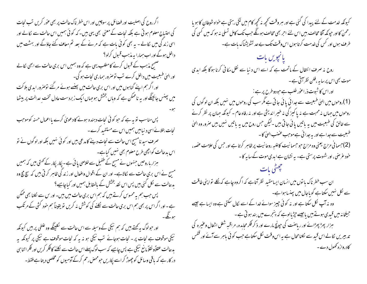اگر روح کی اصلیت اور فضائل پر سوچیں اور اس خطر ناک حالت پر بھی عوْر کریں تب نجات کی احتیاج معلوم ہو تی ہے بلکہ نحات کے معنی بھی یہی بیں۔کہ کو ئی ہمیں اس حالت سے نکالے اور اسی زند کی میں لکالے - یہ بھی کوئی بات ہے کہ مرنے کے بعد تم معاف کئے جاؤگے اور بہشت میں ۔ داخل ہوگے اور اب ہمارا بہ مذہب قبول کرلو؟ صحیح مذہب کے قبول کرنے کا مطلب یہی ہے کہ وہ ہمیں اس بری حالت سے ابھی لکالے اور الهیٰ طبعیت میں داخل کرے تب تو صرور ہماری نحات ہو گی۔ اور اگر ہم اپنے گناہوں میں اور اس بری حالت میں پہنسے ہوئے مرگئے توصرور ایدی ہلاکت میں پجنس جائینگے اور بہ ناممکن ہے کہ وباں بخش ہو جہاں ایک زبردست عادل تخت عدالت پر بیٹھا پس مناسب تو پہ ہے کہ حو کوئی نجات دہندہ ہونے کا دعویٰ کرے پااعمال حسنہ کوموجب نجات بتلائے اسی د نیامیں ہمیں اس سے مستفید کرے۔ صرف سید نامسیح اس حالت سے نجات دینے کا مدعی بیں اور کو ئی نہیں بلکہ اور لوگوں نے تو اس بدحالت کواچھی طرح معلوم بھی نہیں کیاہے۔ ہزار باروحیں جنہوں نے مسیح کے طفیل سے خلاصی یا ئی ہے - پکار پکار کے تحتی ہیں کہ ہمیں مسیح نے اس بری حالت سے کالاہے۔ اور ان کے اقوال وافعال اور زند کی ظاہر کر تی بیں کہ سچ مچ وہ بدحالت سے لکل کئی بیں پس اس نقد بخشش کے بالمقابل ہمیں اور کیا چاہیے؟ پس جب ہم یہ محسوس کرتے ہیں کہ ہم اس بری حالت میں ہیں۔ اور س سے لکنا بھی ممکن ہے۔اور اگر اس پر بھی ہم اس بری حالت سے لکلنے کی کوشش نہ کریں تو یقیناً ہم خود کشی کے مرتکب اور حبولوگ بہ کچتے ہیں کہ ہم نیکی کے وسیلہ سے اس حالت سے لکلینگے وہ علطی پر ہیں کیونکہ نیکی موقوف ہے نجات پر - نجات ہوجائے تب نیکی ہو نہ یہ کہ نجات موقوف ہے نیکی پر کیونکہ یہ ید حالت عقلاًو نقلاً مانع نیکی ہے پس چاہیے کہ سب لوگ پہلے اس حالت سے نکلنے کا فکر کریں اور فکر اتنا ہی در کار ہے کہ باقی وسائل کو چھوڑ کر اسے پکاریں حومحص رحم کرکے آدمیوں کو مخلصی دیتا ہے فقط۔

کیونکہ خدمت کے لئے پیدا کی گئی ہے اور ہر وقت کحچھ نہ کحچھ کام میں لگی رہتی ہے خواہ شبطان کا ہو یا رحمنٰ کا اور حیونکہ آقا مخالف بیں اس لئے احر بھی مخالف ہوگگے جب تک کامل تسلی نہ ہو کہ میں کسی کی طرف ہوں اور کس کی خدمت کرتا ہوں اس وقت تک بے حد تشویشناک بات ہے۔ یانچویں بات روح نہ صرف انتقال کے ماتحت ہے کہ اسے اس د نبا سے نقل مکانی کرنا ہوگا بلکہ ابدی موت بھی اس پر سا ہہ ،فلن نظر آتی ہے ۔ اور اس کا شوت ذراعور طلب ہے حبودوطرح پر ہے : (1)روحوں میں ایپٰ طبعیت سے جدا ئی یا ئی جا تی ہے مگر سب کی روحوں میں نہیں بلکہ ان لو گوں کی روحوں میں جہاں نہ محبت ہے نہ یا کیز کی نہ خیبر اندیشی ہے اور نہ رفاہ عام - کیونکہ حہان پر نظر کرنے سے خالق کی طبعیت میں یہ باتیں یا ئی جاتی ہیں ۔لیکن حس روح میں یہ باتیں نہیں بیں صرور وہ الہیٰ طبعیت سے جدا ہے اور یہ جدائی ہے موجب عضنب الهیٰ کا -(2)حسما فی مزاج یعنی وہ مزاج حبوحسما نہت کاعلیہ روحا نہت پر ظاہر کرتا ہے اور حس کی علامت عصبہ، خود عرضی ، اور شہوت پرستی ہے۔ یہ نشان ہے ابدی موت کے سا یہ کا ۔ ، بات ان سب خطر ناک با نوں میں انسان ایسامقید نظر آتاہے کہ اگروہ چاہے کہ نکلے نواپنی طاقت سے نکل نہیں سکتاہے گویاجال میں پچنسا ہواہے۔ وہ نہ آپ لکل سکتا ہے اور نہ کوئی جیپز سوائے خدا کے اسے لکال سکتی ہے وہ ایسا ہے جیسے جبلخانہ میں قبیدی ہوتے ہیں یاجیسے حپڑیالوہے کہ ہنیجرے میں بند ہوتی ہے۔ ہزار پھڑ بپر انے اور ریاصت کی ح<u>بو</u>نچ مارے اور ذکر فکر مجاہدہ، مراقبہ شغل اشغال وعنیرہ کی تدبیریں کالے اس قید سے لکلنامحال ہے یہ اس وقت لکل سکتاہے جب کوئی باہر سے آئے اور ففس کادروازہ کھول دے۔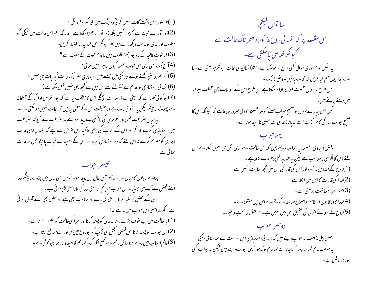(1)حو تلوار اس وقت کاٹ نہیں کر تی وہ جنگ میں کیونکر کام دیگی ؟ (2)زور آور کے قبصنہ سے کھرور نہیں بلکہ زور آور تر چھڑا سکتا ہے - حالانکہ ہم اس حالت میں نیکی کو مغلوب اور بدی کوغالب دیکھ رہے ہیں پھر کیونکر اس عندیہ پراختیار کریں۔ (3) کیا قوت غالبہ کے ماوجود ہم مغلوب بیں یاعدم قوت کے سبب سے ؟ (4)آج تک کسی آدمی میں قوت مخفیہ کیوں ظاہر نہیں ہوئی؟ (5)اگر ہم روشنی رکھتے ہوئے <sub>تار</sub>یکی میں پہنے ہیں توہماری خطرناک حالت کحچھ بات ہی نہیں ؟ (6)انسا فی راستیازی کالعد م ہے ٹٹولنے سے اس میں سے تحچھ بھی تنہیں نکل سکتا ہے؟ (7)حو کوئی کھتاہے کہ نیکی کے ذریعہ سے بچینگے اس کامطلب ہیہ ہے کہ پورا قرص ادا کرکے جیلخانہ سے چھوٹ جائینگے لیکن یہ انہو نی بات ہے درحقیقت اس کے معنی یہ ہیں کہ نجات نہیں ہوسکتی ہے ۔ پہ خیال سٹریعت قلبی اور تحریری کی نافہمی سے پیدا ہوا ہے نہ سٹریعت سے کیونکہ سٹریعت میں راستیازی کرنے کا ذکر اور اس کے کرنے کی بڑی تاکید اس غرص سے ہے کہ انسان اپنی حالت لاچاری کومعلوم کرے نہ اس لئے کہ وہ راستیازی کریگا اور اس کےوسیلہ سے نجات پائیگا پس وہ حالت نمائی ہے۔

## تنبيسرا حواب

پرانے جاہلوں کاخیال ہے کہ ہم جس حال میں پیدا ہوئے بیں اسی حال میں پڑے رہینگے خدا اپنے فصل سے آپ ہی نکالیگا۔اس حبواب میں تحچیہ راستی اور تحچیہ ناراستی ملی ہو ئی ہے ۔ خالق کے فصل پر تکیہ کرنا راستی کی بات اور مناسب بھی ہے اور عقل بھی اسے قبول کر تی ہے۔مگر ناراستی اس حواب میں یہ ہے کہ :-(1) بد حالت میں بے خوف پڑے رہنا بدحالی کو پسند کرنااور سمزا کی حالت کو حقیر سمجھنا ہے ۔ (2)اس حبواب کو پسند کرنااس فصلی کشش کی تڑپ کوحبوروح میں مر کوز ہے مند فع کرتاہے ۔ (3)عالم اسیاب میں رہے کروسائل رحم سے قطع نظر کرکے رحم کا امید وار رہنا بیوقوفی ہے ۔

سا تواں کیکج ِ اس مقصد پر کہ انسانی روح مذکور ہ خطر ناک حالت سے کیونکر خلاصی پاسکتی ہے۔ یہ مشکل اور صروری سوال کئی طرح ادا ہوسکتا ہے ۔مثلاًا نسان کی نجات کیونکر ہوسکتی ہے ۔ پا اے ہعائیوں ہم کیا کریں کہ نجات پائیں-وعنیر ذالک۔ حس طرح میہ سوال مختلف طور پر ادا ہوسکتا ہے اسی طرح اس کے حوایات بھی مختلف پیرا بہ میں دیئے جاتے ہیں۔ لیکن اس پیارے سوال کا صحیح حواب سننے کو ہر عقلمند کا دل صرور چاہتاہے کہ کیونکہ اس کا صحیح حبواب زند گی کامر کز ہے اسے مذیاناز ند گی سے مطلق ناامید ہونا ہے۔ يهلاحواب بعض د نیاوی عقلمند یہ حواب دیتے ہیں کہ اس حالت سے آدمی لکل ہی نہیں سکتا ہے اس لئے اس کافکر ہی نامناسب ہے لیکن بہ عند بہ کئی وحوہ سے غلط ہے ۔ (1)روح کے فضائل مذکورہ اور اس کی قدر کی اس میں تحچیہ رعایت ہنیں ہے ۔ (2)خدا کی قدرت کااس میں انکار ہے ۔ (3) سراسر حسمانیت پرمبنی ہے۔ (4)خدا کاوہ قا نون انتظام حبواصلاح مفاسد کے لئے ہے اس میں مفقود ہے ۔ (5)روح کے تمنائے خوشی کی تکمیل اس میں نہیں ہے ۔ حبوعقلاً ناجا ئز ہےوعنیرہ۔ دوسم احواب بعض اہل مذاہب ہہ جواب دیتے ہیں کہ انسا فی راستیازی اس کوموت کے بعد رہا ئی دیگی۔ پہ حبواب عام طور پر پسند کیاجاتا ہے اور عام لوگ فوراً یہی حبواب دیتے ہیں لیکن پہ حبواب کئی طور پر پاطل ہے۔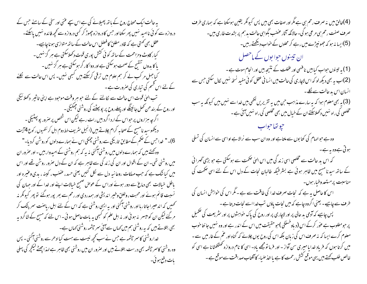یہ حالت ایک محتاج روح کے باتھ پھیلانے کی ہے اس سچے عنی اور سخی کے سامنے حس کے دروازہ سے کوئی ناامید نہیں پھر سکتااور حس کا دروازہ چھوڑ کر کسی دروازہ سے کحچھ فائدہ نہیں پاسکتے۔ عقل بھی تھتی ہے کہ قادر مطلق کا فصل اس حالت کے ساتھ متوازی ہونا چاہیے۔ کیار کاوٹ ومزاحمت کے ساتھ کوئی کشش پوری قوت دکھلاسکتی ہے ہر گز نہیں ۔ یا کا بدوں تنقسح کے صحت ہوسکتی ہے اور دوا کار گر ہوسکتی ہے ہر گز نہیں ۔ کیا جہل مر کب لے کر ہم علوم میں ترقی کرسکتے ہیں کبھی نہیں۔ پس اس حالت سے لکلنے کے لئے اس قسم کی تیاری کی صرورت ہے ۔ تب الہیٰ قوت اس حالت سے لکالنے کے لئے حبو ہر وقت موحبود ہے اپنی تاثیر دکھلا ئیگی اور روح کے بند ھن کھل جائینگے اور پہلے روح پر پو پہٹنے کی روشنی حجمگیگی ۔ اگر چہ ہزاروں پر حواس کے ارد اگرد بیں رات رہے لیکن اس شخص پر صرور پو پیٹیگی ۔ دیکھوسید نامسیح کے صحابہ کرام چلاتے ہیں (انجیل سٹریف خط دوم اہل کر نتھیوں رکوع 4آیت 6)۔" خداحس کے صحم کےمطابق تاریکی سےروشنی چمکی اس نے ہمارے دلوں کوروشْن کردیا-" وہ کھتے ہیں کہ ہمارے دلوں میں روشنی آگئی نہ یہ کہ ہم روشنی کے امیدوار ہیں - اور صرور ان میں روشنی تھی۔ ان کے اقوال اور ان کی زند کی سے ظاہر ہے کہ ان کے دل صرور روشن تھے اور اس میں کیا شک ہے کہ جب مہلکات روحانیہ دل سے لکل کئیں یعنی حسد، عضب ، کینہ ، یدی وعنیرہ اور پاطل خیالات بھی دماغ سے دور ہوئے اوراس کے عوص صحیح خیالات اپنے اور خدا کے اور حہان کی نسبت قائم ہوئے اور محبت ، وخلق وخیر اندیشی اور ہمدردی اور رحم سے بھر پور ہوگئے تو پھر کیونکر نہ تحمیں کہ اندھیراجاتاریااور روشنی آگئی اور یہ ایسی روشنی ہے کہ اس کے لئے اہل ریاصنت سمر پٹک کر مر گئے لیکن ان کومیسر یہ ہوئی اور یہ اہل علم کو کسجی یہ بات حاصل ہوئی۔اس لئے کہ مسح کے شاگردیہ بھی بتلاتے ہیں کہ بیرروشنی ہم میں کہاں سے آئی سر چشمہ روشنی کھاں ہے۔ خداروشنی کاممر چشمہ ہے جس نے سب کحچھ نیست سے ہست کیاادھر سے روشنی آگئی - پس وہ روشنی کاسمر جشمہ بھی درست بتلاتے ہیں اور صرور ان میں روشنی بھی ظاہر ہے اہذا چھٹے کیکچر کی پہلی بات دفع ہوئی۔

(4)خالق میں نہ صرف رحم ہی ہے مگر اور صفات بھی ہیں پس کیونکر یقین ہوسکتا ہے کہ ہماری طرف صر ف صفت رحم ہی مرعی ہو گی۔حالانکہ آثار عضب بگواہی حالت بد ہم پر بشدت طاری بیں۔ (5)اپیا نہ ہو کہ جھونپڑے میں رہے کر محلوں کے خواب دیکھتے رہیں۔ ان تیسوں حوا بوں کے ما<sup>حصل</sup> (1) پہ تیسنوں حبواب کیابیں نافہمی اور عفلت کے نتیجہ بیں اور انحام موت ہے ۔ (2)اب پہ بھی دیکھ لو کہ اس لاچاری کی حالت میں انسا فی عقل کو ئی مفید نسخہ نہیں کال سکتی جس سے انسان اس بد حالت س<u>ے نکلے</u>۔ .<br>(3) یہ بھی معلوم ہوا کہ یہ سارے مذاہب حن میں یہ تقریریں لکھی ہیں خداسے نہیں بیں کیونکہ یہ سب مخلصی کی راہ نہیں دکھلاسکتے ان کے خیال میں بھی مخلصی کی راہ نہیں آئی ہے۔ جو تعاجواب وہ ہے حبوالہام کی کتا بوں سے ملتاہے اور وہ ان سب سے نرالا ہے اواسی سے انسان کی تسلی ہو تی ہے وہ یہ ہے۔ ۔<br>کہ اس بد حالت سے مخلصی اسی زند گی میں اس الہیٰ صحمت سے ہوسکتی ہے جو بڑی گھرا ئی کے ساتھ سید نامسیح میں ظاہر ہوئی ہے بسٹر طیکہ طالبان نجات کے دل اس کے لئے اسی حکمت کی مناسبت پر مستعد وطبار ہوں۔ اس کا حاصل یہ ہے کہ نجات صرف خدا کی طاقت سے ہے ۔ مگر اس کی خواہش انسان کی طرف سے چاہیے۔ یعنی اگروہ چاہے کہ میں نجات پاؤں تب خدااسے نجات دیتا ہے ۔ پس چاہیے کہ آدمی بد حالی پر اور لاچاری پر اور روح کی پاک حواہشوں پر اور سثر یعت کی تکمیل پر حبومطلوب ہے عوْر کرکے اس (دیاوخستمَکی )حبو حقیقت میں اس کے اندر ہے اور وہ نہیں جا نتا حوب معلوم کرے ایسا کہ یہ صرف اس کی زبان بلکہ اس کی روح یوں چلائے کہ گناہ اور عم کے غار میں سے ۔ میں کرتا ہوں کہ فریاد خدایا میری سن آواز - اور فرما تومجھے یاد- اسی کا نام دروازہ گھٹکھٹانا ہے اسی کو خالص طلب کھتے ہیں یہی موقع کشش رحمت کا ہے یا اخذ صباء کا آفتاب صداقت سے موقع ہے ۔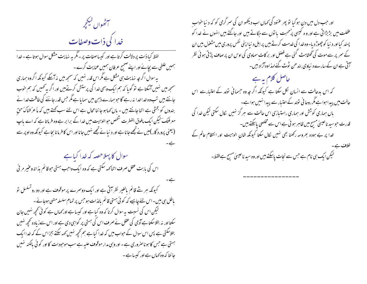سرط الكح<br>الصوال ليج<u>ج</u>ر خدا کی ذات وصفات

لفظ کبا ذات پر دلالت کرتا ہے اور کیساصفات پر - مگر یہ نہایت مشکل سوال ہوتا ہے - خدا ہمیں غلطی سے بچائے اور اپنے صحیح عرفان ہمیں عنایت کرے۔ پہ سوال اگر جہ نہایت ہی مشکل ہے مگر اس قدر نہیں کہ سمجھ میں بنہ آسکے کیونکہ اگروہ ہماری سمجھ میں نہیں آسکتا ہے تو گویا کہ ہم ایک وہمی خدا کی پرستش کرتے ہیں اور اگر بہ ٹھیں کہ ہم حوب جانتے ہیں تب وہ خداخدا نہ رہے گا حبو ہمارے ذہن میں سمایا ہے مگر حس قدر جاننے کی طاقت خدا نے بندوں کو بخشی ہے اتنا جانتے ہیں - ہاں کہاہو جا ننا محال ہے اس لئے سب کھتے ہیں کہ ماَعرَ فناکَ حقّ معرفتک کیکن ایک مافوق الفطرت شخص حوالوہیت میں خدا کے برابر ہے وہ فرماتا ہے کہ اے باپ (یعنی پرورد گار )میں نے تجھے جانا ہے اور دنیا نے تجھے نہیں جانا اور اس کا فرمانا بجا ہے کیونکہ وہ اوپر سے سوال کا پہلاحصہ کہ خدا کیاہے

اس کی بابت عقل صرف اتناکهه سکتی ہے کہ وہ ایک واجب ہستی حوقائم بذاتہ وعنیر مرنیٗ

کیونکہ ہر شے قائم بالغیر نظر آتی ہے اور ایک دوسرے پر موقوف ہے اور دو رو تسلسل نو باطل ہی بیں۔اس لئے چاہیے کہ کوئی ہستی قائم بالذات ہو جس پر تمام سلسلہ متبی ہوجائے ۔ لیکن اس کی نسبت بہ سوال کرنا کہ وہ کیا ہے اور کیسا ہے اور <sub>ک</sub>ھاں ہے کوئی تحجیہ نہیں جان سکتااور نہ بتلاسکتا ہے آدمی کی عقل نے صرف اس کی ہستی پر گواہی دی ہے اور اس سےزیادہ تحچیہ نہیں بتلاسکتی ہے پس اس سوال کے حواب میں کہ خدا کیا ہے ہم کچھ نہیں کہہ سکتے بجزاس کے کہ خدا ایک ہستی ہے جس کا ہوناصروری ہے۔ اور وہی مدار موقوف علیہ ہے سب موحودات کا اور کو ٹی بالکنہ نہیں جا نتا کہ وہ کہاں ہے اور کیسا ہے ۔ اور حبب دل میں دن ہو گیا تو پھر عنود کی <sub>ک</sub>ماں اب دیکھو ان کی سمر گرمی کو کہ دنیا خواب عَفلت میں بڑبڑا تی ہے اور و ہ کیسی پرُمحبت یا توں سے جگاتے بیں اور جاگتے ہیں انہوں نے خدا کو پسند کیا اور د نیا کوچپوڑ دیا- وہ خدا کی خدمت کرتے ہیں پر اہل د نیااپنی نفس پروری میں مشغول ہیں ان کے سمر پر سے موت کی ٹھٹاہٹ کئی ہے فصل اور بر کات سماوی کی اوس ان پر صاف پڑتی ہو ئی نظر آتی ہے ان کے سارے د نیاوی بندھن ٹوٹ گئے لہذاوہ آزاد بیں۔ حاصل کلام ہہ ہے کہ اس بدحالت سے انسان لکل سکتا ہے کیونکہ اگر جہ وہ حسمانی تولد کے اعتبارسے اس حالت میں پیدا ہوا ہے مگر روحا فی نولد کے اعتبار سے پیدا نہیں ہوا ہے۔ باں ہماری کوشش اور ہماری راستیازی اس حالت سے ہر گز نہیں مُال سکتی لیکن غدا کی قدرت حوسید ناعیسیٰ مسیح میں ظاہر ہو ئی ہے اس سے مخلصی پاسکتے ہیں۔ خدا پر بے ہودہ بھروسہ رکھنا بھی نہیں لکال سکتا کیونکہ شان الوہیت اور انتظام عالم کے ۔<br>لیکن ایک ہی نام ہے جس سے نجات پاسکتے بیں اور وہ سید ناعیسیٰ مسیح ہے فقط۔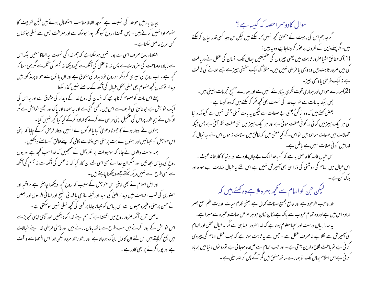بیان بالامیں حوخدا کی نسبت ہے اگرچہ الفاظ مناسب استعمال ہوئے ہیں لیکن تعریف کا مفہوم ادا نہیں کرتے ہیں ۔ پس اقتضاء روح کیونکر پورا ہوسکتا ہے اور معرفت حس سے تسلی ہو کھاں گس طرح حاصل سکتا ہے ۔ اقنصاء روح صرف اسی سے پورا نہیں ہوسکتا ہے کہ ہم خدا کی نسبت پہ الفاظ سنیں بلکہ اس سے زیادہ وصاحت کی صرورت ہے پس نہ توعقل کی آنکھ سے محچھ دیکھا نہ جسم کی آنکھ سے مگریهی سنا کہ تحجیے ہے ۔اب روح کی سیری کیونکر ہوروح تو دیدار کی مشتاق ہے اور ان با توں سے حواو پر مذکور بیں دیدار نوَ محاں تحچیہ مفہوم بھی تسلی بخش خیال کی آنکھ کے سامنے نہیں گذرسکتا۔ پہلے اس بات کومعلوم کرنا چاہیے کہ انسان کی روح خدا کے دیدار کی مشتاق ہے اور یہ اس کی ا یک حواہش ہے حبو خالق کی طرف سے اس میں رکھی گئی ہے اور یہ عمدہ اور پاک اور اچھی حواہش ہے مگر لوگوں نے بیچاطور پراس کی تکمیل اپنی مرحنی سے کرنے کاارادہ کرکے کیا کیا گجیے نہیں کیا۔ بہتوں نے اوتار ہونے کا جھوٹا دعویٰ کیا یا لوگوں نے انہیں اوتار فرص کرکے چاہا کہ اپنی اس خواہش کو بجپائیں اور بہتوں نے بت پرستی اسی منشاسے نکالی کہ اپنے خالق کو سامنے دیکھیں۔ ہمہ اوست والوں نے چاہا کہ موحبودات پر نظر ڈال کے سمجعیں کہ خدا سب تحچیہ ہے اور یوں روح کی پباس بجہائیں اور منکر ان خدا نے بھی اسی لئے ان کار کیا کہ یہ عقل کی آنکھ سے نہ جسم کی آنکھ سے کسی طرح اسے نہیں دیکھ سکتے جسے دیکھناچاہتے ہیں۔ اور اہل اسلام نے بھی اپنی اس حواہش کے سبب کہ روح کحچھ دیکھنا چاہتی ہے مراقبہ اور حصنوری کی قلب ، قبامت میں دیدار الهیٰ کی امید اور قبلہ سازی یا فنا فی انشیخ اور فنا فی الرسول اور بعض نے حسن پرستی وعنیر ہ حیلوں سے اس پیاس کو بجعا ناچاہا پر کسی کی تحچھ تسلی مہیں ہوسکتی ہے۔ حاصل تقریر آنکھ صرور روح میں اقتصا ہے کہ ہم اپنے خدا کو دیکھیں اور آدمی اپنی تجویز سے اس خواہش کے پورا کرنے میں سب طرح سے ہاتھ یاؤں مارتے ہیں اور ذہنی فرصٰی خدا اپنے خیالات میں جمع کرلیتے ہیں اس لئے ان کا دل ناپاک ہوجاتا ہے اور رفتہ رفتہ مردہ لیکن خدا اس اقتضا سے واقف ہے اور بورا کرنے پر بھی قادر ہے۔

سوال کادوسمراحصہ کہ کیسا ہے ؟ اگر جہ ہم اس کی ماہیت کے متعلق تحچھ نہیں <sub>ک</sub>ہہ سکتے ہیں لیکن من وجہ <sup>کس</sup>ی قدر بیان کرسکتے ہیں۔مگر پہلے ذیل کے فقروں پر عور کرلینا چاہیےوہ یہ ہیں : (1) کہ حقائق اشیا صرور ثابت ہیں یعنی چیزوں کی حقیقتیں حہاں تک انسان کی عقل نے دریافت کی بیں صرور ثابت بیں وہ وہمی یا فرصی سٰیں بیں۔مثلاً آگ ایک حقیقی جیز ہے جسے جلانے کی طاقت ہے نہ ایک فرصی یاوہمی جیز۔ (2)ہمارے حواس اور ہماری قوت فکری بیکار شے نہیں ہے اور ہمارے صحیح تجربات یقینی بیں۔ پس جبکہ بہ بات ہے تواب خدا کی نسبت بھی کحچھ فکر کرسکتے ہیں کہ وہ کیسا ہے ۔ بعض کھتے ہیں کہ وہ نر گنُ یعنی بے صفات ہے لیکن یہ بات تسلی بخش نہیں ہے کیونکہ د نیا کی ہر ایک چیز میں کوئی نہ کوئی صفت ہوتی ہے اور ہر ایک چیز میں نئی صفت نظر آتی ہے پس حبکہ مخلوقات میں صفات موجود بیں تواس کے کیامعنی بیں کہ خالق میں صفات نہ ہوں اس لئے یہ خیال کہ خدامیں کوئی صفات نہیں ہے باطل ہے۔ اس خیال فاسد کاحاصل بیرہے کہ گویاخداایک بےجان مادہ ہے اور د نیا کا کار خانہ عبث ۔ اس خیال میں الہام کی روشنی کی ذرا سی بھی آمیزش نہیں ہے اس لئے یہ خیال نہایت بے ہودہ اور ہلاک کن ہے۔ لیکن ح<sub>ب</sub>ی کوالہام سے کحچھ بہرہ ملاہے وہ ک<sup>ھتے</sup>، بیں کہ خداواحب الوحبود ہے اور جامع جمیع صفات کمال ہے یعنی قدم حیات قدرت علم سمع بصر ارادہ اس میں ہے اور وہ تمام عیوب سے پاک ہے مکان زمان حبو ہر عرص جہات وعنیر ہ سے مبر اہے۔ په سارا بیان درست اور احپامعلوم ہوتاہے کہ خدا صرور ایسا ہی ہے مگر پہ خیال عقل اور الہام کی آمیزش سے لکلاہے نہ صرف عقل سے ۔ جس سے یہ ثابت ہوتا ہے کہ جب عقل الہام کی پیروی کر ٹی ہے تو باعث فلاح دارین بنتی ہے - اور حب الہام سے علیحدہ ہوجا تی ہے تو دو نوں د نیا میں برباد کرتی ہے اہل اسلام یہاں تک توہمارے ساتھ متفق ہیں مگر آگے چل کر اللہ بیلی ہے ۔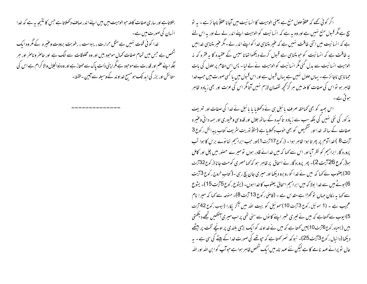اگر کو ئی تھے کہ عقلاً حلول منع ہے یعنی الوہیت کا انسا نیت میں آجانا عقلاً ناجائز ہے ۔ یہ تو سچ ہے مگر قسول منع نہیں ہے اور وہ بہ ہے کہ انسانیت کو الوہیت اپنے اندر لے لے اور بہ اس لئے ہے کہ انسانیت میں اتنی طاقت نہیں ہے کہ عنیر متناہی خدا کواپنے اندر لے ۔مگر عنیر متناہی خدامیں یہ طاقت ہے کہ انسانیت کو حو متناہی ہے قبول کرلے دیکھواتھانا سپس کے عقیدہ کا یہ فقرہ کہ نہ الوہیت انسانیت سے بدل گئی مگر انسانیت کو الوہیت نے لے لیا۔ پس اس مقام پر حلول کی بات حمانا ہی ناجائز ہے ۔ یہاں حلول نہیں ہے یہاں قبول ہے اور اس قبول میں یا کسی صورت میں حب خدا ظاہر ہو تو اس کی صفات کا ملہ میں ہر گز تھچہ نقصان لازم نہیں آتا مگر اس کی عزت اور بھی زیادہ ظاہر ہو تی ہے۔

اس بھید کو بھی کھاحقہ صرف بائبل ہی نے دکھلایا یا بائبل نے خدا کی صفات اور تعریف مذ کور کی نفی نہیں کی بلکہ سب سے زیادہ تا کیدہ کے ساتھ جلال اور قدوسی وعنیوری اور ہمہ دا نی وعنیرہ صفات کے ساتھ خدا اور تشخیص کو بھی حوب دکھلایا ہے (مثلاً نوریت سٹریف کتاب پیدائش رکوع 3 آیت 8 ) خدا آدم پر پھر تا ہوا ظاہر ہوا ۔ (رکوع17آیت1)اور جب ابراہیم ننا نوے برس کا ہوا تب پرورد گار ابراہیم کو نظر آما اور اس سے کہا کہ میں خدائے قادر ہوں تو میرے حصور میں چل اور کامل ہو(ر کوع 26 آیت 2)۔ پھر پرورد گار نے اسحاق پر ظاہر ہو کہ کہامصری کومت جانا (رکوع32 آیت 30) یعقوب نے کہا کہ میں نے خدا کو رو برو دیکھا اور میری جان بچ رہی -(کتاب خروج رکوع 3 آیت 6) بوٹے میں سے خدا بولا کہ میں ابراہیم اسحاق یعقوب کا خدا ہوں۔ (یشوع رکوع 5آیت 15)۔ یشوع سے کہا یہ مکان حہاں تو کھڑا ہے مقد س ہے ۔ (قاضی رکوع 13 آیت 8)۔ منوجہ سے کہا کہ میرا نام عجیب ہے ۔ (1 سوئیل رکوع 3 آیت 10)سموئیل کو بیت اللہ میں آکر پکارا (ایوب رکوع 42 آیت 5)ایوب سے کمتاہے کہ میں نے تیری خبر اپنے کا نوں سے سنی تھی پراب میری آنکھیں تجھے دیکھتی ہیں (یسعاہ رکوع6آئیت10)میں کھتا ہے کہ میں نے خداوند کوایک بڑی بلندی پر اونچے تخت پر بیٹھے دیکھا(دانیال رکوع3آیت25)۔ نبوکد نصر کھتاہے کہ حیوتھے کی صورت خدا کے بیٹے کی سی ہے ۔ یہ حال نو پرانے عہد نامے کا ہے لیکن نئے عہد نامہ میں ایک شخص ظاہر ہوا ہے حبوآپ کوا بن اللہ اور اللہ

بتلاتاہے اور ساری صفات کاملہ حبوالوہبیت میں بیں اپنے اندر صاف دکھلاتا ہے جس کا نتیجہ یہ ہے کہ خدا انسان کی صورت میں ہے۔ خدا کوئی قوت نہیں ہے مثل حرارت ، یبوست ، رطوبت برودت وعنیرہ کے مگر وہ ایک شخص ہے جس میں تمام صفات کمال موجود ہیں اور وہ مخلوقات سے الگ ہے اور حاصر وناصر اور ہر جگہ اپنے علم اور قدرت سے موحبود ہے مگر اپنی ذات پاک سے ممتاز ہے اور وہ ذوالحلال والا کرام ہے اس کی ستائش اور بزرگی اید تک ہو مسح خداوند کے وسیلہ سے آمین - فقط-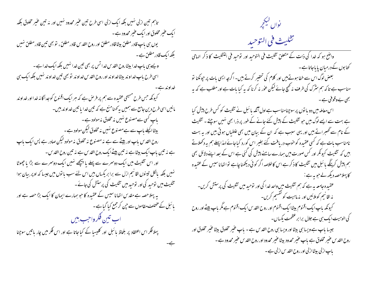تاہم تین ازلی تہیں بلکہ ایک ازلی اسی طرح تین عنیر محدود تہیں اور نہ تین عنیر مخلوق بلکہ ایک عنیر مخلوق اور ایک عنیر محدود ہے ۔ یوں <sub>ب</sub>ی باپ قادر مطلق بیٹا قادر مطلق اور روح ا<sub>لقدس</sub> قادر مطلق ، تو بھی تین قادر مطلق نہیں بلکہ ایک قادر مطلق ہے۔ ویسے ہی باپ خدا بیٹاروح القدس خدا تس پر بھی تین خدا نہیں بلکہ ایک خدا ہے ۔ اسی طرح باپ خداوند بیٹاخداوند اور روح القدس خداوند تو بھی تین خداوند نہیں بلکہ ایک ہی کیونکہ جس طرح مسیحی عقیدہ سے ہم پر فرص ہے کہ ہر ایک اقنوح کوجداگا نہ خدااور خداوند مانیں اسی طرح دین جامع سے ہمیں پر محنامنع ہے کہ تین خدا یا تین خداوند بیں۔ یاپ کسی سے مصنوع نہیں نہ مخلوق نہ مولود ہے۔ بیٹااکیلے باپ سے ہےمصنوع نہیں نہ مخلوق لیکن مولود ہے۔ روح القدس باپ اور بیٹے سے ہے نہ مصنوع نہ مخلوق نہ مولود لیکن صادر ہے پس ایک باپ ہے نہ تین باپ ایک بیٹاہے نہ تین بیٹے ایک روح القدس ہے نہ تین روح القدس -اور اس تثلیث میں ایک دوسرے سے پہلے یا پیچھے نہیں ایک دوسرے سے بڑا یا چھوٹا <sup>من</sup>میں بلکہ بالکل ت<sup>ب</sup>ینوں اقانیم ازل سے برابر یکساں بیں اس لئے سب با نوں میں جیسا کہ اوپر بیان ہوا تثلیث میں توحید کی اور توحید میں تثلیث کی پرستش کی جائے۔ یہ پہلا حصہ ہے مقدس اتھانا سیس کے عقیدہ کا حو ہمارے ایمان کا ایک بڑا حصہ ہے اور بائبل کے مختلف مقاموں سے جن کر جمع کیا گیا ہے ۔ اب تبين فكرواحب بيس پہلا فکر اس اعتقاد پر بلحاظ یا ئبل اور کلیسیا کے کیا جاتا ہے اور اس فکر میں چار ماتیں سوچنا ے۔

نواں کیکجر تثليث في التوحيد واضح ہو کہ خدا کی ذات کے متعلق تثلیث فی التوحید اور توحید فی التثلیث کا ذکر الہامی کتا بوں کے درمیان پا پاجاتا ہے ۔ ۔<br>بعض لوگ اس سے خفا ہوتے ہیں اور کلام کی تحقیر کرتے ہیں۔ اگرچہ ایسی بات پر حیونکنا تو مناسب ہے تا کہ ہم سٹرک کی طرف نہ گھیج جائے لیکن عوْر نہ کرنا کہ یہ کیا بات ہے اور مطلب ہے کہ یہ بھی بے وقوفی ہے ۔ اس معاملہ میں دو با توں پر سوچنامناسب ہے اول آنکہ با ئبل نے تثلیث کو کس طرح پیش کیا ہے بہت سے ایسے لوگ ہیں جو تثلیث کے پیش کئے جانے کے طور پر ذرا بھی نہیں سوچتے ۔ تثلیث کے نام سے گھسراتے ہیں اور یہی سبب ہے کہ ان کے بیان میں بھی علطیاں ہو تی ہیں اور یہ بہت نامناسب بات ہے کہ کسی عقیدہ کوحوب دریافت کئے بغیر اس کورد کیاجائے لہذاپہلے ہم یہ دکھلاتے بیں کہ تثلیث کیونکر اور کس صورت میں ہمارے سامنے پیش کی گئی ہے اس کے بعد اپنے دلائل بھی ہم پیش کرینگے یا ئبل میں تثلیث کا ذکر ہے اس کا خلاصہ اگر کوئی دیکھنا چاہے تو اتھانا سیس کے عقیدہ کا پہلاحصہ دیکھ لے حبوبہ ہے : عقیدہ جامعہ بہ ہے کہ ہم تثلیث میں واحد خدا کی اور توحید میں تثلیث کی پرستش کریں۔ نہ اقا نہم کوملائیں اور یہ ماہیت کو تقسیم کریں۔ کیونکہ باپ ایک اقنوم بیٹاایک اقنوم اور روح القدس ایک اقنوم ہے مگر باپ بیٹے اور روح کی الوہبیت ایک ہی ہے جلال برا بر عظمت یکساں۔ جیسا باپ ہے ویسا ہی بیٹا اور ویسا ہی روح القد س ہے - باپ عنیر مخلوق بیٹا عنیر مخلوق اور روح القدس عنير مخلوق ہے باپ عنير محدود بيٹا عنير محدود اور روح القدس عنير محدود ہے -باپ ازلی بیٹاازلی اور روح القد س ازلی ہے ۔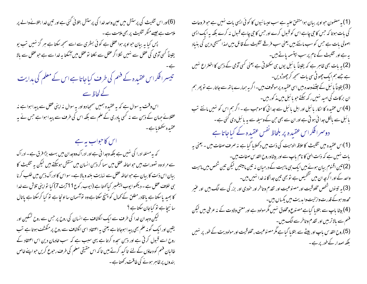(6)اور اس تثلیث کی پرستش میں عین واحد خدا کی پرستش بتلائی گئی ہے اور تین خدا بتلانے والے پر ملامت ہے جیسے منکر تثنلیث پر بھی ملامت ہے۔ پس کیا ہہ بیان حواوپر ہواعظلی ہے کوئی بسٹری سے اسے سمجھ سکتا ہے ہر گز نہیں تب یو یقیناً کسی آدمی کی عقل سے نہیں لکلااگر عقل سے لکلنا تو عقل میں آسکتا بہ خدا سے ہے جو عقل سے بالا تیبسرا فکراس عقیدہ کے فہم کی طرف کیاجاتا ہے اس کے معلم کی ہدایت کے لحاظ سے اس وقت پہ سوال ہے کہ یہ عقیدہ ہمیں سمجیا دو اور یہ سوال نہ اپنی عقل سے پیدا ہوا ہے نہ عقلائے جہان کے ذہن سے نہ کسی یادری کے علم سے بلکہ اس کی طرف سے پیدا ہوا ہے جس نے یہ عقىيدە سكھلايا ہے ۔ اس کا حواب ہہ ہے کہ یہ مسئلہ ادرا کی نہیں ہے بلکہ وجدا نی ہے اور ادراک ووجدان میں بہت بڑا فرق ہے ۔ادراک سے مراد وہ تصورات بیں حواحاطہ عقل میں سما کر ذہن انسان میں منقش ہوسکتے ہیں لیکن یہ تثلیث کا ببان اس ذات کا ببان ہے حواحاطہ عقل سے نہایت بلند و بالا ہے۔ سواس کا ادراک ذہن میں طلب کرنا ہی خلاف عقل ہے ۔ دیکھوا یوب پیغمبر کیاکھتا ہے (ایوب رکوع111یت 7) کیا تواپنی تلاش سے خدا کا بھید پاسکتا ہے یا قادر مطلن کے کمال کو بہنچ سکتا ہے وہ توآسمان سا اونجا ہے تو کیا کرسکتا ہے یاتال سا نیچاہے تو کیاجان سکتاہے ؟ گیکن وجدان خدا کی طرف سے ایک انکشاف ہے انسان کی روح پر حس سے روح تسکین اور یقین اور ایک گونہ علم بھی پیدا ہوجاتا ہے یعنی یہ اعتقاد اسی انکشاف سے روح پر منکشف ہوتا ہے تب روح اسے قبول کر تی ہے اور ذہن سجدہ کرتا ہے یہی سبب ہے کہ سب خادمان دین اس اعتقاد کے طالبان فہم کو دعاؤں کے لئے تاکید کرتے ہیں تاکہ اس حقیقی معلم کی طرف رحبوع کریں حواپنے خاص بندوں پر ظاہر ہونے کی طاقت رکھتا ہے۔

(1) پہ مصنمون حبواو پر بیان ہوامتفق علیہ ہے سب عیسا ئیوں کا کوئی ایسی بات نہیں ہے حبو فروعات کی بات ہوتا کہ حس کا حی چاہے اس کو قسول کرے اور حس کا حی چاہے قسول نہ کرے بلکہ یہ ایک ایسی اصولی بات ہے جس کو سب مانتے ہیں یعنی سب فرقے تثلیث کے قائل بیں لہذا مسیحی دین کی بنیاد یہ ہے اور تثلیث کے نام پر سب بہتسمہ پاتے ہیں۔ (2) یہ بات بھی ظاہر ہے کہ یقیناً بائبل یوں ہی سکھلاتی ہے یعنی کسی آدمی کے ذہن کا اختراع نہیں ہے جے ہم ایک چھوٹی سی مات سمجھ کر چھوڑدیں۔ (3) یقیناً بائبل کے جتنےوعدہ بیں اسی عقیدہ پر موقوف ہیں۔اگر یہ ہمارے باتھ سے جاتار ہے تو پھر ہم ان بر کات کی ا*مید ن*ہیں رکھ سکتے جو با <sup>تب</sup>ل میں مذ کور بی<sub>ں</sub>۔ (4)اس عقیدہ کا انکار بائبل اور اہل بائبل سے جدائی کاموجب ہے ۔ اگر ہم اس کو نہیں مانتے تب یا ئبل سے بالکل جدا ئی ہو تی ہے اور ان سے بھی حن کے وسیلہ سے یہ یا ئبل دی گئی ہے ۔ دوسرافکراس عقیدہ پر بلحاظ نفس عقیدہ کے کیاجاتا ہے (1)اس عقیدہ میں تثلیث کاعلاقہ الوہیت کی ذات میں دکھلایا گیا ہے نہ صرف صفات میں ۔ یعنی یہ بات نہیں ہے کہ ذات العیٰ کا نام باپ سے اور بیٹاوروح القدس صفات ہیں۔ (2) تین اقنوم بیان ہوئے بیں ایک ہی ماہیت کے درمیان نہ تین مابینیں لیکن تین شخص بیں ماہیت واحد کے اور اگرچہ ان میں کشخیص ہے تو بھی تین جداگا نہ خدا نہیں بیں۔ (3) به تبینوں شخص مخلوقیت اور مصنوعیت اور تقدم و تاخر اور حودی اور بزرگی سے الگ بیں اور عنیر محدود ہوگے قدرت وازلیت وابدیت میں پکساں بیں۔ (4) بیٹا پاپ سے بتلایا گیاہے مصنوع ومخلوق نہیں مگر مولود ہے اور معنی ولادت کے نہ عرفی بیں لیکن فهم سے بالاتر ہیں اور تقدم وتاخر سے الگ ہیں۔ (5)روح القد س باپ اور بیٹے سے بتلایا گیاہے مگر مصنوعیت ،مخلوقیت اور مولودیت کے طور پر نہیں بلکہ اصدار کے طور پر ہے ۔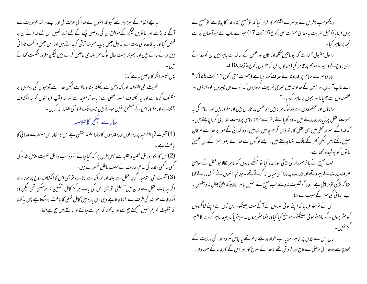یہ بچے انعام کے سمزاوار تھے کیونکہ انہوں نے فدا کی عزت کی اور اپنے مرتبہ عبودیت سے آگے نہ بڑھے اور سا تویں کیکچر کے موافق ان کی روحیں بچنے کے لئے تبار تھیں اس لئے خدا نے ان پر فصل کیا اور یہ قاعدہ کی بات ہے کہ اہل جہل بسیط ہمیشہ ترقی کرجاتے ہیں اور اہل جہل مر کب نادا فی میں مرتے جاتے ہیں اور سمیشہ پست حال لوگ سمر بلندی حاصل کرتے ہیں لیکن مغرور شکست کھاتے پس تیسرافکر کاحاصل ہے کہ : تثليث في التوحيد ادراك ذہن سے مالكنہ بلند ومالا ہے ليكن خدا اسے آدميوں كى روحوں پر منکشف کرتا ہے اور یہ انکشاف تصور عقلی سے زیادہ تر مفید ہے اور خدا آپ فروتنوں کو یہ انکشاف بخشتاہے اور مغرور اس کے مستحق نہیں ہوتے ہیں جب تک فروتنی اختیار نہ کریں۔ سارے کیکجمیر کا خلاصہ

(1) تثليث في التوحيد پر رسولول اور مقدسوں كاساراسلسله متفق ہے اس كا ا<sub>لكار</sub> اس سلسله سے جدا ئى كا یاعث ہے۔ (2)اس کا انکار دلائل عقلیہ و نقلیہ سے جس طرح پر کہ کیا جائے تووہ سب دلائل تثلیث پیش شدہ کی گی نہ کسی مقدمہ کی عدم رعایت کے سبب باطل ٹھہرتے ہیں۔ (3) تثليث في التوحيد اگرچه عقل سے بلند اور ادراک سے بالا ہے تو بھی اس کا انکشاف روح پر ہوتا ہے اگر ہہ بات عقل سے ذہن میں آ سکتی تو بھی اس کی بات ہر گز کامل تسکین نہ ہوسکتی تھی لیکن وہ انکشافات حبواللہ کی طرف سے بخشاجاتا ہے وہی اس بارہ میں کامل تسلی کا باعث ہوسکتا ہے پس بہ کھنا کہ تثلیث کو ہم نہیں سمجھتے تیج ہے اور پہ کھنا کہ ہم اسے جانتے اور مانتے ہیں تیج ہے فقط۔

دیکھوجب پطرس نے دوسمرے اقنوم کا اقرار کیا کہ تومسح زندہ خدا کا بیٹا ہے تومسج نے یوں فرمایا (انجیل سٹریف ہہ مطابق حصرت متی رکوع 16 آیت 17) میرے باپ نے حواسمان پر ہے تحھ پرظام کیا۔ رسول مقبول کھتا ہے کہ حبو باتیں آنکھ اور کان اور عقل کے احاطہ سے باہر بیں ان کو خدا نے اپنی روح کے وسیلہ سے ہم پر ظاہر کیا (خط اول اہل کر نتھیوں رکوع2 آیت 10)۔ اور دوسرے مقام پر خداوند نے صاف کھہ دیا ہے (حصرت متی رکوع 11 آیت 25) کہ " اے باپ آسمان اور زمین کے خداوند میں تیری تعریف کرتا ہوں کہ تونے ان چیزوں کو داناؤں اور عقلمندوں سے جھیا یااور بج<u>وں</u> پر ظاہر کردیا۔" داناؤں اور عقلمندوں سے وہ لوگ مراد ہیں حو عقل پر نازاں ہیں اور مغرور بیں اور الہام کی ہہ نسبت عقل پر زیاده زور دیتے ہیں -وہ گویا اپنے باتھ سے خزانہ شاہی پر دست اندازی کرنا چاہتے ہیں-کہ خدا کے اسمرار مخفی میں بھی عقل کا باتھ ڈال کر حبو چاہیں اٹھالیں۔وہ گدا ئی کے طور پر خدا سے عرفان نہیں مانگتے ہیں لیکن *گھر* کے مالک بننا چاہتے ہیں۔ ایسے لوگوں سے خدا نے بطور سمزا کے ان عمیق یا توں کو پوشیدہ رکھاہے۔ جب مسح نے پائر سمردار کی بیٹی کو زندہ کیا تو ٹھٹھے بازوں کو باہر لکالاحوعقل کے موافق صرف عادت کے پیرو تھے اور قدرت پر ذرا بھی خیال نہ کرتے تھے۔ چنانچہ انہوں نے ٹھٹھامار کے کہا تعا کہ لڑکی تومر چکی ہے استاد کو ٹکلیف نہ دے تب مسیح نے انہیں باہر کالا تا کہ ال<sub>ٹ</sub>ی جلال نہ دیکھیں ہ<u>ہ</u> بے اپمانی کی سمزاکے سبب سے تعا۔ اس نے توخود فرمایا کہ اپنےموتی سورؤں کے آگے مت پھینکو۔ پس حس نے اپنے شاگردوں کو سٹریروں کے سامنے موتی پھینکنے سے منع کیا کیاوہ خود سٹریروں پر اپنے پاک بھید ظاہر کرے گا ؟ ہر باں اس نے بچوں پر ظاہر کردیا اب خواہ وہ بچے عالم تھے یا جابل مگر وہ خدا کی ہدایت کے محتاج تھے وہ خدا کی مرحنی کے تابع اور فرو تن تھے نہ خدا کے صلاح کار اور اس کے کارخا نہ کے حصہ دار ۔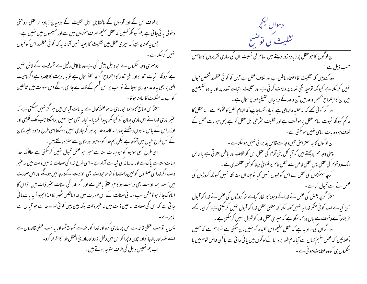برخلاف اس کے اور قوموں کے بالمقابل اہل تثلیث کے درمیان زیادہ تر عقلی روشنی وخو بی یا ئی جا تی ہے ہم کیونکر ٹھیں کہ عقل سلیم صرف منکروں میں ہے اور مسیحیوں میں نہیں ہے ۔ پس پہ کھناچاہیے کہ میری عقل میں تثلیث کا بھید نہیں آتا نہ یہ کہ کوئی عقلمند اس کو قبول نہیں کرسکتاہے۔ دوسری وجہ منکروں نے حبو دلیل پیش کی ہے وہ ناکامل دلیل ہے قبولیت کے لائق نہیں ہے کیونکہ اثبات تعداد اور نفی تعدد کا اجتماع اگر جہ عقلاً محال ہے تو یہ مادیت کا قاعدہ ہے اگر ماہیت الہیٰ پر بھی یہ قاعدہ جاری ہوجائے نوسب پر اس قسم کے قاعدے جاری ہونگے اس صورت میں مخالفین کو بے جد مشکلات کا سامنا ہو گا۔ مثلاً اس صانع کا وحود حومادی نہ ہو عقلاً محال ہے یہ بات قباس میں ہر گز نہیں اسکتی ہے کہ عنیر مادی خدا نے اس مادی جہان کو کیونکر بیدا کردیا - نجار کبھی میز نہیں بناسکتا جب تک لکڑی اور اوزار اس کے پاس نہ ہوں دیکھئے ہمارا بیہ قاعدہ خدا پر ہر گزجاری نہیں ہوسکتا اسی طرح وجود بغیر مکان کے کس طرح خیال میں آسکتا ہے لیکن ہم خدا کوموحبود اور مکان سے منز ہ مانتے بیں۔ اسی طرح کسی موحود کو حبو جہات ستہ سے مبرا ہو عقل قبول نہیں کرسکتی ہے حالانکہ خدا جہات ستہ سے پاک ہے اور نہ زمانہ کی قبید سے آزاد ہے ۔اسی طرح خدا کی صفات نہ عین ذات بیں نہ عنیر ذات اگر خدا کی صفتوں کو عین ذات ما نو توموحودات بھی الوہیت کےد رجہ میں ہونگے اور اس صورت میں مسئلہ ہمہ اوست بھی درست ہوگا حو عقلاً باطل ہے اور اگر خدا کی صفات عنیر ذات بیں توان کا انفکاک جائز ہوگامثل سب دید نی صفات کے اس صورت میں خدا ناقص ٹھہر یگا لہذا محبوراً یہ بات ما فی جا تی ہے کہ اس کی صفات نہ عین ذات بیں نہ عنیر ذات بلکہ بین بین کو ئی اور درجہ ہے حو قباس سے پاہر ہے۔ پس یا نوسب عقلی قاعدے اس پر جاری کرو اور خدا کوہاتھ سے کھو بیٹھو اور یا سب عقلی قاعدوں سے اسے بلند اور بالاجا نواور حیون وحیرا کو اس میں دخل نہ دو اور ماور پی العقل خدا کا اقر ار کرو۔ اب ہم نفیس دلیل کی طرف متوجہ ہوتے ہیں۔

دسواں کیلججر تثلیث کی توضیح ان لو گوں کا حبو عقل پر زیادہ زور دیتے ہیں الہام کی نسبت ان کی ساری تقریروں کا حاصل حسب ذیل ہے : وہ کہتے ہیں کہ تثلیث کا اعتقاد باطل ہے اور خلاف عقل ہے جس کو کوئی عقلمند شخص قبول <sup>من</sup>بیں کرسکتا ہے کیونکہ توحید نفی تعدد پر دلالت کرتی ہے اور تتلیث اثبات تعدد پر اور یہ دو نقیضنین بیں ان کا اجتماع شخص واحد میں آن واحد کے درمیان حقیقی طور پر محال ہے ۔ اور اگر کوئی تھے کہ یہ عقیدہ الہامی ہے تو یاد رکھناچاہیے کہ الہام عقل کامحکوم ہے - نہ عقل کا حاکم کیونکہ ثبوت الہام عقل پر موقوف ہے اور نکلیف سٹرعی اہل عقل کو ہے پس حبو بات عقل کے خلاف ہووہ بات الہامی نہیں ہوسکتی ہے ۔ ان لوگوں کا یہ اعتراض تین وجہ سے قابل یذیرا ئی نہیں ہوسکتا ہے۔ پہلی وجہ ہم پوچھتے ہیں کہ آیا کل بنی آدم کی عقل اس کو خلاف اور پاطل بتلا تی ہے یا خاص ایک دو قوم کی عقل پس عقل <sub>فحاص سے</sub> عقل عام پر فتویٰ دینا کو <sup>نسی ع</sup>قلمندی ہے ۔ اگرچہ سینکڑوں کی عقل نے اس کو قبول نہیں کیا تو چنداں مضائقہ نہیں کیونکہ کروڑوں کی عقل نے اسے قبول کیا ہے ۔ مثلاً اگرچہ بعض کی عقل نے خدا کے وحبود کا انکار کیاہے تو کروڑوں کی عقل نے خدا کو قسول بھی کیا ہے اب کوئی منکر خدا ہہ نہیں <sub>ک</sub>ہہ سکتا کہ مطلق عقل خدا کو قبول نہیں کرسکتی ہے اگر ایسا کھے تو یقیناً بےوقوف ہے باں وہ کہہ سکتا ہے کہ میری عقل خدا کو قسول نہیں کرسکتی ہے ۔ اور اگر ان کی مرادیہ ہے کہ عقل سلیم اس عقیدہ کو نہیں مان سکتی ہے تولازم ہے کہ ہمیں د کھلائیں کہ عقل سلیم کھاں سے آیا عام طور پر دنیا کے لوگوں میں یا ئی جا تی ہے یا کسی خاص قوم میں یا منگروں ہی کووہ عنایت ہو ئی ہے۔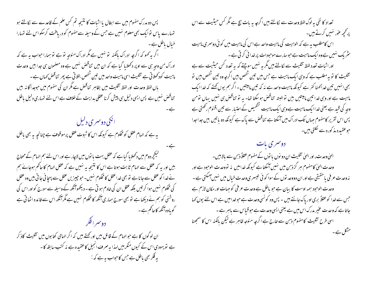پس دو مدرک مفہوم میں سے ابطال یا اثبات کا نتیجہ تم کس علم کے قاعدے سے لکالتے ہو تہارے پاس نوایک بھی معلوم نہیں ہے جس کے وسیلہ سے مفهوم کو دریافت کرسکواس لئے نتہارا خیال باطل ہے۔ اگر بہ کھو کہ اگر چہ ادراک بالکنہ تو نہیں ہے مگر ادراک منوجہ تو ہے تو ہمارا حواب یہ ہے کہ ادراک من وجہ ہی سے اوپر دکھلایا گیا ہے کہ ان میں تناقض نہیں ہے وہ مصنمون ہی جدا ہیں وحدت ماہیت کودکھلاتی ہے تثلیث اسی ماہیت واحد میں تین شخص بتلاتی ہے پھر تناقض کہاں ہے ۔ باں لفظ وحدت اور لفظ تثلیث میں بظاہر تناقص ہے مگر ان کی مفہوم میں حبوجدا گا نہ بیں تناقض نہیں ہے پس ایسی دلیل ہی پیش کرنا عقلی بدایت کے خلاف ہے اس لئے تہاری دلیل باطل ے۔ ا نکی دوسمری دلیل یہ ہے کہ الہام عقل کو محکوم ہے کیونکہ اس کا شوت عقل پر موقوف ہے چنانچہ یہ بھی باطل کیکچردوم میں دکھلایا گیاہے کہ عقل بہت با توں میں لاچار ہے اور اس لئے ہم الہام کے محتاج بیں اور یہ کہ عقل سے الہام ثابت ہوتا ہے اس کا نتیجہ یہ نہیں ہے کہ عقل الہام کا حاکم ہوجائے ہم نے خدا کو عقل سے جانا ہے تو بھی خدا عقل کا محکوم نہیں۔ حبو جیپر ٰ بِی عقل سے پہچا نی جا تی بیں وہ عقل کی محکوم سہیں ہوا کر تیں بلکہ عقل ان کی خادم ہو تی ہے ۔ دیکھوآنکھ کے وسیلہ سے سورج کو اور اس کی روشنی کو ہم نے دیکھا ہے تو بھی سورج ہماری آنکھ کا محکوم نہیں ہے مگر آنکھ اس سے فائدہ اٹھا تی ہے گوباوہ آنکھ کاحاکم ہے ۔ ان لو گوں کا ہے حبو الہام کے قائل بیں اور پھتے ہیں کہ اگر الہامی کتا بوں میں تثلیث کاذ کر ہے تو یہودی اس کے کیوں منکر ہیں لہذا یہ صرف انجیل کاعقیدہ ہے نہ کتب سابقہ کا -یہ فکر بھی باطل ہے جس کاحواب یہ ہے کہ :-

تعداد کا نفی یہ لوگ لفظ وحدت سے لکالتے ہیں اگرچہ یہ بات سچ ہے مگر کس حیثیت سے اس پر کحچھ عور نہیں کرتے ہیں۔ اس کامطلب یہ ہے کہ الوہبیت کی ماہمیت واحد ہے اس کی ماہمیت میں کوئی دوسری ماہمیت سٹریک نہیں ہےوہ ایک ماہمیت ہے حوسارے موحودات پر خدا ئی کرتی ہے ۔ اورا ثبات تعدد لفظ تثلیث سے لکالتے ہیں گمر یہ نہیں سوچتے کہ یہ تعدد کس حیثیت سے ہے تثلیث کا تو بہ مطلب ہے کہ وہی ایک ماہمیت ہے جس میں تین شخص بیں اگرچہ وہ تین شخص بیں تو بھی انہیں تین خداکھنا کفر ہے کیونکہ ماہیت واحد ہے نہ کہ تین ماہیتیں -اگر ہم یوں کھتے کہ خداایک ماہیت ہے اور وہی خدا تین مابیتیں بیں توالیتہ تناقض ہوسکتا تھا۔ بہ تو تناقض ہی نہیں پہاں تومن وجہ کی قید ہے یعنی خدا ایک ماہمیت ہے وہی ایک ماہمیت گشخیص کے اعتبار سے تین اقنوم رکھتی ہے پس اس تقریر کامفهوم جہاں تک ادراک میں آسکتا ہے تناقض سے پاک ہے کیونکہ دو یا تیں بیں جداجدا حوعقبدہ مذکورہ سے نکلتی ہیں۔

دوسری بات الهیٰ وحدت، اور الهیٰ تثلیث ان دو نوں یا نوں کے مفہوم عقلاً ذہن سے بالابیں۔ وحدت الهیٰ کامفهوم ہر گزذہن میں نہیں آسکتا ہے کیونکہ خدامیں یہ تووجدت الوحبود ہے اور نہ وحدت عرفی یا حقیقی ہے اور ان دووحد توں کے سوا کو ئی تیسری وحدت خیال میں نہیں ہمکتی ہے ۔ وحدت الوحود ہمہ اوست کا بیان ہے حو باطل ہے وحدت عرفی کو جہات اور مکان لازم ہے حبں سے *خد*ا کوعقلاً بری اور پاک جانتے ہیں ۔ پس وہ کو<sup>ن</sup>سی وحدت ہے حو<sub>ضرا</sub> میں ہے اس لئے یوں کہا جاتا ہے کہ وحدت عنیر مدرک اس میں ہے یعنی ایسی وحدت ہے حبوقیاس سے باہر ہے ۔ اسی طرح تثلیث کامفهوم ذہن سے خارج ہے اگرچہ منوجہ ظاہر ہے لیکن بالکنہ اس کا سمجھنا مشکل ہے ۔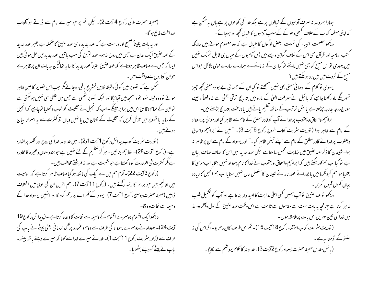(صحیفہ حصرت ملاکی رکوع 4 آیت 2)۔ لیکن تم پر حو میرے نام سے ڈرتے ہو آفتاب صداقت طالع ہو گا۔ اور بہ بات یقیناً صحیح اور درست ہے کہ عہد جدید ، ہی عہد عتیق کا تکملہ ہے بغیر عہد جدید کے عہد عتیق ایک بدن ہے جس میں روح نہ ہو۔عہد عتیق کی سب باتیں عہد جدید میں حل ہو تی ہیں ایسا کہ حس سے صاف ظاہر ہوتاہے کہ عہد عتیق یقیناً عہد جدید کا سایہ تعالیکن بہ بات ان پر ظاہر ہے حوان کتابوں سےواقف ہیں۔

ممکن ہے کہ تصویر میں کوئی دقیقہ قابل تستریح باقی رہ جائے مگر جب اس تصویر کاعین ظاہر ہوئے تووہ دقیقہ حود بخود سمجھ میں آجائیگا اور جبکہ تصویر شمسی ہے جس میں علطی ہی نہیں ہوسکتی ہے توعین کے تمام دقائق اس میں برا برملینگے۔اب کہ انجیل نے تثلیث کو خوب دکھلایا توجاہیے کہ انجیل کے سایہ یا تصویر میں تلاش کریں کہ تثلیث کے نشان ہیں یا نہیں وہاں تو کثرت سے یہ اسرار بیان مونے ہیں.

( نوریت سثر یف کتاب پیدائش رکوع 1 آیت 1و2)۔ میں خداوند خدا کی روح اور کلمہ پر اشارہ ہے۔ (ر کوع 71یت 28)۔ لفظ ہم بنائیں ۔ ہر گز تعظیم کے لئے نہیں ہے حوہندوستان وعنیرہ کامحاورہ ہے مگر کنٹر ت فی الوحدت کود محلاتا ہے حبو تثلیث ہے اور نہ فرشنتے مخاطب بیں۔ (رکوع 3 آیت 22)۔ آدم ہم میں سے ایک کی ما نند ہو گیا صاف ظاہر کرتا ہے کہ الوہیت میں اقا نیم بیں حو برابر کار تبہ رکھتے ہیں۔ (رکوع 11 آیت 7)۔ ہم اتریں ان کی بولی میں اختلاف

ڈالیں (صحیفہ حصرت ہوسپیے رکوع 1 آیت 7)۔ یہوداکے گھرانے پر رحم کرونگا اور انہیں یہوواہ خدا کے وسیلہ سے نجات دو لگا۔

دیکھوایک اقنوم دوسرے اقنوم کے وسیلہ سے نجات کاوعدہ کرتا ہے ۔ (پیدائش رکوع19 آیت 24)۔ یہوواہ نے دوسرے یہوواہ کی طرف سے دوم وعمورہ پر آگ برسائی یعنی پیٹے نے پاپ کی طرف سے (زبور سٹریف رکوع 11 آیت 1)۔ خدانے میرے خدا سے کہا کہ میرے دہنے باتھ بیٹھ۔ یاپ نے پیٹے کودہنے بٹھلایا۔

ہمارا بھروسہ نہ صرف آدمیوں کے خیالوں پر ہے بلکہ خدا کی کتابوں پر ہے ہاں یہ ممکن ہے کہ اپنی مسلمہ کتاب کے خلاف کسمی دھوکے کے سبب آدمیوں کا خیال تحچیہ اور ہوجانے ۔ دیکھو عصمت انبیاء کی نسبت بعض لوگوں کا خیال ہے کہ وہ معصوم ہوتے ہیں حالانکہ کتب ایہامیہ اور قرآن بھی اس کے خلاف گواہی دیتے ہیں پس آدمیوں کے خیال ہی قابل تمسک نہیں بیں یہودی تو اس مسح کو بھی نہیں مانتے تو کیا ان کے نہ ماننے سے ہمارے سارے قومی دلائل حواس مسح کے شوت میں بیں رد ہوسکتے ہیں ؟ یہودی تو کلام کے روحانی معنی بھی نہیں سمجھتے تو کیا ان کے حسمانی بے ہودہ معنی کجھ چیپز ٹھہرینگے ماد رکھنا چاہیے کہ پائبل نے معرفت الہیٰ کے بارہ میں بتدریج ترقی بختی ہے نہ دفعتاً ، جیسے سورج درجہ بدرجہ جرِ حصا ہے یا طفل تر تیب کے ساتھ تعلیم یاتے بیں یادر حنت بتدریج بڑھتے ہیں۔ ابراہیم واسحاق ویعقوب پر خدا نے آپ کو قادر مطلق کے نام سے ظاہر کیا اور موسیٰ پر یہوواہ

کے نام سے ظاہر ہوا (توریت سٹریف کتاب خروج رکوع 6 آیت 3)۔ " میں نے ابراہیم واسحاق ویعقوب پر خدا ئے قادر مطلق کے نام سے اپنے تیئں ظاہر کیا-" اور یہوواہ کے نام سے ان پر ظاہر نہ ہوا۔ شبیطان کا ذکر عہد عتیق میں نہایت مجمل ساملتاہے لیکن عہد جدید میں اس کا صاف صاف بیان ہے تو کیا اب ہم <sub>ک</sub>ھہ سکتے ہیں کہ ابراہیم واسحاق ویعقوب نے *خد*ا کا نام یہوواہ نہیں بتلایا اب موس<sup>ل</sup> کا بتلایا ہواہم کیونکر مانیں یا پورانے عہد نامہ نے شیطان کامفصل حال نہیں سنایا اب ہم انجیل کا زیادہ بيان کيوں قبول کريں۔

۔ دیکھو تو *عہد عتین* توآپ ہمیں <sup>ک</sup>سی اعلیٰ بدایت کا امید وار بناتا ہے اور آپ کو مکمیل طلب ظاہر کرتا ہے چنانچہ بیہ بات بہت سے مقاموں سے ثابت ہے اس وقت عہد عتیق کے اول وآخر ووسط میں خدا کی تین مہریں اس بات پر ملاحظہ ہوں۔

( نوریت سٹریف کتاب استشناء رکوع18 آیت 15)۔ تم اس طرف کان دھر پو۔ اگراس کی نہ سننوکے تومطالبہ ہے۔ ( یا ئبل مقدس صحیفہ حصرت یسعیاہ ر کوع 2آیت 3)۔ خداو ند کا کلام پروشلم سے لکا یگا۔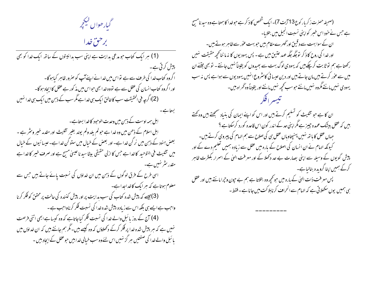گیارهواں کیکجر

برحن خدا

۔<br>(1) ہر ایک کتاب حبو مدعی ہدایت ہے اپنی سب ہدائیتوں کے ساتھ ایک *فد*ا کو بھی پیش کرتی ہے۔ اگروہ کتاب خدا کی طرف سے ہے تواس میں خدا نے اپنےآپ کو صرور ظاہر کیاہوگا۔ اور اگروہ کتاب انسان کی عقل سے ہے تووہ خدا بھی حبواس میں مذ کور ہے عقل کا ایجاد ہو گا۔ (2)ا گرچہ فی الحقیقت سب کاخالق ایک ہی خداہے مگر سب کے ذہن میں ایک ہی خدا نہیں

بستاسيے

اہل ہمہ اوست کے ذہن میں وحدت الوحبود کا خدا بستاہے۔ اہل اسلام کے ذحن میں وہ خدا ہے حولم یلد ولم یولد بغیر تثلیث اور مقدمہ خیبر ونثر ہے ۔ بعض ہنود کے ذہن میں نر گن خدا ہے۔ اور بعض کے خیال میں ستو گن خدا ہے۔ عیسا ئیوں کے خیال میں تثلیث فی التوحید کا خداہے جس کا ازلی حقیقی بیٹاسید ناعیسیٰ مسح ہے اور صرف خیبر کا خدا ہے مقدر سٹر نہیں ہے۔ اسی طرح کے فرق لوگوں کے ذہن میں ان خداؤں کی نسبت یائے جاتے ہیں جس سے معلوم ہوتاہے کہ ہر ایک کاخداجداہے۔ (3)جیسے کہ پبیش شدہ ک<sub>تل</sub>ب کی سب ہدایت پر اور پبیش کنندہ کی حالت پر محقق کو فکر کرنا واحب ہے ایسے ہی بلکہ اس سے زیادہ پیش شدہ خدا کی نسبت فکر کرناواحب ہے۔ (4) آج کے روز پائبل والے خدا کی نسبت فکر کیاجاتاہے کہ وہ کیسا ہے ابھی اتنی فرصت نہیں ہے کہ ہر پیش شدہ خدا پر فکر کرکے دکھلاؤں کہ وہ کیسے ہیں۔مگر ہم جانتے ہیں کہ ان خداؤں میں یا ئبل والے خدا کی صفتیں ہر گز نہیں اس لئے وہ سب خیالی خدابیں حبوعقل کے ایجاد بیں ۔

(صحیفہ حصرت زکریار کوع 13 آیت 7)۔ایک شخص کا ذکر ہے حبوخدا کا ہمتا ہےوہ سید نامسح ہے جس نے خود اس خسر کواپنی نسبت انجیل میں بتلایا۔ ان کے سوا بہت سے دقیق اور گھر ے مقام بیں حو بہت عور سے ظاہر ہوتے بیں۔ اور خدا کی روح کا ذکر تو جگہ جگہ عہد عتین میں ہے ۔ پس یہودیوں کا نہ ما ننا کحچھ حقیقت نہیں رکھتاہے ہم تو ثابت کرچکے ہیں کہ یہودی لوگ بہت سے بھیدوں کو یقیناً نہیں جانتے ۔ تو بھی جتنے ان میں سے عوٰر کرتے ہیں مان جاتے ہیں اور دین عیسا ئی کامشروع انہیں یہودیوں سے ہواہے پس نہ سب یهودی نهیں مانتے مگروہ نہیں مانتے حوسب کحچھ نہیں مانتے اور یقیناً وہ گھراہ بیں۔ ان کا ہے جو تثلیث کو تسلیم کرتے ہیں اور اس کو اپنے ایمان کی بنیاد سمجھتے ہیں وہ کھتے ہیں کہ عقل بیٹک عمدہ چیز ہے مگر اپنی حد کے اندر کون اس قاعدہ کورد کرسکتاہے ؟ حہاں عقل کا ہاتھ نہیں پہنچتاوہاں عقل ہی کی صلاح سے ہم الہام کی پیروی کرتے ہیں۔ کیونکہ الہام نے ان انسان کی اصلاح کے بارہ میں عقل سے زیادہ ہمیں تعلیم دے کے اور پیش گویوں کے وسیلہ سے اپنی بصارت بے حد دکھلا کے اور معرفت الهیٰ کے اسمرار بکنثرت ظاہر کرکے ہمیں اپنا گرویدہ بنالیاہے۔ پس معرفت ذات الهیٰ کے بارہ میں حو تحجیہ وہ بتلاتا ہے ہم بے حیون وحیرا مانتے بیں اور عقل ہی ہمیں یوں سکھلاتی ہے کہ الہام سے انحراف کرنابلا کت میں جانا ہے ۔ فقط -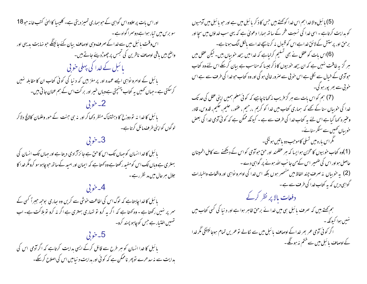اور اس بات پر علاوہ اس گواہی کے حبوبہماری تمییز دیتی ہے۔ کلیسا کا الہیٰ کتب خانہ حبو 18 سو برس میں تیار ہوا ہے دوسمرا گواہ ہے ۔ اس وقت بائبل میں سے خدا کے صرف وہی اوصاف بیان کئے جائینگے حبو نہایت بدیہی اور واضح بیں ماقی اوصاف ناظرین کی تجس پر چھوڑدیئے جاتے ہیں۔ یا ئىبل كے خدا كى پہلى حويى بائبل کے اوامرو نواہی ایسے عمدہ اور پر مغز بیں کہ د نیا کی کوئی کتاب ان کا مقابلہ نہیں کرسکتی ہے۔جہاں کھمیں ہہ کتاب پہنچتی ہےوہاں خیبر اور بر کت اس کے ہم عنان جا تی بیں۔  $\zeta$ ے خو $\zeta$ بائبل کا غدا نہ تو دوزخ کا دہشتناک منظر دکھا کر اور نہ ہی جنت کے حور وغلمان کالالج دلاکر لوگوں کواپنی طرف مائل کرتاہے۔ 3۔خوبی بائبل کاخداانسان کوجہاں تک اس کاحق ہے جائزآزادی دیتا ہے اور جہاں تک انسان کی بہعتری ہے وہاں تک اس کومفید رکھتا ہے وہ کہتا ہے کہ ایمان اور امید کے ساتھ حبوچاہو سو کرومگر خدا کا جلال ہر حال میں م*د* نظر رہے ۔ 4۔خوبی یا ئبل کا خدا چاہتاہے کہ لوگ اس کی اطاعت خوشی سے کریں وہ ساری بوجھ جبراً کسی کے سر پر نہیں رکھتا ہے - وہ کھتا ہے کہ اگر یہ کرو تو تہاری بہتری ہے اگر نہ کرو تو ہلاکت ہے- اب تههيں اختيار ہے جس کوچاہو پسند کرو۔ 5۔خوبی پائبل کا خدا انسان کو ہر طرح سے قائل کرکے ایسی بدایت کرتاہے کہ اگر آدمی اس کی ہدایت سے نہ سدھرے توپھر ناممکن ہے کہ کوئی اور ہدایت د نیامیں اس کی اصلاح کرسکے۔

(5) یا ئىل والاخدا ہم اس خدا کوچھتے ہیں جس کا ذکر یا ئىل میں ہے اور حبو یا ئىل میں آدمیوں کو ہدایت کرتاہے - اسی خدا کی نسبت فنحر کے ساتھ ہمارا دعویٰ ہے کہ یہی سب خداؤں میں سچا اور برحق اور پرستش کےلائق خداہے اس کو قسول نہ کرناسچے خداسے بالکل الگ ہوناہے۔ (6)اس بات کو عقل نے بھی تسلیم کرلیاہے کہ خدامیں بیحد حوبیاں ہیں۔ لیکن عقل میں ہر گزیہ طاقت نہیں ہے کہ ان بیحد خوبیوں کا ذکر جیسا کہ مناسب ہے بیان کر سکے اس لئے وہ کتاب حبوآدمی کے خیال سے لکلی ہے اس حنو بی سے صرور خالی ہو گی اور وہ کتاب حبوخدا کی طرف سے ہے اس ۔<br>خوبی سے بھر پور ہو گی۔<br>(7) ہم کواس بات سے ہر گز فریب مذکھاناچاہیے کہ کوئی معلم ہمیں اپنی عقل کی حد تک خدا کی حوبباں سنا کے بھے کہ ہماری کتاب میں خدا کو کریم ،رحیم ، عفور، حلیم، حکیم، قدوس، قادر وعنیرہ کہا گیا ہے اس لئے یہ کتاب خدا کی طرف سے ہے ۔ کیونکہ ممکن ہے کہ کوئی آدمی خدا کی بعض خوبیاں کھیں سے سنکر سنانے۔ گمراس باره میں تسلی کاموجب دو باتیں ہو نگی۔ (1)وہ کتاب خوبیوں کا مخزن ہوا <sup>ی</sup>سا کہ ہر عقلمند اور حن حوادمی کواس کے دیکھنے سے کامل اطمینان حاصل ہواور اس کی ضمیر اس کے من جانب اللہ ہونے پر گواہی دے ۔ (2) په خوبياں نه صرف چند الفاظ ميں منتخصر ہوں بلكہ اس خدا كى اوامرو نوابى اور واقعات واخبارات گواہی دیں کہ یہ کتاب خدا کی طرف سے ہے ۔ دفعات بالا پر نظر کرکے ہم کھتے ہیں کہ صرف پائبل ہی میں خدائے برحق ظاہر ہوا ہے اور دنیا کی کسی کتاب میں ښېيں ہوا کي**ونکہ** -اگر کوئی آدمی عمر بھر خدا کے اوصاف پائبل میں سے لکالے توعمریں تمام ہوجائینگی مگرخدا کے اوصاف با ئبل میں سے ختم نہ ہونگے۔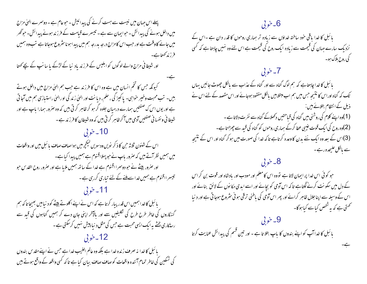پہلے اس جہان میں نیست سے ہست کرنے کی پیدائیش ۔ حبوعام ہے - دوسمرے الہیٰ مزاج میں داخل ہونے کی پیدائش - حوایمان سے ہے - تیسرے قیامت کے فرز ند ہونے پیدائش۔ حوگھر میں جانے کاوقت ہے اور حب اس کامزاج درجہ بدرجہ ہم میں پیدا ہونا سٹروع ہوجاتا ہے تب وہ ہمیں اور شیطانی مزاج والے لوگوں کو ابلیس کے فرزند یاد نیا کے لڑکے یا سانپ کے بچے کھتا کیونکہ <sup>ج</sup>س کا تخم انسان میں ہے وہ اس کا فرزند ہے جب ہم الہیٰ مزاج میں داخل ہوتے بیں۔ تب محبت وخیر حواہی۔ یا کیز گی ، حلم، دیانت اور الهیٰ زند گی او رالهیٰ راستبازی ہم میں آجا تی ہے اور یوں اس ک صفتیں ہمارے درمیان جلوہ گر ہو کر ظاہر کرتی ہیں کہ وہ صرور ہمارا باپ ہے اور شیطا نی و نفسا نی صفتیں آدمی میں آ کرظاہر کرتی بیں کہ وہ شیطان کا فرزند ہے ۔ 10 - خويي اس کے شئون ثلاثہ حن کا ذکر نویں ودسویں لیکچر میں ہواصاف صاف پائبل میں اور واقعات میں ہمیں نظر آتے ہیں کہ صرور باپ نے حو پہلااقنوم ہے ہمیں پیدا کیاہے۔ اور صرور بیٹے نے حبو دوسر ا اقنوم ہے خدا کے ساتھ ہمیں ملایا ہے اور صرور روح القد س حبو تیسر ااقنوم ہے ہمیں خداسے ملنے کے لئے تیاری کررہی ہے۔ 11۔ خوتی بائبل کا خدا ہمیں اس قدر پیار کرتا ہے کہ اس نے اپنے اکلوتے بیٹے کو دنیا میں بھیجا تا کہ ہم گنہگاروں کی خاطر طرح طرح کی تکلیفیں سے اور مالآخر اپنی جان دے کر ہمیں گناہوں کی قید سے رسنگاری بخشے ہیرایک ایسی محبت ہے جس کی مثل د نیا پیش نہیں کرسکتی ہے ۔ 12۔خوبی بائبل کا خدا نہ صرف زندہ خدا ہے بلکہ وہ عالم الغیب خدا ہے جس نے اپنے مقد س بندوں کی تسکین کی خاطر تمام آئندہ واقعات کو صاف صاف بیان کیا ہے تاکہ کسی واقعہ کے واقع ہوتے ہیں

## $6 - 6$

بائبل کا خدا یاقی حود ساختہ خداؤں سے زیادہ تر ہماری روحوں کا قدر دان ہے ۔اس کے نزد یک سارے حہان کی قیمت سے زیادہ ایک روح کی قیمت ہے اس لئے وہ نہیں چاہتا ہے کہ کسی کی روح بلاک ہو۔

7۔ خوبی بائبل کا خدا چاہتاہے کہ ہم لوگ گناہ سے اور گناہ کے عذاب سے بالکل چھوٹ جائیں یہاں تک کہ گناہ اوراس کا نتیجہ حس میں ہم اب مبتلا ہیں بالکل مفقود ہوجائے اور اس مقصد کے لئے اس نے ذیل کے انتظام بتلائے ہیں: (1)وہ اپنے کلام کی روشنی میں گناہ کی قباحتیں دکھلاکے گناہ سے نفرت دلاتا ہے ۔ (2)وہ روح کی ایک قوت غیبی عطا کرکے ہماری روحوں کو گناہ کی قید سے چھڑاتا ہے۔ (3)اس کے بعد وہ ایک نئے بدن کاوعدہ کرتاہے تاکہ خدا کی صورت میں ہوکر گناہ اور اس کے نتیجہ سے بالکل علیحدہ رہے۔

8۔ خوتی حو کوئی اس خدا پر ایمان لاتا ہے نووہ اس کامعلم اور مودب اور بادشاہ اور قوت بن کر اس کے دل میں سکونت کرنے لگتاہے تا کہ اس آدمی کو بچائے اور اسے ابدی مکانوں کے لائق بنائے اور اس کے وسیلہ سے اپنا جلال ظاہر کرائے اور پھر اس آدمی کی باطنی ترقی ہو نی سثروع ہوجا تی ہے اور د نیا حمتی ہے کہ یہ شخص کیاسے کیاہوگا-

ہے۔

 $3.5 - 9$ بائبل کا خدا آپ کو اپنے بندوں کا باپ بتلا تا ہے - اور تین فسم کی پیدائش عنایت کرتا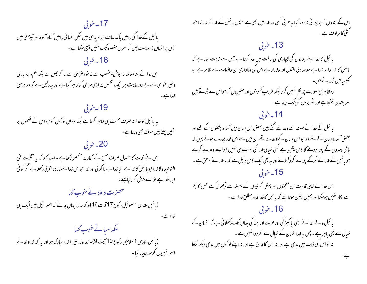17۔خوبی بائبل کے خدا کی راہیں پاک صاف اور سیدھی بیں لیکن انسا فی راہیں گناہ آلودہ اور ٹیبڑھی بیں حس پرانسان بسویست چل کرمنزل مقصود تک نہیں پہنچ سکتا ہے۔ 18۔خوبی اس خدانے اپنامعاملہ نہ حوش وعضب سے نہ خود عرصی سے نہ تحریص سے بلکہ حلم و برد بار ی وخیبر حواہی سے بے رورعایت ہر ایک شخص پر اپنی مرحنی کوظاہر کیا ہے اور یہ دلیل ہے کہ وہ برحق 19-خوبي بہ پائبل کا خدا نہ صرف محبت ہی ظاہر کرتا ہے بلکہ وہ ان لوگوں کو حبو اس کے صحموں پر نہیں چلتے ہیں خو**ت** بھی دلاتاہے۔ 20-خوبي اس نے نجات کا حصول صرف مسیح کے کفار پر منھصر رکھا ہے۔ اب کہو کہ یہ تثلیث فی التوحيد والاخداحو با ئىل كاخدا ہے سچاخدا ہے يا كو ئى اور خداحواس خدا سے زيادہ خو بى ركھتا ہے اگر كو ئى ایساخداہے تواسے پیش کرناچاہیے۔ حصرت داؤد نے خوب کہا (بائبل مقدس 1 سموئیل رکوع 17 آیت 46) تا کہ سارا جہان جانے کہ اسمرائیل میں ایک ہی خد ایے ۔ ملکہ سیانے خوب کہا (بائبل مقدس 1 سلاطین رکوع 10 آیت 9)- خداوند تیمر اخدا مبارک ہو اور یہ کہ خداوند نے اسرائیلیوں کوسدا پیار کیا۔

اس کے بندوں کو پریشا فی نہ ہو۔ کیا ہہ خوبی کسی اور خدامیں بھی ہے ؟ پس بائبل کے خدا کو نہ ما ننا خود گشی کامرادف ہے۔ 13-خوبي با ئبل کا خدا اپنے بندوں کی لاچاری کی حالت میں مدد کرتا ہے جس سے ثابت ہوتا ہے کہ بائبل کا خداواحد خدا ہے حبو صادق القول اور وفادار ہے اس کی وفاداری ان واقعات سے ظاہر ہے حبو گلیسامیں گذرتے ہیں۔ وہ ظاہری صورت پر نظر نہیں کرتا بلکہ عریب کمپینوں اور حقیروں کو حواس سے ڈرتے ہیں سمر بلندی بخشتاہے اور سٹریروں کو پٹک دیتاہے۔ 14۔ خوبی بائبل کے خدا نے بہت سے وعدے کئے ہیں بعض اس جہان میں آئندہ پشتوں کے لئے اور بعض آئندہ حہان کے لئے وہ حبواس حہان کے وعدے تھے ان میں سے اس قدر پورے ہوئے بیں کہ باقی وعدوں کے بورا ہونے کا کامل یقین ہے کسی خیالی خدا کی حرات ہی نہیں حوایے وعدے کرے حبو پائبل کے خدانے کرکے پورے کر دکھلائے اور یہ بھی ایک کامل دلیل ہے کہ یہ خدانے برحق ہے ۔ 15۔خوبی اس خدا نے اپنی قدرت ان معجزوں اور پیش گو ئیوں کے وسیلہ سے دکھلائی ہے جس کا ہم سے الکار نہیں ہوسکتا اور ہمیں یقین ہوتا ہے کہ با ئبل کاخدا قادر مطلق خدا ہے ۔ 16۔خوبی بائبل والے خدا نے اپنی پاکیز گی اور عزت اور بزر گی یہاں تک دکھلائی ہے کہ انسان کے خیال سے بھی باہر ہے۔ پس بیرضداانسان کے خیال سے لکلاہوا نہیں ہے۔ نہ تواس کی ذات میں بدی ہے اور نہ اس کا خالق ہے اور نہ اپنے لوگوں میں بدی دیکھ سکتا ے۔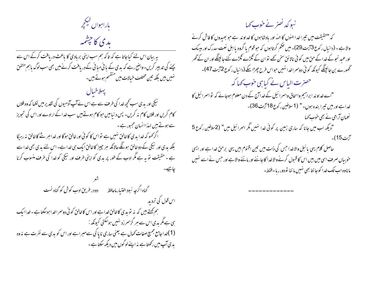باراہواں کیکجر ىدى كاچشمە

یہ بیان اس لئے کیاجاتا ہے کہ تاکہ ہم سب اپنی بربادی کا باعث دریافت کرکے اس سے یچنے کی تدبیر کریں۔واضح رہے کہ بدی کے بانی مبانی کے دریافت کرنے میں بھی سب لوگ باہم متفق پہلاخیال نیکی اور یدی سب تحجیہ خدا کی طرف سے ہے اس نے آپ آدمیوں کی تقدیر میں لکھا کہ وہ فلاں کام کریں اور فلاں کام نہ کریں۔ پس د نیامیں حبو کام ہوتے ہیں سب خدا کے ارادے اور اس کی تحویز سے ہوتے ہیں لہذاانسان مجبور ہے۔ اگر <sub>گ</sub>ھو کہ خدا بدی کاخالق نہیں ہے تواس کا کوئی اور خالق ہوگا اور خدا مبر شے کاخالق نہ رہیگا بلکہ بدی اور نیکی کے دوخالق ہونگے حالانکہ ہر جییز کاخالق ایک ہی خدا ہے۔ اس لئے بدی بھی خدا سے ہے ۔حقیقت تو ہہ ہے مگر ادب کے طور پر بدی کو اپنی طرف اور نیکی کو خدا کی طرف منسوب کرنا گناه اگرچه نبود اختیار ماحافظ می دو در طریق ادب کوش کو گناه نست اس قول کی تردید ہم کچتے ہیں کہ یہ تو بدی کاخالق خداہے اور اس کاخالق کو ئی دوسمراخداہوسکتاہے۔خداایک

ہی ہے مگر یدی اس سے ہر گزسمرزد نہیں ہوسکتی کیونکہ :-(1)خداجامع جمیع صفات کھال ہے یعنی ساری ناپا کی سےمبراہے اور اس کو بدی سے نفرت ہے نہ وہ یدی آپ میں رکھتاہے نہ اپنے لوگوں میں دیکھ سکتاہے ۔

نبو کد نصر نے خوب کہا کہ "حقیقت میں تبیرا خدا الہٰوں کا الہٰہ اور بادشاہوں کا خداوند ہے جو بھیدوں کا فاش کرنے والا ہے ۔ (دانیال رکوع3آیت29)۔ میں حکم کرتاہوں کہ حبوقوم یا گروہ یا اہل نعت سدرک اور میسک اور عبد نجوکے خدا کے حن میں کو ئی نالائق سخن کھے اتوان کے گلڑے گلڑے کئے جائینگے اور ان کے گھر گھورے بن جائینگے کیونکہ کو ئی دوسمراخدا نہیں حواس طرح چھڑا سکے (دانبال رکوع2آیت 47)۔ حصرت الباس نے کیا ہی خوب کہا کہ "اے خداوند ابراہیم واسحاق واسمرا ئیل کے خداآج کے دن معلوم ہوجائے کہ تواسمرا ئیل کا غداہے اور میں تیرا بندہ ہوں۔" (1 سلاطین رکوع18 آیت 36)۔ نعمان آرامی نے بھی حوب <sub>ک</sub>ہا "دیکھ اب میں جانا کہ ساری زمین پر کوئی خدا نہیں مگر اسرائیل میں" (2سلاطین رکوع 5 7ست**15)۔** حاصل کلام یہی یا ئبل والاخدا حس کی ذات میں تین اقنوم ہیں یہی برحق خدا ہے اور ایسی حنو بیاں صرف اسی میں بیں اس کا قسول کرنے والاخدا کا جاننے اور ماننے والا ہے اور حس نے اسے نہیں ماناوه اب تک خدا کوجا نتا بھی نہیں ما ننا تودور رہا۔فقط۔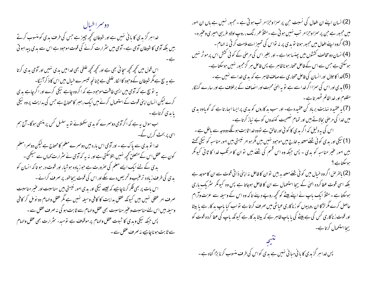دوسراخيال خدا ہر گزیدی کا بانی نہیں ہے اور شیطان کحچھ چیپز ہے جس کی طرف بدی کو منسوب کرتے بیں بلکہ آدمی کا شیطان آدمی ہے۔آدمی میں سٹرارت کرنے کی قوت موحود ہے اس سے بدی پیداہوتی اس قول میں کچھ کچھ سچائی بھی ہے اور کچھ کچھ غلطی بھی خدامیں بدی ہنیں اور آدمی بدی کرتا ہے یہ سچ ہے مگر شیطان کے وحود کا انکار غلطی ہے چنانچہ تیسرے خیال میں اس کا ذکر آئیگا-بہ تو بیج ہے کہ آدمی میں ایسی طاقت موحود ہے کہ اگروہ چاہے نیکی کرے اور اگر چاہے بدی کرے لیکن انسان اپنی قوت کے استعمال کرنے میں ایک رہبر کامحتاج ہے جس کی ہدایت پروہ نیکی یا بدی کرتاہے۔ اب سوال یہ ہے کہ اگر آدمی دوسمرے کو بدی سکھلائے تو یہ سلسل کس پر منتهی ہوگا۔آج ہم اسی پر بحث کریں گے۔ خدا نو بدی سے پاک ہے ۔ اور آدمی اس بارہ میں دوسمرے معلم کا محتاج ہے لیکن دوسمرامعلم کون ہے عقل اس کے متعلق کجھہ نہیں بتلاسکتی ہے اور نہ یہ کہ آدمی نے سٹر ارت کہاں سے سیکھی ۔ بدی کے لئے ایک ایے معلم کی صرورت ہے حبو زیادہ ہوشیار اور قوت در ہو تا کہ انسان کو بدی کی طرف زیادہ ترعیب وتحریص دے سکے اور اس کی قوت بیجاطور پر صرف کرائے ۔ اس بات پر بھی فکر کرناچاہیے کہ جیسے نیکی اور بدی امور نیستی بیں مناسبت اور عنیر مناسبت صرف امر عقلی نہیں ہیں کیونکہ عقل بدایت کا کافی وسیلہ نہیں ہے مگر عقل والہام دو نو مل کر کافی وسیلہ بیں اس لئےمناسبت وعنیر مناسبت بھی عقل والہام سے ثابت ہو گی نہ صرف عقل سے ۔ پس جبکہ نیکی وبدی کا ثبوت عقل والہام پر موقوف ہے تو مبدء سثرارت بھی عقل والہام سے ثابت ہوناچاہیے نہ صرف عقل سے۔

(2)انسان اپنے ان افعال کی نسبت حبن پر سمزاوجزا مر تب ہوتی ہے ۔ مجبور نہیں ہے ہاں ان امور میں مجبور ہے حبن پر سمزاوحزا مرتب نہیں ہو تی ہے ۔مثلاً عمر رنگ ، روپ اولاد عربیی امیر ی وعنیر ہ-(3)ا گروہ اپنے افعال میں مجبور ہوتا تو بدی پر نہ تواس کی تمیز اسے ملامت کر تی نہ الہام -(4)انسان دو مخالف کششوں میں پینسا ہوا ہے ۔اور بغیر اس کی مرضی کے کو ٹی کشش اس پر موثر نہیں ہوسکتی ہے جس سے اس کے فاعل مختار ہو ناظاہر ہے پس فاعل ہر گزمجبور نہیں ہوسکتا ہے۔ (5)غدا کاجلال اور انسان کی فاعل مختاری سے صاف ظاہر ہے کہ یدی خداسے نہیں ہے ۔ (6) بدی اور اس کی سمزاا گرخدا سے ہے تو یہ ال<sub>ن</sub>یٰ محبت اور انصاف کے برخلاف ہے اور سارے گنہگار مظلوم اور خداظالم ٹھہر تاہے۔ (7) یہ عقیدہ نہایت برباد کن عقیدہ ہے۔اور سب بد کاروں کو بدی پر ایسا اسار تا ہے کہ گویاوہ بدی میں خدا کی مرحنی بحالاتے ہیں اور تمام نصحیت کنندوں کو بے نباز کرتا ہے۔ اس کی ہہ دلیل کہ اگر بدی کا کوئی اور خالق ہے تووہ خدا ثابت ہوگگے دووجہ سے باطل ہے ۔ (1) نیکی اور بدی کوئی شئے معتد یہ خارج میں موحبود نہیں ہیں مگر ہوامر نیستی ہیں امور مناسبہ کو نیکی کھتے ہیں امور عنیر مناسبہ کو بدی - پس حبکہ وہ اس قسم کی شئے ہیں تو ان کا مرتکب خدا کا ثانی کیونکر ہوسکتاہے ؟ (2) بالفرصُ اگر وہ خیال میں کوئی شئے معتد بہ بیں توان کا فاعل نہ اپنی ذا تی قوت سے ان کا موجد ہے بلکہ اسی قوت عطا کردہ الہیٰ کے بیچا استعمال سے ان کا فاعل ہوجاتا ہے پس وہ کیونکر سٹریک باری ہوسکتا ہے ۔ مثلاً ایک باپ نے اپنے بیٹے کو کچھ روپے دیئے تاکہ وہ اس کے وسیلہ سے عزت وآرام حاصل کرے مگر لڑکا ان روپیوں کو زناکاری عیاشی میں صرف کرتا ہے نواب کیا باپ بد کار ہے یا بیٹا اور قوت ز ناکاری کس کی ہے بیٹے کی یا باپ ظاہر ہے کہ بیٹا بد کار ہے کیونکہ باپ کی عطا کردہ قوت کو

پس خدا ہر گزبدی کا با فی مبانی نہیں ہے بدی کواس کی طرف منسوب کرنا بڑا گناہ ہے ۔

بیجااستعمال کرتاہے۔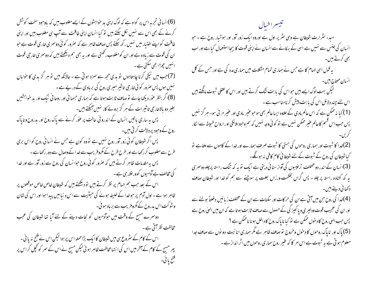(6)انسا فی تجربہ اس پر گواہ ہے کہ لوگ اپنی بد حواہشوں کے ایسے مغلوب بیں کہ باوحود سخت کوشش کرنے کے بھی اس سے نہیں لکل سکتے ہیں تو کیا انسان اپنی طاقت سے آپ ہی مغلوب بیں اور اپنی طاقت کو اپنے اختیار میں نہیں رکھ سکتے پس صاف ظاہر ہے کہ صرور کوئی دوسری خاری قوت ہے حبو ان کی قوت سے زیادہ ہے اور ان کومغلوب رکھتی ہے اور یہ بھی ہم دیکھتے بیں کہ دوسمری خارجی قوت انہیں چھڑا بھی سکتی ہے ۔ (7)جب میں نیکی کرنا چاہتاہوں تو بدی مجھ سے سمزد ہوتی ہے - حالانکہ میں تو ہر گز بدی کا خواہاں نہیں ہوں پس صرور کو ئی خارجی تاشیر میری روح کی بربادی کے درپے ہے ۔ (8)اگر بنظر عور دیکھاجائے توصاف ثابت ہوتا ہے کہ ہماری حسانی اور روحانی نیک اور بد حواہشیں بغیر دو بالاخار جی تاثیرات کے ہر گز بروئے کار نہیں آئکتے ہیں۔ پس پہ ساری پاتیں انسان کے اندرو فی حالت پر عور کرنے سے پاک روح اور بدروح وناپاک روح کے وحود پر دلالت کر تی ہیں۔ پس اگر شیطان کوئی زور آور روح نہیں ہے تووہ کون ہے جس نے انسانی روح کو اس بری طرح سے مغلوب کررکھاہے اور طرح طرح کے مکروفریب سے خدا کے وصال سے دور رکھاہے ۔ پس بہ مقدمات ظاہر کرتے ہیں کہ صرور کو ئی روح حوا نسان کی روح سے زور آور ہے اور خدا کی مخالف ہے آدمیوں کوورغلار سی ہے ۔ اس کے بعد حب ہم الہام پر نظر کرتے ہیں تو دیکھتے ہیں کہ شپطان خاص خاص موقعوں پر ظاہر ہوا ہے ۔ اول آدم پر حوضدا کے خلیفہ ہونے کی حیثیت سے اس دینیامیں پیدا ہوا اور اس کی شان وشوکت اس بدروح کے مگروفریب سے برباد ہو ئی۔ دوسرے مسج کے وقت میں حوآدمیوں کو نجات دینے کے لئے آیا تھا شیطان کی عجب مخالفت نظر آتی ہے۔ اس کے کام کے سٹروع ہی میں شیطان کاایک بڑاحملہ اس پر ہوالیکن اس نے فتیح نہ پائی۔ پھر مسیح کے کام کے آخر میں اس کی انتہامخالفت ظاہر ہو ئی لیکن مسیح نے اس کے سمر کو کچل کر اس پر فشح باني-

تيسراخيال مبدء سثرارت شیطان ہے وہی سثر پر اول ہے اوروہ ایک زور آور اور ہوشیار روح ہے ۔ حبو انسان کی جنس سے مہیں ہے اسی کے بہکانے سے انسان نے اپنی قوت کا بیچااستعمال کیا ہے اور اب بھی کرتے ہیں۔ یہ قول اسی الہام کا ہے جس نے ہماری تمام مشکلات میں ہماری مدد کی ہے اور جس کے کل انسان محتاج بين – لیکن بہت لوگ ایسے ہیں حبو اس کی بابت ننگ کرتے ہیں اور اس کا عقلی شبوت مانگتے ہیں اس لئے چند دلائل اس کی بابت پیش کرنامناسب ہے۔ (1) کیا نہ ممکن ہے کہ اس عالم مادی کے علاوہ ایساعالم بھی ہو حو عنیر مادی اور عنیر مر ئی ہو۔ ہر گز نہیں پس حب اس قسم کاعالم عنیر ممکن نہیں ہے تو کوئی وجہ نہیں کہ ہم وحود ملائکی اور ارواح خبیثہ سے الکار (2)خدا کا شبوت اور ہماری روحوں کی ہستی کا شبوت صرف ہمارے اور خدا کے کاموں سے ملتاہے تو کیاشیطان کی روح کے شبوت کے لئے شیطا فی کام کافی نہ ہو گگے۔ (3)انسان کے اندر دو مختلف ترعیسوں کی آواز سنائی دیتی ہے ایک تو یہ کہ تنگ راستہ پرچلو دوسمری یہ کہ کشادہ راستہ پر چلو - پس گراں بحکمت ورزاں بعلت پر سوچنے سے ہم کو غدا اور شیطان صاف دىھائى دىيتے ہيں۔ (4)خدا کی روح حن میں آتی ہے ان کی حرکات اور سکنات سے ان کے مختلف زبانیں دفعتاً بولنے سے اور ان کی عجیب قوت ودلپری و پا کیمز کی کے حصول سے صاف ثابت ہوتا ہے کہ ان میں الہیٰ روح ہے پس حب ایلیٰ روح کا دحول ممکن ہے نو کیا ناپاک روح کا داخل ہونا ناممکن ہے ؟ (5) پاک اور ناپاک روحوں کا دخول وخروج نوصاف ظاہر ہے مگر ہماری انا نیت دو نوں سے صاف جدا معلوم ہو تی ہے یہ شبوت ہے اس امر کا کہ عنبر روح ہماری روحوں میں اثر انداز ہے ۔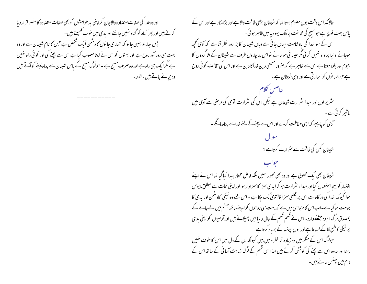اور وه خدا کی صفات متصاد ه والاجان کر اپنی بد حواہشوں کو بھی صفات متصاده کامظہر قرار دیا کرتے ہیں اور پھر گناہ کو گناہ نہیں جانتے اور بدی میں حوب تھیلتے ہیں۔ پس پہا پئو یقین جا نو کہ تہاری جا نوں کا دشمن ایک شخص ہے جس کا نام شبطان ہے اور وہ بہت ہی زور آور روح ہے اور بہتوں کو اس نے اپنامغلوب کیا ہے اس سے بچنے کی اور کو ٹی راہ نہیں ہے مگر ایک ہی راہ ہے اور وہ صرف مسح ہے ۔حبولوگ مسح کے پاس شیطان سے پناہ لینے کوآتے ہیں وہ بچائے جاتے ہیں۔فقط۔

حالانکہ اس وقت یوں معلوم ہوتا تھا کہ شیطان بڑی طاقت والاہے اور بڑامکار ہے اور اس کے یاس بہت فوج ہے حومسیح کی مخالفت پر ملک یہودیہ میں ظاہر ہو ئی۔ اس کے سوا خدا کی بادشاہت جہاں جاتی ہے وہاں شیطان کا بڑا زور نظر آتا ہے کہ آدمی تحجیہ ہوجائے د نیا پر واہ نہیں کرتی مگر عیسائی ہو جائے تو اس پر چاروں طرف سے شیطان کے شاگردوں کا ہجوم اور بلوہ ہوتا ہے اس سے ظاہر ہے کہ صرور مسیحی دین خدا کا دین ہے اور اس کی مخالف کوئی روح ہے حبوانسانوں کوابھار تی ہے اور وہی شیطان ہے۔

حاصل کلام سٹریر اول اور مبدا سٹرارت شیطان ہے لیکن اس کی سٹرارت آدمی کی مر<sup>صن</sup>ی سے آدمی میں تاثیر کرتی ہے۔ ۔<br>ادمی کوچاہیے کہ اپنی حفاظت کرے اور اس سے بچنے کے لئے *فد*ا سے پناہ مانگے۔ شیطان کس کی طاقت سے *مثر ا*رت کرتا ہے ؟

شیطان بھی ایک مخلوق ہے اور وہ بھی مجبور نہیں بلکہ فاعل مختار پیدا کیا گیا تھا اس نے اپنے اختیار کوبیجا استعمال کیا اور میداء سثر ارت ہو کر ایدی سمزا کا سمزاوار ہوا اور اپنی نجات سے مطلق ما یوس ہوا کیونکہ خدا کی در گاہ سے اس پر قطعی سمزا کافتویٰ لگ جکا ہے ۔ اس لئے وہ نیکی کادشمن اور بدی کا دوست ہو گیا ہے۔اب اس کامزہ اسی میں ہے کہ بہت سی روحوں کو اپنے ساتھ جہنم میں لے جانے کے بمصدق مرگ ا نبوہ جشنے وارد۔ اس نے قسم قسم کے جال د نیامیں پھیلائے ہیں اور آدمیوں کو اپنی بدی پر نیکی کاملمع لگا کے لساتا ہے اور یوں پینسا کے برباد کرتاہے۔ حولوگ اس کے منکر ہیں وہ زیادہ تر خطرہ میں بیں کیونکہ ان کے دل میں اس کا حوف سٰمیں رہتا اور نہ وہ اس سے یچنے کی کوشش کرتے ہیں لہذا اس قسم کے لوگ نہایت آسا فی کے ساتھ اس کے دام میں بھنس حاتے ہیں۔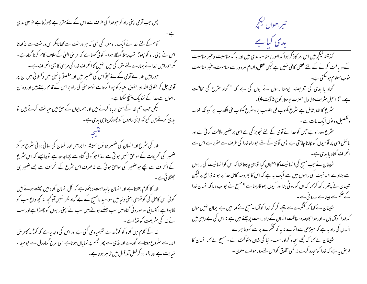یس حب آدمی اپنی راہ کو حبو خدا کی طرف سے اس کے لئے مقرر ہے چھوڑتا ہے تو یہی بدی آدم کے لئے خدا نے ایک راہ مقرر کی تھی کہ ہر درخت سے کھانامگراس درخت سے نہ کھانا اس نے اپنی راہ کو چھوڑا تب پہلا گنہگار ہوا ۔ کو ٹی کھتا ہے کہ مرضی الہیٰ کے خلاف کام کرنا گناہ ہے۔ گمگر حبوراہیں خدا نے ہمارے لئے مقرر کی بیں انہیں کا انحراف خدا کی مرضی کا بھی انحراف ہے ۔ حبوراہیں خدا نے آدمی کے لئے مجلّاً اس کی ضمیر میں اور مفصلاً یا سَلِ میں دکھلائی بیں ان پر آدمی چل کر حقوق اللہ اور حقوق العباد کو بپورا کر تاہے توسلامتی کی ر اہ پر اس کے قدم رہتے ہیں اور و ہ ان راہوں سے خدا کے نزدیک پہنچ سکتا ہے۔ کیکن جب ہم خدا کے حق برباد کرتے ہیں اور ہمیایوں کے حق میں خیانت کرتے ہیں تو یدی کرتے ہیں کیونکہ اپنی راہوں کو چھوڑ دینا ہی یدی ہے۔ خدا کی سٹرع اور انسان کی ضمیر دو نوں ہمیشہ برابر ہیں اور انسان کی بنائی ہو ئی سٹرع ہر گز ضمیر کی تحریکات کے موافق نہیں ہوتی ہے لہذ احوکوئی گناہ سے بچنا چاہتا ہے تو چاہیے کہ اس سٹرع کے انحراف سے بچے حوضہیر کی موافق ہوتی ہے نہ صرف اس سٹرع کے انحراف سے جے ضمیر ہی جھٹلاتی ہے۔ خدا کا کلام بتلاتا ہے اور انسان بالبداہت دیکھتاہے کہ کل انسان گناہ میں پہنسے ہوئے بیں کو ٹی اس کاجل کی کو ٹھڑی یعنی د نیامیں سواسید نامسیح کے لۓ گناہ نظر نہیں آتاکحچھ نہ کحچھ داغ سب کو لگاہواہے اکتسا بی اور مورو فی گناہ میں سب پہنسے ہوئے ہیں سب نے اپنی راہوں کو چھوڑاہے اور سب نے خدا کی سٹریعت کو نوڑاہے۔ خدا کے کلام میں گناہ کو کوڑھ سے تشبیہ دی گئی ہے اور اس کی وجہ بہ ہے کہ کوڑھ کامر ص اندر سے مثروع ہوتاہے گودے اور بڈی سے پھر جسم پر نمایاں ہوتاہے اسی طرح گناہ دل سے حومیداء خیالات ہے اور پختہ ہو کر فعل آمد قول میں ظاہر ہوتا ہے۔

تبيراھواں ليڪچر ىدى كىا ہے گذشته لیکچرمیں اس امر کاذ کر ہوا کہ امور نامناسبہ بدی بیں اور یہ کہ مناسبت وعنیر مناسبت کے دریافت کرنے کے لئے عقل کافی نہیں ہے لیکن عقل والہام ہر دور سے مناسبت وعنیر مناسبت حنوب معلوم ہوسکتی ہے۔ گناہ یا یدی کی تعریف یوحنا رسول نے یوں کی ہے کہ " گناہ سٹرع کی مخالفت ہے۔"( انجیل سٹریف خط اول حصرت یوحنار کوع 3 آیت 4)۔ سٹرع کا لفظ شامل ہے سٹرع مکتوب فی القلوب پر وسٹرع مکتوب فی الکتاب پر کیونکہ خلاصہ وتفصیل دو نوں ایک بات ہے۔ سٹرع وہ راہ ہے جس کو خدا نے آدمی کے لئے تجویز کی ہے اسی پر ضمیر دلالت کر تی ہے اور بائبل اسی پر آدمیوں کو چلانا چاہتی ہے پس آدمی کے لئے حبوراہ خدا کی طرف سے مقرر ہے اس سے انحراف گناه با بدی ہے۔ شیطان نے جب مسیح کی انسا نیت کا امتحان کیا تو یہی چاہتا تھا کہ اس کوانسا نیت کی راہوں سے ہٹادے انسانیت کی راہوں میں سے ایک یہ ہے کہ اس کا بھروسہ کامل خدا پر ہو نہ ذرائع پر لیکن شیطان نے پتھر رکھ کر <sub>ک</sub>ہا کہ ان کورو ٹی بنا اور کیوں بھوکار ہتا ہے ؟مسیح نے حواب دیا کہ انسان خدا کے حکم سے جیتا ہے مہ رو ٹی سے ۔ شیطان نے <sub>ک</sub>ما کہ کنگرے سے <u>نی</u>چے گر کر خدا کوآزما -مسیح نے <sub>ک</sub>ما میں بے ایمان نہیں ہوں کہ خدا کوآزماؤں - اور خدا کا وعدہ حفاظت انسان کے راہ راست پر چلنے میں ہے نہ اس کی بے راہی میں انسان کی راہ بہ ہے کہ سیڑھی سے اترے نہ یہ کہ کنگرے پر سے کود تا پھر ے-شیطان نے کہا کہ مجھے سجدہ کراور سب د نبا کی شان وشوکت لے ۔ مسیح نے کہا انسان کا فر حل ہہ ہے کہ خدا کوسحدہ کرے نہ کسی مخلوق کواس لئے دور ہواے ملعون -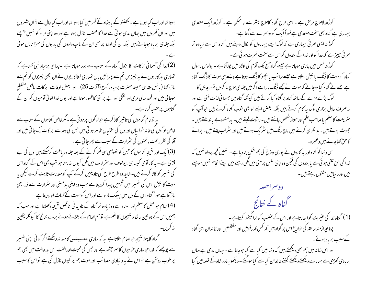ہوتا تھااور اب کیا ہورہاہے۔لکھنئو کے بادشاہ کے گھر میں کیا ہوتا تھااور اب کیاحال ہے ؟ ان شہروں میں اور ان گھروں میں جہاں بدی ہو تی ہے خدا کا عضب نازل ہوتا ہے اور وہ اپنی مراد کو نہیں پہنچتے بلکہ جلدی برباد ہوجاتے ہیں بلکہ ان کی اولاد پر بھی ان کے باپ دادوں کی بدیوں کی سزا نازل ہو تی (2)خدا کی آسمانی برکات کا نزول گناہ کے سبب سے بند ہوجاتا ہے ۔چنانچہ پرمباہ نبی کھتاہے کہ تہاری بد کاریوں نے یہ چیپزیں تم سے پھرائیں ہاں تہاری خطاکاریوں نے ان اچھی چیپزوں کو تم سے باز رکھا (بائبل مقدس صحیفہ حصرت پرمیاہ رکوع 5 آیت 25)۔ اور بعض اوقات برکات بالکل منقطع

ہوجا تی بیں اور قحط سالی مری اور تنگی اور بے بر کتی کا ظہور ہوتا ہے اور یوں خدا تعالیٰ آدمیوں کو ان کے گناہوں پرمتنبہ کرتاہے۔ یہ توعام گناہوں کی تاثیر کاذ کر ہے حولوگوں پر ہوتی ہے۔مگر خاص گناہوں کے سبب سے

خاص لوگوں کی خانہ خرابیاں اور دل کی سختیاں ظاہر ہو تی ہیں جس کی وجہ سے بر کات رک جا تی بیں اور آقا کی نظر رحمت ماتحتوں کی سٹرارت کے سبب سے پھر جاتی ہے ۔ (3)ایک اور نتیجہ گناہوں کا حس کو تھوڑی سی فکر کرنے کے بعد جلد دریافت کرسکتے ہیں دل کی بے چینی ہے۔ بد کار آدمی کیسا ہی بیوقوف اور سٹرارت میں مگن کیوں نہ رہتا ہو تب بھی اس کے گناہ اس کی ضمیر کو کاٹا کرتے ہیں۔ شاید وہ طرح طرح کی تاویلیں کرکے آپ کومعذرت ثابت کرے لیکن یہ موت کا نیش اس کی ضمیر میں ٹیسیں پیدا کردیتا ہے جب وہ اپنی بدمستی اور مثر ارت سے ذرا بھی بازآتا ہے فوراً گناہ اس کے دل میں جیسک مار تا ہے اور اس کوموت کے گھاٹ اتار دیتا ہے ۔ (4)الہام حبو عقل کامعلم اور استاد ہے وہ زیادہ تر گناہ کے نادید نی ناقص نتیجہ دکھلاتا ہے اور حب کہ ہمیں اس کے دو تین جا کا ہ نتیجوں کا علم ہے تو ہم الہام کے بتلائے ہوئے برے نتائج کا کیونکر یقین نه کرېږ

گناہ کاپہلا نتیجہ حوالہام بتلاتا ہے یہ کہ ساری مصیبتیں کامنہ نہ دیکھتے اگر کوئی اپنی ضمیر سے پوچھے کہ خداحوساری حوبیوں کاسمر جشمہ ہےاور حس کی محبت اور الفت اس بد حالت میں بھی ہم پر حوب روشن ہے تو اس نے یہ د نیاوی مصائب اور موت ہم پر کیوں نازل کی ہے تو اس کا سبب

کوڑھ لاعلاج مر ص ہے ۔ اسی طرح گناہ کاعلاج بسٹر سے نا ممکن ہے ۔ کوڑھ ایک متعدی بیماری ہے گناہ بھی سخت متعدی ہے فوراً ایک کو دوسمرے سے لگتا ہے۔ کوڑھ ایسی نفر تی بیماری ہے کہ لوگ ایسے بیماروں کو نکال دیتے ہیں گناہ اس سے زیادہ تر نفر ٹی چیز ہے کہ خدا کواور خدا کے بندوں کواس سے سخت نفرت ہو ٹی ہے۔ کوڑھ <sup>نس</sup>ل میں جاری ہوجاتا ہے جیسے گناہ آج تک آدم کی اولاد میں چلاآتا ہے - پولوس رسول گناہ کوموت کا ڈنگ یا نیش بتلاتا ہے جیسے سانپ یا بچھو کا ڈنگ ہوتا ہے ویسے ہی موت کا ڈنگ گناہ ہے جسے نے گناہ کیاوہ جانے کہ موت نے مجھے ڈنگ ماراہے اگر میں جلدی علاج نہ کروں تو مرحاؤں گا۔ لوگ بڑے مزے کےساتھ گناہ پر گناہ کیا کرتے ہیں کیونکہ گناہ میں حسما فی لذت ملتی ہے اور نہ صرف جاہل بزاری لوگ یہ کام کرتے ہیں بلکہ بعض ایسے لو بھی خوب گناہ کرتے ہیں حوآپ کو سٹریعت کامعلم یاصاحب علم اور ممتاز شخص جانتے ہیں۔ رشوت کیتے ہیں۔ بد منصوبے باندھتے ہیں۔ جھوٹ بولتے ہیں۔ ید نظری کرتے ہیں ناچ رنگ میں سٹر یک ہوتے ہیں اور سٹراب پیتے ہیں۔ پرائے كاحن كحاحات بين وعنيره -اس د نیا کو گناہ اور بد کاروں نے پوری دورخ کی ہم شکل بنادیاہے۔انہیں کحچھ پرواہ نہیں کہ خدا کی حق تلفی ہو تی ہے یا بندول کی لیکن وہ اپنی نفس پرستی میں مکن رہتے ہیں اپنے انجام نہیں سوچتے

دوسم احصه گناہ کے نتائج (1) گناہ خدا کی عنیرت کواسات اب اوراس کے عضب کو برانگیختہ کرتاہے۔ چنانچ<sub>ی</sub>رازمنہ سابقہ کی نواریخ اس پر گواہ بیں کہ <sup>کس</sup> قدر قومیں اور سلطنتیں اور <sub>خا</sub>ندان اسی گناہ کے سبب برباد ہوئے۔ اور اس زمانہ میں ہم بھی دیکھتے ہیں کہ دنیامیں کیا سے کیا ہوجاتا ہے - جہاں بدی ہے وہاں بربادی کھڑی ہے ہمارے دیکھتے دیکھتے کتنے خاندان کیا سے کیا ہوگئے ۔ دیکھو ہیادر شاہ کے قلعہ میں کیا

بیں اور د نیامیں مشغول رہتے ہیں۔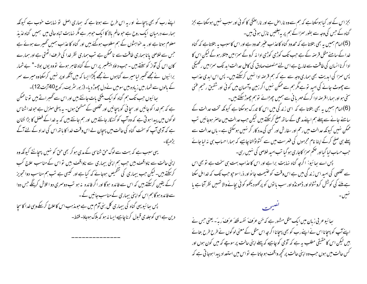اپنے رب کو بھی پہچانے او ریہ اس طرح سے ہوتا ہے کہ ہماری اصل تو نہایت حوب ہے کیونکہ ہمارے درمیان ایک روح ہے حو عالم بالا کا ایک حوہبر ہے مگر نہایت تباہ حالی میں ہمیں گناہ لذیذ معلوم ہوتا ہے اور بد حواہشوں کے ہم مغلوب ہوگئے بیں اور گناہ کا عذاب ہمیں گھیرے ہوئے ہے جس سے خلاصی پانا ہماری طاقت سے ناممکن ہے تب ہماری نظر خدا کی طرف اٹھتی ہے اور ہمارے کان اس کی آواز کو سنتے ہیں ۔ حب داؤد پیغمبر پر اس کے گناہ ظاہر ہوئے تووہ یوں بولا۔" بے شمار برائیوں نے مجھے گھیر لیامیرے گناہوں نے مجھے پکڑا ایسا کہ میں آنکھ اوپر نہیں کرسکتاوہ میرے سر کے مالوں سے شمار میں زیادہ بیں سومیں نے دل چھوڑ دیا- (زبور سٹریف رکوع40آیت12)۔ سِائیوں جب تک ہم گناہ کوایک بلکی بات جانتے ہیں اور اس سے گھسراتے ہیں تو ناممکن ہے کہ ہم خدا کو جانیں اور سچا ئی کو پہچانیں اور مخلصی کے مشحق ہوں۔ یہ پہلی منزل ہے حوضداشناس لوگوں میں پیدا ہو تی ہے کہ وہ آپ کو گنہگار جانتے ہیں اور ہم جانتے ہیں کہ یہ خدا کے فضل کا بڑا نشان ہے کہ آدمی آپ کوسخت گناہ کی حالت میں پہچان لے اس وقت خدا کا باتھ اس کی امداد کے لئے آگے یہی سبب ہے کہ بہت سے لوگ حق شناسی کے مدی ہو کر بھی حق کو نہیں پہچانتے کیونکہ وہ اپنی حالت سے ناواقف ہیں جب ہم اپنی بیماری سے ناواقف ہیں تو اس کے مناسب علاج کب کرسکتے ہیں۔لیکن جب بیماری کی تشخیص ہوجائے کہ کیا ہے اور کیسی ہے تب ہم مناسب دوا تجویز کرکے یقین کرسکتے ہیں کہ اس سے فائدہ ہوگا اور اگر فائدہ یہ ہو تب دوسری دو ا تلاش کرینگے جس دوا سے فائدہ ہوگا ہم اس کواپنی بیماری کےمناسب جانیں گے۔ پس سائیویهی گناه کی بیماری کل بنی آدم میں ہے حبومذہب اس کاعلاج کرسکے وہی خدا کاسچا دین ہے اسی کوجلدی قبول کرناچاہیے ایسا نہ ہو کہ ہلاک ہوجاؤ۔ فقط۔

بجز اس کے اور کیا ہوسکتا ہے کہ ہم سے وہ ناراحل ہے اور ناراحنگی کا کو ٹی اور سبب نہیں ہوسکتا ہے بجز گناہ کے حس کی وجہ سے بطور سمزا کے ہم پر بہ آفتیں نازل ہو تی ہیں۔ (5)الہام ہمیں یہ بھی بتلاتا ہے کہ محدود گناہ کاعذاب عنیر محدود ہے اور اس کاسبب یہ بتلاتاہے کہ گناہ خدا کے سامنے مثل قرصہ کے ہے جب تک کوڑی کوڑی ادا نہ کرو گے سمزامیں مبتلار ہو گے لیکن اس کا ادا کرنا انسان کی طاقت سے خارج ہے اس لئے منصف صادق کی کامل عدالت اید تک سمزامیں رکھیگی پس سمزا کی ایدیت بھی ہماری وجہ سے ہے کہ ہم قرصہ ادا نہیں کرسکتے ہیں۔ پس اس ایدی عذاب سے چھوٹ جانے کی امید تو ہے مگر ہم سے ممکن نہیں اگر زمین وآسمان میں کوئی اور شفیق رحیم عنی سخی ہو اور ہمارا قرصہ ادا کرکے مہر یا ٹی سے ہمیں چھڑائے تو ہم چھوڑ سکتے ہیں۔ (6)الہام ہمیں یہ بھی بتلاتا ہے کہ اسی زند گی میں اس کا تدرک ہوسکتا ہے کیونکہ تخت عدالت کے سامنے جانے سے پہلے ہم اپنے مدعی کے ساتھ صلح کرسکتے ہیں لیکن حب عدالت میں حاصر ہوجا ئیں شب ممکن نہیں کیونکہ عدالت میں رحم اور سفارش اور کسی کی مدد کار گر نہیں ہوسکتی ہے۔ باں عدالت سے پہلے ہی صلح کرکے اپنا نام مجرموں کی فہرست میں سے کٹواڈالنا چاہیے کہ ہمارا حساب ہی نہ لیا جائے حب حساب لیا گیا اور ضحم سمزا کاجاری ہوگیا تب امید خلاصی کی نہیں رہی۔

پس اے سِپائیو: اگرچہ گناہ نہایت براہے اور اس کاعذاب بہت ہی سخت ہے تو بھی اس سے مخلصی کی امید اس زند کی میں ہے اس وقت کو عنیمت جا نو اور ذراسو حیو حب تک کہ خدا مل سکتا ہے ملنے کی کوشش کروٹٹولواور ڈھونڈواور سب یا نوں کو پر کھودیکھو کوئی بچانےوالا تہہیں نظر آتا ہے یا

سائیوعر بی زبان میں ایک مثل مشور ہے کہ مَن عرَفَ نفسہ فَقدَ عرَفَ رَبِّہَ۔ یعنی حس نے اپنے آپ کو پہچانا اس نے اپنے رب کو بھی پہچانا اگر چہ اس مثل کے معنی لوگوں نے طرح طرح بتائے بیں لیکن اس کا حقیقی مطلب ہیرہے کہ آدمی کو چاہیے کہ پہلے اپنی حالت پر سوچے کہ میں کون ہوں اور <sup>ک</sup>س حالت میں ہوں حب وہ اپنی حالت پر کحچھ واقف ہو جاتا ہے تو اس میں استعداد پیدا ہوجا تی ہے کہ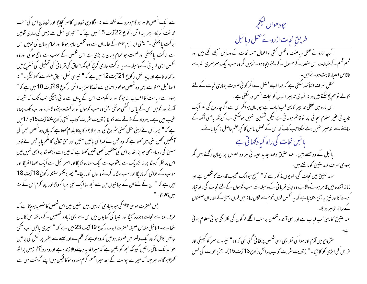سے ایک شخص ظاہر ہوگا حومرد کے نطفہ سے نہ ہوگا وہی شیطان کاسمر کچایگا اور شیطان اس کی سخت مخالفت کریگا۔ پھر پیدائش رکوع 22 آیت 15 میں ہے کہ " تیمری نسل سے زمین کی ساری قومیں بر کت پائینگی ۔" یعنی ابراہیم ﷺ کے خاندان سے وہ شخص ظاہر ہوگا اور تمام جہان کی قومیں اس سے بر کت پائینگی اور لعنت حبو تمام حہان پر پڑی ہے اس شخص کے سبب سے دفع ہو گی اور وہ شخص اپنی قریا فی کےوسیلہ سے یہ برکت جاری کر لگا کیونکہ اسحاق کی قریا فی کی تمثیل کی تستریح میں بہ کھاجاتا ہے اور پیدائش رکوع 21 آیت 12 میں ہے کہ " تیری نسل اسحاق علاقے سے کھلائیگی ۔" نہ اسماعیل علائقا سے پس وہ شخص موعود اسحاق سے لکایگا نیز پیدائش رکوع 49 آیت 10 میں ہے کہ " یہودا سے ریاست کا اعصا جدا نہ ہوگا اور نہ حکومت اس کے پاؤں سے جا تی رہیگی جب تک کہ شیلا نہ آئے اور قومیں اس کے پاس اکٹھی ہونگی یعنی وہ سب قوموں کو برکت دینےوالاہے اور اب تک پردہ عنیب میں ہے۔ یہوداہ کے فرقے سے لکایا (توریت سٹریف کتاب گنتی رکوع 24 آیت 15 تا 17میں ہے کہ " پھر اس نے اپنی مثل کھنی سٹروع کی اور بولا بعو کا بیٹا بلعام کھتا ہے کہ بال وہ شخص جس کی سنکھیں تھل گئی بیں کھتاہے کہ وہ جس نے *خد*ا کی ماتیں سنیں اور حق تعالیٰ کا علم یایا جس نے قادر مطلق کی رویاد بھی جو پڑا تھا پر اس کی آنکھیں تھلی تھیں کھتا ہے کہ میں اسے دیکھو گا پر ابھی نہیں میں اس پر نظر کرونگا پر نہ نزدیک سے یعقوب سے ایک ستارہ لکلیگا اور اسمرائیل سے ایک عصا اٹھیگا اور مواب کے نواحی کوماریگا اور سب ہنگامہ کرنےوالوں کوماریگا-" پھر دیکھو استشنار کوع 18 آیت 18 میں ہے کہ " ان کے لئے ان کے سائیوں میں سے تجھ سا ایک نبی برپا کروںگا اور اپنا کلام اس کے منہ میں ڈالو نگا۔"

پس حصرت موسیٰ ﷺکی حبو بنیادی کتابیں ہیں انہیں میں اس شخص کا تصفیہ ہوچکا ہے کہ فرقہ یہودا سے نجات دہندہ آئیگا اور انبیا کی کتابوں میں اس سے بھی زیادہ تفصیل کے ساتھ اس کاحال لکھا ہے۔ (بائبل مقدس صحیفہ حصرت ایوب رکوع 19 آیت 23 میں ہے کہ " میری پاتیں اب لکھی جاتیں کاش کہ وہ ایک دفتر میں قلمبند ہوتیں کہ وہ لوہ کہ قلم سے اور سیسے سے پتھر پر نقش کی جاتیں حواید تک یاقی رہتیں کیونکہ مجھ کو یقین ہے کہ میرافد بہ دینےوالا زندہ ہے اور وہ روز آخر زمین پراٹھ کھڑا ہوگا اور ہر چند کہ میرے پوست کے بعد میر احبھم کرم خوردہ ہوگا لیکن میں اپنے گوشت میں سے

جيود ھوال ڪيججر طریق نجات ازرونے عقل و با <sup>ئىب</sup>ل اگر چہ ازروئے عقل ریاصنت و نفس کثی او اعمال حسنہ نجات کے وسائل سمجھے گئے ہیں اور محسم قسم کے خیالات اس مقصد کے حصول کے لئے ایجاد ہوئے بیں مگروہ سب ایک سمر سمری نظر سے ناقابل اعتبار ثابت ہوتے ہیں۔ عقل صرف اتنا کھہ سکتی ہے کہ خدا اپنے فصل سےاگر کوئی صورت ہماری نجات کے لئے نکالے تو ہم پچ سکتے ہیں ور نہ انسا فی تدبیر انسان کو نحات <sup>من</sup>ہیں دلاسکتی ہے ۔ اس بارہ میں عقلی تدابیر کا یہی لب لباب ہے حو بیان ہوامگراس سے اگر چہ روح کی نظر ایک نادید نی عنیر معلوم سچائی پر تو قائم ہوجاتی ہے لیکن تسکین تنہیں ہوسکتی ہے کیونکہ باطنی آنکھ کے سامنے سے اندھیر انہیں ہٹ سکتاحب تک کہ اس کے فصل خاص کانحچھ علم حاصل نہ کیاجائے -یا ئبل نجات کی راہ کیا دکھاتی ہے بائبل کے دو جصے ہیں۔ عہد عتیق وعہد جدید عیسائی ہر دو حصوں پر ایمان رکھتے ہیں مگر یهودی صرف عهد عتیق کومانتے ہیں۔ عہد عتین میں نحات کی راہ یوں مذکور ہے کہ " مسح حبوا یک عجیب قدرت کاشخص ہے اور زمانہ آئندہ میں ظاہر ہونےوالاہے وہ اپنی قریا فی کے وسیلہ سے سب قوموں کے لئے نجات کی راہ تیار کرے گا اور نیز یہ بھی بتلادیاہے کہ یہ شخص فلاں قوم سے فلاں زمانہ میں فلاں بستی کے اندر ان صفتوں کے ساتھ ظاہر ہوگا۔ عہد عتیق کا یہی لب لباب ہے اور اسی آئندہ شخص پر سب اگلے لوگوں کی نظر لگی ہو ئی معلوم ہو تی ۔<br>سثروع میں آدم اور حوا کی نظر بھی اسی شخص پر لگا ئی گئی تھی کہ وہ " تیرے سمر کو مجلیگی اور تواس کی ایڑمی کو کاٹیگا۔" (توریت سٹریف کتاب پیدائش رکوع13 آیت 15)۔ یعنی عورت کی نسل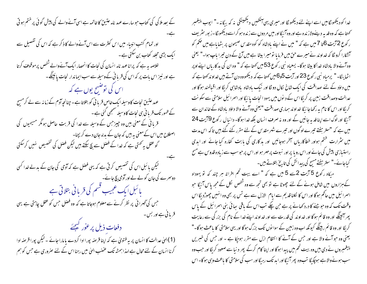کے بعد ملا کی کی کتاب حبوسارے عہد نامہ عتین کا خاتمہ ہے اسی آنے والے کی پیش گو ٹی پر ختم ہو تی اور تمام کتب انبیاء میں اس کثرت سے اس آنے والے کا ذکر ہے کہ اس کی تفصیل سے ایک بڑی مجلد کتاب بن سکتی ہے۔ ۔<br>خلاصہ یہ ہے کہ پرانا عہد نامہ انسان کی نجات کا انحصار ایک آنے والے شخص پر موقوف کرتا ہے اور نیز اس بات پر کہ اس کی قربا فی کے وسیلہ سے سب ایماندار نجات یا ئینگے۔ اس کی توضیح یوں ہے کہ عہد عتیق نجات کاوسیلہ ایک خاص قربا فی کو بتلاتاہے۔چنانچہ آدم کے زمانہ سے لے کرمسح کے ظہور تک قریا فی سی نحات کاوسیلہ سنجھی گئی ہے ۔ قربانی کے معنی بیں وہ چیز جس کے وسیلہ سے غدا کی قربت حاصل ہو مگر مسیحیوں کی اصطلاح میں اس کے معنی بیرہیں کہ جان کے بدلہ جان دے کر بچنا۔ گو عقل یہ کھتی ہے کہ خدا کے فصل سے بچ سکتے ہیں لیکن فصل کی تخصیص نہیں کرسکتی ۔<br>لیکن بائبل اس کی تخصیص کرتی ہے کہ یہی فضل ہے کہ آدمی کی جان کے بدلے *خد*ا کسی دوسرے کی جان کولے لے اور آدمی بچ جائے۔ یا ئبل ایک عجیب قسم کی قریا ٹی بتلائی ہے جس کی گھرائی پر نظر کرنے سے معلوم ہوجاتا ہے کہ وہ فصل جس کو عقل چاہتی ہے یہی قربانی ہے اور بس۔<br>**دفعات ذیل** برعور کیجئے (1)الهیٰ عدالت کا انسان پر یہ فتویٰ ہے کہ اپنا قرصہ ب<sub>ی</sub>ورا ادا کردے یا مارا جائے ۔لیکن بپورا قرصہ ادا کرنا انسان کے لئے محال ہے لہذا ہمشہ تک عضب الہیٰ میں رہنا اس کے لئے صروری ہے جس کو ہم

خدا کودیکھونگامیں اسے اپنے لئے دیکھونگا اور میری یہی آنکھیں دیکھینگی نہ کہ بیگانہ -" ایوب پیغمبر کھتاہے کہ وہ فدیہ دینےولاز ندہ ہے اور وہ آئیگا اور میں مر دوں سے زندہ ہو کر اسے دیکھورگا۔زبور سٹریف ر کوع 2آیت 6تا 7 میں ہے کہ " میں نے اپنے بادشاہ کو کوہ مقدس صیحون پر بٹھایاہے میں حکم کو آتئکارا کرو لگا کہ خداوند نے میرے حن میں فرمایا تومیرا بیٹا ہے میں آج کے دن تیرا باپ ہوا۔" یعنی وہ آنے والا بادشاہ خدا کا بیٹا ہوگا۔ یسعیاہ نبی رکوع 53 میں کھتا ہے کہ " وہ ان کی بد کاریاں اپنےاوپر اٹھایئگا-" پرمیاہ نبی رکوع 23 اور آیت 5و6 میں کھتا ہے کہ دیکھووہ دن آتے ہیں خداوند کھتا ہے کہ میں داؤد کے لئے صداقت کی ایک شاخ لکال دو ٹکا اور نیک بادشاہ بادشاہی کریگا اور اقبالمند ہوگا اور عدالت وصداقت زمین پر کریگا اس کے دیوں میں یہود انجات یا ئیگا اور اسرائیل سلامتی سے سکو نت کریگا اور اس کا نام پہ رکھاجائیگا خداوند ہماری صداقت "یعنی وہ آنے والا داؤد بادشاہ کے خاندان سے آئیگا اور لوگ اسے اپنا فدیہ جانیں گے اور وہ نہ صرف انسان بلکہ خدا ہوگا- دانبال رکوع 79میت 24 میں ہے کہ "ستر ہفتے تیرے لوگوں اور تیرے شہر مقدس کے لئے مقرر کئے گئے بیں تاکہ اس مدت میں سٹرارت شختم ہواور خطاکاریاں سمخر ہوجائیں اور بد کاری کی بابت کفارہ کیا جائے اور ابدی راستیازی پیش کی جائے اور اس رو یا پر اور نبوت پر مہر ہو اور اس پر حبوسب سے زیادہ قدوس ہے مسح کیاجائے۔" ستر ہفتے مسیح کی پیدائش کی تاریخ بتلاتے ہیں۔

میکاہ رکوع 5 آیت 2سے 5 میں ہے کہ " اے بیت کحم افرانہ ہر چند کہ تو یہوداہ کےہزاروں میں شامل ہونے کے لئے مچھوٹا ہے تو بھی تجھ سے وہ شخص لکل کے مجھ پاس آئیگا حبو اسمرا ئیل میں حاکم ہوگا اور اس کا لکلنا قدیم سے ایام الازل سے ہے تس پر بھی وہ انہیں چھوڑدیگا اس وقت تک کہ وہ حوجنے کا درد کھانے پر ہے حن چکے تب اس کے باقی سائی بنی اسرائیل کے پاس پھر آئینگے اور وہ قائم ہوگا اور خداوند کی قدرت سے اور خداوند اپنے خدا کے نام کی بزر گی سے رعایت کریگا اور وہ قائم رہینگے کیونکہ اب وہ زمین کے سوا نوں تک بزرگ ہوگا اور یہی سلامتی کا باعث ہوگا-" یعنی وہ حبو آنے والا ہے اور حس کے آنے کا انتظام ازل سے مقرر ہوچکا ہے ۔ اور حس کی خبریں پیغمبروں نے دی بیں وہ بیت کحم میں پیدا ہوگا اور اپنا کام کرکے پھر د نیا سے صعود کریگا اور حب وہ سب ہونے والا ہے ہوچکیگا تب وہ پھر آئیگا اور ابد تک رہیگا اور سب کی سلامتی کا باعث وہی ہوگا۔اس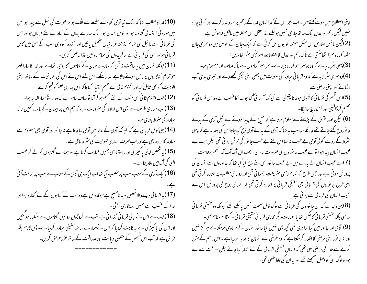(10)خدا کامطلب تھا کہ ایک نیا آدمی گناہ کے سلسلے سے الگ ہو کر عورت کی نسل سے پیدا ہو جس میں مورو ٹی اکتسا بی گناہ نہ ہو اور کامل انسان ہو۔ تا کہ سارے جہان کے گناہ کے لئے قربان ہواور اس کی قربانی سے بائبل کی تمام گذشتہ قربانیاں مکمیل پائیں اور آئندہ کووہی سب کے حق میں کامل قربانی ہواور اسی کی قربانی سے برگزیدوں کی تمام روحیں عذاحاصل کریں۔ (11)جونکہ انسان میں یہ طاقت نہ تھی کہ سارے جہان کے گناہوں کا بوجھ اٹھائے اور خدا کا سارا قہر حبو تمام گنہگاروں پرنازل ہونے والا ہے سہار سکے۔ اس لئے اس نے اس کی انسانیت کے ساتھ اپنی الوہیت کو بھی شامل کیااور اقنوم ثا فی نے جسم اختیار کیا تاکہ اس ساری مہم کو فتح کرے۔ (12) جب اقنوم ثا فی اس مقصد کے لئے مجسم ہو کرآیا توصاف ظاہر ہے کہ وہ ارادۃً ہمارافد بہ ہوا۔ (13)اب ہماری طرف سے بھی اس ارادہ کی صرورت ہے کہ ہم اس پر ایمان کے باتھ رکھیں تاکہ مبادله کی سثر ط پوری ہو۔ (14) بہی کامل قربا فی ہے کہ کیونکہ آدمی کے بدلہ میں آدمی لیاجاتا ہے نہ جانور اور آدمی بھی معصوم ہے مبادلہ کا ارادہ بھی ہے اور اب صرف ہماری قبولیت کی سٹرط باقی ہے۔ (15) بہ شخص اپنی یا کیمز کی اور راستیازی ہمیں عنایت کرتاہے اور ہمارے گناہوں کو لے کر عضب الہٰیٰ کی آگ میں جلادیتا ہے۔ (16)ایک آدمی کے سبب سب پر عضب آیا تعااب ایک ہی آدمی کے سبب سے سب پر برکت آتی (17) یہ قربانی دینےوالاشخص سید نامسج ہے حبوقدوس ہے وہ سب کے گناہوں کے لئے کفارہ ہوااور خدا کے عضب سے ہمیں رسنگاری بخش ۔ (18)جب سے اس نے اپنی قربانی گذرانی ہے سب سے کروڑوں روحیں گناہوں سے سبکیار ہو گئیں اور اس کی پا کمیز گی نے بہ ثابت کرد ما کہ اس نےہمارے ساتھ حقیقی میادلہ کرلیا ہے۔ پس لازم بلکہ فرص ہے کہ آپ اس شخص کے متعلق دیانت اور صداقت کے ساتھ عور حوص کریں۔

نہیں لیکن رحم اور عدل ایک ساتھ جاری نہیں ہوسکتے لہذاعتل اس مسئلہ میں بالکل <sub>خاموش</sub> ہے ۔ (2)لیکن یا ئبل مقدس اس مشکل مسئلہ کو پوں حل کرتی ہے کہ ایک جان کے عوص میں دوسمری جان بطور كفاره سمزااٹھاسكتى ہے تاكہ رحم اور عدل كااقتضا پوراہوليكن سثر ائط ذيل: (3) پہلی سٹرط ہہ ہے کہ وہ دوسمراحو کفارہ دیتا ہے۔ سمراسمر گناہوں سے پاک صاف اور معصوم ہو۔ (4)دوسمری سٹرط بہ ہے کہ وہ قریا نی مبادلہ کی صورت میں یعنی اپنی نیکی تجھے دے اور تبیری بدی آپ اٹھانے اور اپنی مرضی سے۔ (5)اس قسم کی قربانی کا قسول ہوجانا یقینی ہے کیونکہ آسمانی گ حبو خدا کاعضب ہے وہ اس قربانی کو بعسم کرڈالیگی اور گنہگار بچ جا ئیگا-(6) لیکن عہد عتیق کے پڑھنے سے معلوم ہوتا ہے کہ مسج کے پیدا ہونے سے قبل آدمی کے بدلے جا نور ذبح کئے جاتے تھے حالانکہ مناسب بہ تھا کہ آدمی کے بدلے آدمی ذبح کیاجاتااس کی وجہ بہ ہے کہ پہلی سٹرط کے روسے کوئی آدمی بے عیب نہ تھا اس لئے بے عیب جا نور کی تلاش ہوتی تھی لیکن جب بے عیب انسان پیداہوا توبے عیب جانوروں کی صرورت نہ رہی۔ بمصداق آنکہ آب آمد شیم برخاست -(7) بے عیب انسان کے بدلے میں بے عیب جانور اس لئے ذبح کیا گیا تھا کہ جانوروں سے انسان کی پرورش ہو تی ہے اور حس طرح کہ تمام رسمی سثر یعت حسمانی تھی اور روحا فی مطلب پر اشارہ کرتی تھی اسی طرح جا نوروں کی قربا فی بھی حقیقی قربا فی پر اشارہ کرتی تھی کہ انسا فی روح کی پرورش اس بے عیب انسان کی قربانی سے ہوتی ہے۔ (8) بہی و*جہ ہے* کہ ان جا نوروں کی قریا نی سے لوگ کامل صحت نہیں پا<u>سکتے تھے</u> کیونکہ وہ حقیقی قریا نی نە تھى بلكە حقيقى قريا فى كاعكس تھا يا بعبارت دېگرمحازى قريا فى حقيقى قريا فى كے قائم مقام تھى-(9) آدمی اور جا نور میں کیا برا بری تھی تھچیہ بھی نہیں کیاجا نور انسان کے مساوی ہوسکتا ہے ہر گز نہیں اور نہ جا نور اپنی مرصٰی کا اظہار کرسکتا ہے کہ وہ حنوشٰی سے انسان کا فدیہ ہورہا ہے ۔ اس رسم کے مقرر کرنے سے غدا کی مرحنی یہی تھی کہ انسان حقیقی قربانی کے لئے تبار کیاجائے لیکن معرفت سے بے بہرہ لوگ اسی کواصل منتجھتے تھے اور یہ ان کی علط فہمی تھی۔

اپنی اصطلاح میں موت کھتے ہیں۔ اب بجز اس کے کہ انسان خدا کے رحم پر بھروسہ ر کرے اور کو ٹی چارہ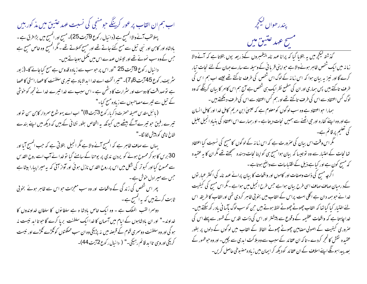اب ہم ان القاب پر عور کرینگے حومنجی کی نسبت عہد عتیق میں مذ کور ہیں پہلالقب آنے والا المسح ہے (دا نیال رکوع 9آیت 25)۔مسح اور المسح میں بڑا فرق ہے ۔ بادشاہ اور کابن اور نبی تیل سے مسح کئے جاتے تھے اور مسیح کھلاتے تھے ۔ مگر المسیح وہ خاص مسیح ہے جس کےوہ سب نمونے تھے اور تینوں عہدے اس میں پھمل ہوجاتے بیں۔ دا نبال رکوع 9آیت 25 "اور اس پر حبوسب سے زیادہ قدوس ہے مسح کیاجائے گا-(زبور ىثر يف ركوع 45 آيت 6و7)- "تيرا تخت اسے خدا ابدالاباد ہے تيري سلطنت كاعصاراستى كاعصا ہے توصداقت کا دوست اور سثرارت کا دشمن ہے ۔اس سبب سے خدا تیرے خدا نے تجھ کو حنوشی کے تیل سے تیرےمصاحبوں سے زیادہ مسح کیا۔" ( پائبل مقدس صحیفہ حصرت ذکر پار کوع 3 آیت 8)" اب اے یہو سوع سمر دار کابن سن تواور تیرے رفیق حو تیرے آگے بیٹھے ہیں کیونکہ یہ اشخاص بطور نشا فی کے ہیں کہ دیکھ میں اپنے بندے شاخ نامي كوپيش لاؤ نگا-" بہاں سے صاف ظاہر ہے کہ المسح آنے والا ہے مگر انجیل بتلائی ہے کہ جب المسح آیا اور 30 برس کا ہو کر ممسوح ہونے کو یردن ندی پر یوحنا کے سامنے گیا تو غدا نے آپ اسے روح القد س سے ممسوح کیا اور کبوتر کی شکل میں اس پر روح القدس نازل ہوئی اور آواز آئی کہ یہ میرا پبارا بیٹا ہے جس سے میرادل خوش ہے۔ پھر اس شخص کی زند گی کے واقعات اور وہ سب معمِزات حبو اس سے ظاہر ہوئے بخو بی ثابت کرتے ہیں کہ بہ انمسح ہے۔ دوسرا لقب الملك ہے - وہ ايك خاص بادشا ہ ہے سلطانوں كا سلطان خداوندوں كا خداوند-" اور ان بادشاہوں کے ایام میں آسمان کا خدا ایک سلطنت برپا کرے گا حو تا اید نیست نہ ہو گی اور وہ سلطنت دوسمری قوم کے قبصنہ میں نہ پڑیکی وہ ان سب مملکتوں کوٹکڑے ٹکڑے اور نیست کریگی اور وہی تااید قائم رہیگی۔" ( دانبال رکوع<sup>72</sup>تب 44)۔



کرے گا اور نیز یہ بیان ہوا کہ اس زمانہ کے لوگ اس شخص کی طرف تاکتے تھے جیسے اب ہم اس کی طرف تاکتے ہیں پس ہماری اور ان کی مطمع نظر ایک ہی شخص ہے آج ہم اس کاامر کا بیان کرینگے کہ وہ لوگ کس اعتقاد سے اس کی طرف تاکتے تھے اور ہم کس اعتقاد سے اس کی طرف دیکھتے ہیں ۔ ہمارا حبواعتقاد ہے وہ سب لوگوں کومعلوم ہے کہ عیسیٰ ابن مریم کامل خدا اور کامل انسان ہے اور وہ اپنے کفارہ اور حی ایٹھنے سے ہمیں نجات دیتا ہے - اور ہمارے اس اعتقاد کی بنیاد انجیل جلیل کی تعلیم پرقائم ہے۔ گھر اس وقت اس بیان کی صرورت ہے کہ اس زمانہ کے لوگوں کامسیح کی نسبت کیا اعتقاد تھا نجات کے اعتبار سے وہ توجیسا کہ بیان ہوامسیح ہی کواپنا نجات دہندہ سمجھتے تھے مگران کا یہ عقیدہ کہ مسح کون ہے اور کیاہے ذیل کے اقتساسات سے واضح ہوتاہے ۔ اگر چہ مسیح کی ذات وصفات اور کاموں اور واقعات کا بیان پرانے عہد نامہ کی اکثر عبار توں کے درمیان صاف صاف اسی طرح بیان ہوا ہے جس طرح انجیل میں ہوا ہے ۔ مگر اس مسیح کی کیفیت خدا نے حبو ہمہ دان ہے اگلی امت پراس کے القاب میں بخو بی ظاہر کردی تھی اورالقاب کا طریقہ اس لئے اختیار کیا گیا تھا کہ القاب چھوٹے چھوٹے لفظ ہوتے ہیں حن کو سب لوگ بآسا فی باد رکھ سکتے ہیں۔ خداجاہتا ہے کہ واقعات عظیمہ کے وقوع سے پیشتر اور اس کی ذات اقدس کے ظہور سے پہلے اس کی صروری کیفیت کے اصولی مصامین چھوٹے چھوٹے الفاظ کے القاب میں لوگوں کے دلوں پر بطور عقیدہ نقش کالحجر کردے۔ تاکہ ان عقائد کے سبب سے وہ بلاکت ابدی سے بچیں۔ اور وہ حوظہور کے بعد پیدا ہونگے اپنے اسلاف کے ان عقائد کو دیکھ کر ایمان میں زیادہ مضبوطی حاصل کریں۔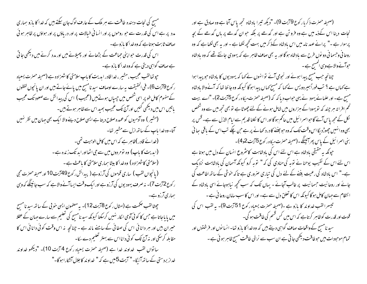(صحیفہ حصرت ذکریار کوع 79بیت 9)۔ "دیکھ تیبرا بادشاہ تحجھ پاس آتا ہے وہ صادق ہے اور نجات دینا اس کےذمہ میں ہے وہ فرو تن ہے اور گدھے پر بلکہ حوان گدھے پر ہاں گدھے گے بچہ پرسوار ہے ۔" پرانے عہد نامہ میں اس بادشاہ کےذکر میں بہت کجپھ لکھا ہے ۔ اور یہ بھی لکھا ہے کہ وہ روحا فی وجسما فی دو نوں طرح سے بادشاہ ہو گا اور بہ بھی صاف ظاہر ہے کہ یہودی جانتے تھے کہ وہ بادشاہ حوآنے والاہے وہی المسح ہے۔

چنانچہ جب مسح پیدا ہوئے اور نجومی آئے تو انہوں نے کہا کہ یہودیوں کا بادشاہ حو پیدا ہوا ہے کہاں ہے ؟ تب فوراً ہیر دویس نے کہا کہ مسیح کہاں پیدا ہو گا کیونکہ وہ جا نتا تھا کہ آنے والا بادشاہ مسح ہے۔اور علمائے یہود نے یہی حواب دیا کہ کہ (صحیفہ حصرت میکاہ رکوع 5آیت2)۔ "اے بیت گھم افرا تہ ہر چند کہ نویہودا کے ہزاروں میں شامل ہونے کے لئے چھوٹا ہے نو بھی تجھ میں سے وہ شخص نکل کے مجھ پاس آئے گا حبواسمرا ئیل میں حاکم ہو گا اور اس کا نکلنا قدیم سے ایام الازل سے ہے۔ قس پر بھی وہ انہیں چھوڑد یگا اس وقت تک کہ وہ حوجننے کا درد کھانے پر ہے حن چکے تب اس کے باقی سائی بنی اسرائیل کے پاس پھرآئینگے۔(صحیفہ حصرت میکاہ رکوع 5آیت2و4)۔

حپونکہ یہ حقیقی بادشاہ ہے اس لئے اس کی بادشاہت کائشروع انسان کے دل میں ہوتا ہے اس لئے اس کے نقیب پوحنا نے توبہ کی منادی کی کہ " توبہ کرو کیونکہ آسمان کی بادشاہت نزدیک ہے۔" اس بادشاہ کی رعیت بغنے کے لئے دل کی تباری صروری ہے تاکہ حوشی کے ساتھ اطاعت کی جائے اور روحا نیت حسما نیت پر غالب آجائے - یہاں تک کہ سب کحچھ نیا ہوجائے اسی بادشاہ کے ا نتظام سے جہان کامل ہو گا کیونکہ اس کا تعلق دل سے ہے۔ اور اس کا سب سامان روحا فی ہے ۔ تبيسرالقب خداوند كا مازو ہے -(صحيفہ حصرت يسعياہ ركوع 51 آيت 9)- به لقب اس كى قوت اور قدرت کوظاہر کرتاہے کہ اس میں کس قسم کی طاقت ہو گی۔ سید نامسج کے واقعات صاف گواہی دیتے ہیں کہ وہ خدا کا بازو تھا۔ انسانوں اور فرشتوں اور تمام موحودات میں حوطاقت دیکھی جاتی ہے ان سب سے نرالی طاقت مسیح ظاہر ہوئی ہے ۔

مسیح کی نجات دہندہ طاقت سے ہر ملک کے عارف لوگ جان سکتے ہیں کہ خدا کا بازو ہماری مدد پر ہے اس کی قدرت سے حبو روحوں پر اور انسا فی خیالات پر اور دریاؤں پر اور ہواؤں پر ظاہر ہو ئی صاف ثابت ہوتاہے کہ وہ خدا کا بازو ہے۔ اس کی قدرت حبو اپنی حماعت کے بڑھانے اور پھیلانے میں اور مدد کرنے میں دیکھی جا تی ہے صاف گواہی دیتی ہے کہ وہ خدا کا بازوہے۔ حپوتھالقب عجیب ، مشیر ، خدا قادر ابدیت کا باپ سلامتی کاشہزادہ ہے (صحیفہ حصرت یسعیاہ ر کوع 19بت6)۔ فی الحقیقت بہ سارے اوصاف سید نامسیح میں پائے جاتے ہیں اور ان پانچوں لفظوں کے مفہوم کامل طو پر اسی شخص میں جسیاں ہوتے ہیں (عجیب ) اس کی پیدائش سے صعود تک عجیب باتیں اس میں دیکھی گئیں اور آج تک عجیب بھید اس سے ظاہر ہوتے بیں۔ (مشیر ) وہ آدمیوں کو عمدہ صلاح دیتا ہے ایسی صلاح دینے والا ایک بھی حہان میں نظر نہیں آتا-وہ خدا باپ کے ساتھ ازل سے مشیر تھا-(خدائے قادر )ظاہر ہے کہ اس میں کامل الوہیت تھی۔ (ابدیت کا باپ) وہ تومر دوں میں سے جی اٹھااور ابد تک زندہ ہے۔ (سلامتی کاشهراده ) وه خدا کا بیٹا ہماری سلامتی کا باعث ہے۔ (پانجواں لقب ) ساری قوموں کی آرزوہے (پیدائش رکوع49آیت10 اور صحیفہ حصرت حجی ر کوع 2آیت 7)۔ نہ صرف یہودیوں کی آرزو ہے اور ایک وقت ایسا آنے والا ہے کہ سب جانپنگے کہ وہی ہماری آرزوہے۔ چھٹا لقب صحمت ہے (امثال رکوع 8آیت 12)۔ یہ مصنمون ایسی حنو بی کے ساتھ سید نامسیح میں پایاجاتا ہے جس کا کو ئی آدمی انکار نہیں کرسکتا کیونکہ سید نامسح کی تعلیم سے سارے جہان کے عقلا حبیران بیں اور ہر دانا ئی اس کی صفائی کے سامنے ماند ہے - چنانچہ یہ اس وقت کوئی دانا ئی اس کا مقابلہ کرسکی اور نہ آج تک کوئی دانااس سے بہتر تعلیم دے سکا۔ ساتواں لقب پھداوند خدا ہے (صحیفہ حصرت یسعیاہ رکوع 4 آیت 10)۔ "دیکھو خداوند خداز بردستی کے ساتھ آئیگا-" آیت 5میں ہے کہ" خداوند کاجلال آئیکاراہوگا-"